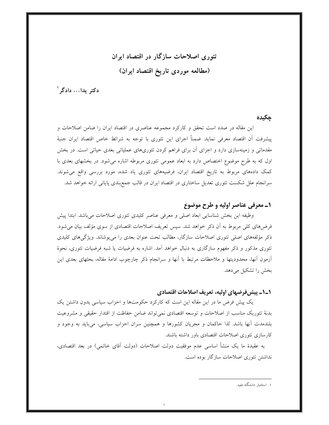# تئوری اصلاحات سازگار در اقتصاد ایران (مطالعه موردی تاریخ اقتصاد ایران)

دکتر پدا… دادگر `

حكىدە

این مقاله در صدد است تحقق و کارکرد مجموعه عناصری در اقتصاد ایران را ضامن اصلاحات و پیشرفت أن اقتصاد معرفی نماید. ضمناً اجرای این تئوری با توجه به شرائط خاص اقتصاد ایران جنبهٔ مقدماتی و زمینهسازی دارد و اجرای آن برای فراهم کردن تئوریهای عملیاتی بعدی حیاتی است. در بخش اول که به طرح موضوع اختصاص دارد به ابعاد عمومی تئوری مربوطه اشاره میشود. در بخشهای بعدی با کمک دادههای مربوط به تاریخ اقتصاد ایران، فرضیههای تئوری یاد شده، مورد بررسی واقع میشوند. سرانجام علل شکست تئوری تعدیل ساختاری در اقتصاد ایران در قالب جمع بندی پایانی ارائه خواهد شد.

# ١ـ معرفي عناصر اوليه و طرح موضوع

وظیفه این بخش شناسایی ابعاد اصلی و معرفی عناصر کلیدی تئوری اصلاحات میباشد. ابتدا پیش فرضهای کلی مربوط به آن ذکر خواهد شد. سپس تعریف اصلاحات اقتصادی از سوی مؤلف بیان می شود. ذکر مؤلفههای اصلی تئوری اصلاحات سازگار، مطالب تحت عنوان بعدی را میپوشاند. ویژگیهای کلیدی تئوری مذکور و ذکر مفهوم سازگاری به دنبال خواهد آمد. اشاره به فرضیات یا شبه فرضیات تئوری، نحوهٔ آزمون آنها، محدودیتها و ملاحظات مرتبط با آنها و سرانجام ذکر چارچوب ادامهٔ مقاله، بحثهای بعدی این بخش را تشکیل می دهد.

# ١\_١\_ پیش فرضهای اولیه، تعریف اصلاحات اقتصادی

یک پیش فرض ما در این مقاله این است که کارکرد حکومتها و احزاب سیاسی بدون داشتن یک بدنهٔ تئوریک مناسب از اصلاحات و توسعه اقتصادی نمی تواند ضامن حفاظت از اقتدار حقیقی و مشروعیت بلندمدت أنها باشد. لذا حاکمان و مجریان کشورها و همچنین سران احزاب سیاسی، میباید به وجود و كارسازي تئوري اصلاحات اقتصادي باور داشته باشند.

به عقیدهٔ ما یک منشأ اساسی عدم موفقیت دولت اصلاحات (دولت اّقای خاتمی) در بعد اقتصادی، نداشتن تئوري اصلاحات سازگار بوده است.

۱. استادیار دانشگاه مفید.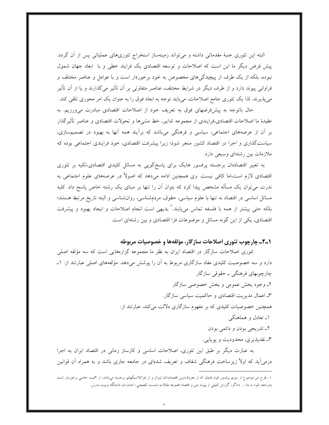البته این تئوری جنبهٔ مقدماتی داشته و میتواند زمینهساز استخراج تئوریهای عملیاتی پس از آن گردد. ییش فرض دیگر ما این است که اصلاحات و توسعه اقتصادی یک فرایند خطی و با ابعاد جهان شمول نبوده، بلکه از یک طرف از پیچیدگی های مخصوص به خود برخوردار است و با عوامل و عناصر مختلف و فراوانی پیوند دارد و از طرف دیگر در شرایط مختلف، عناصر متفاوتی بر آن تأثیر میگذارند و یا از آن تأثیر میپذیرند. لذا یک تئوری جامع اصلاحات، میباید توجه به ابعاد فوق را به عنوان یک امر محوری تلقی کند.

حال باتوجه به پیش فرضهای فوق به تعریف خود از اصلاحات اقتصادی مبادرت می ورزیم. به عقيدهٔ ما اصلاحات اقتصادي،فرايندي از مجموعه تدابير، خط مشيها و تحولات اقتصادي و عناصر تأثيرگذار بر آن از عرصههای اجتماعی، سیاسی و فرهنگی میباشد که برآیند همه آنها به بهبود در تصمیمسازی، سیاستگذاری و اجرا در اقتصاد کشور منجر شود؛ زیرا پیشرفت اقتصادی، خود فرایندی اجتماعی بوده که ملازمات بین رشتهای وسیعی دارد.

به تعبیر اقتصاددان برجسته پرفسور هایک برای پاسخگویی به مسائل کلیدی اقتصادی،تکیه بر تئوری اقتصادی لازم است،اما کافی نیست. وی همچنین ادامه می۵هد که اصولاً در عرصههای علوم اجتماعی به ندرت می توان یک مسأله مشخص پیدا کرد که بتوان آن را تنها بر مبنای یک رشته خاص پاسخ داد. کلیه مسائل اساسی در اقتصاد نه تنها با علوم سیاسی، حقوق، مردمشناسی، روانشناسی و البته تاریخ مرتبط هستند؛ بلکه حتی بیشتر از همه با فلسفه تماس مییابند.<sup>۲</sup> بدیهی است انجام اصلاحات و ایجاد بهبود و پیشرفت اقتصادی، یکی از این گونه مسائل و موضوعات فرا اقتصادی و بین رشتهای است.

#### 1-2ـ چارچوب تئوري اصلاحات سازگار، مؤلفهها و خصوصیات مربوطه

تئوری اصلاحات سازگار در اقتصاد ایران به نظر ما مجموعه گزارههایی است که سه مؤلفه اصلی دارد و سه خصوصیت کلیدی مفاد سازگاری مربوط به اَن را پوشش میدهد. مؤلفههای اصلی عبارتند از: ۱ــ چارچوبھای فرهنگی ــ حقوقی سازگار ۲ـ وجود بخش عمومي و بخش خصوصي سازگار ۳ـ اعمال مدیریت اقتصادی و حاکمیت سیاسی سازگار. همچنین خصوصیات کلیدی که بر مفهوم سازگاری دلالت میکند، عبارتند از: ۱ـ تعادل و هماهنگی ٢ـ تدريجي بودن و دائمي بودن ۳ـ نقدیذیری، محدودیت و یوپایی.

به عبارت دیگر بر طبق این تئوری، اصلاحات اساسی و کارساز زمانی در اقتصاد ایران به اجرا درم ٍ اَید که اولاً زیرِ ساخت فرهنگی شفاف و تعریف شدهای در جامعه جاری باشد و به همراه اَن قوانین

۱. طرح این موضوع از سوی پرفسور فون هایك كه از معروفترین اقتصاددانان لیبرال و از نتوكلاسیكهای برجسته می،اشد، از اهمیت خاصی برخوردار است (مراجعه شود به یدا… دادگر، گزارش تحلیلی از پیوند دین و اقتصاد مجموعه مقالات نشست تخصصی، انتشارات دانشگاه تربیت مدرس.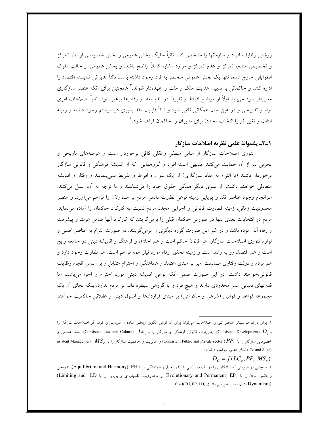روشنی وظایف افراد و سازمانها را مشخص کند. ثانیاً جایگاه بخش عمومی و بخش خصوصی از نظر تمرکز و تخصیص منابع، تمرکز و عدم تمرکز و موارد مشابه کاملاً واضح باشد. و بخش عمومی از حالت ملوک الطوايفي خارج شده، تنها يک بخش عمومي منحصر به فرد وجود داشته باشد. ثالثاً مديراني شايسته اقتصاد را اداره کنند و حاکمان<sub>ی</sub> با تدبیر، هدایت ملک و ملت را عهدهدار شوند.<sup>۳</sup> همچنین برای آنکه عنصر سازگاری معنیدار شود میباید اولاً از مواضع افراط و تفریط در اندیشهها و رفتارها پرهیز شود، ثانیاً اصلاحات امری آرام و تدریجی و در عین حال همگانی تلقی شود و ثالثاً قابلیت نقد پذیری در سیستم وجود داشته و زمینه انتقال و تغییر (و یا انتخاب مجدد) برای مدیران و حاکمان فراهم شود.<sup>۲</sup>

# **۱\_۳\_** يشتوانهٔ علمي نظريه اصلاحات سازگار

تئوری اصلاحات سازگار از مبانی منطقی وعقلی کافی برخوردار است و عرصههای تاریخی و تجربی نیز از آن حمایت میکنند. بدیهی است افراد و گروههایی که از اندیشه فرهنگی و قانونی سازگار برخوردار باشند (با التزام به مفاد سازگاری) از یک سو راه افراط و تفریط نمیپیمایند و رفتار و اندیشه متعادلی خواهند داشت. از سوی دیگر همگی حقوق خود را میشناسند و با توجه به آن، عمل میکنند. سرانجام وجود عناصر نقد و پویایی زمینه نوعی نظارت دائمی مردم بر مسؤولان را فراهم میآورد. و عنصر محدودیت زمانی، زمینه قضاوت قانونی و اجرایی مجدد مردم نسبت به کارکرد حاکمان را آماده می نماید. مردم در انتخابات بعدی تنها در صورتی حاکمان قبلی را برمیگزینند که کارکرد آنها ضامن عزت و پیشرفت و رفاه آنان بوده باشد و در غیر این صورت گروه دیگری را برمیگزینند. در صورت التزام به عناصر اصلی و لوازم تئوری اصلاحات سازگار، هم قانون حاکم است و هم اخلاق و فرهنگ و اندیشه دینی در جامعه رایج است و هم اقتصاد رو به رشد است و زمینه تحقق رفاه مورد نیاز همه فراهم است. هم نظارت وجود دارد و هم مردم و دولت رفتاری مسالمت آمیز بر مبنای اعتماد و هماهنگی و احترام متقابل و بر اساس انجام وظایف قانونی،خواهند داشت. در این صورت ضمن آنکه نوعی اندیشه دینی مورد احترام و اجرا میباشد، اما قدرتهای دنیایی عمر محدودی دارند و هیچ فرد و یا گروهی سیطرهٔ دائم بر مردم ندارد، بلکه بجای آن یک مجموعه قواعد و قوانین (شرعی و حکومتی) بر مبنای قراردادها و اصول دینی و عقلانی حاکمیت خواهند

 $D_c = f(LC_c, PP_c, MS_c)$ 

۱. برای درک مناسبتر عناصر تئوری اصلاحات، میتوان برای آن نوعی الگوی ریاضی ساده را شبیهسازی کرد. اگر اصلاحات سازگار را با ،(Consistent Development)، چارچوب قانونی فرهنگی و سازگار را با ،(Consistent Law and Culture)، بخشءمومی و nsistent Management  $\overline{MS}$  و مدیریت و حاکمیت سازگار را با  $( \overline{P}P_\mu )$  (Consistent Public and Private sector)  $PP_\mu$  با عضوضی سازگار را با  $P$ (Co and State ) نشان دهیم، خواهیم داشت :

۲. همچنین در صورتی که سازگاری را در یک مفاد کلی با C و تعادل و هماهنگی را با Equilibrium and Harmony) EH، تدریجی و دائمی بودن را با Evolutionary and Permanent) EP) و محدودیت، نقدپذیری و پویایی را با Limiting and LD)  $C = f(EH, EP, LD)$ : نشان دهیم، خواهیم داشت: $Dynamism)$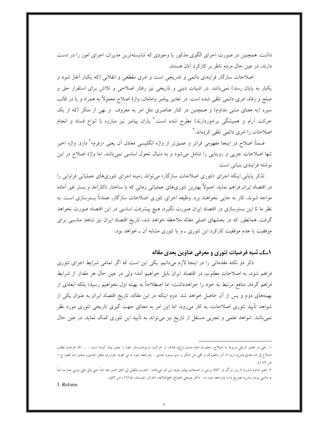داشت. همچنین در صورت اجرای الگوی مذکور با وجودی که شایستهترین مدیران، اجرای امور را در دست دارند، در عین حال مردم ناظر بر کارکرد آنان هستند.

اصلاحات سازگار فرایندی دائمی و تدریجی است و امری مقطعی و انقلابی (که یکبار آغاز شود و یکبار به پایان رسد) نمیباشد. در ادبیات دینی و تاریخی نیز رفتار اصلاحی و تلاش برای استقرار حق و صلح و رفاه، امری دائمی تلقی شده است. در تعابیر پیامبر وامامان، واژهٔ اصلاح معمولاً به همراه و یا در قالب سیره (به معنای مشی مداوم) و همچنین در کنار عناصری مثل امر به معروف ً و نهی از منکر (که از یک حرکت آرام و همیشگی برخوردارند) مطرح شده است.<sup>ه</sup> یاران پیامبر نیز مبارزه با انواع فساد و انجام اصلاحات را امری دائمی تلقی کردهاند.<sup>٦</sup>

ضمناً اصلاح در اینجا مفهومی فراتر و عمیقتر از واژه انگلیسی معادل آن یعنی «رفرم»<sup>۷</sup> دارد. واژه اخیر تنها اصلاحات جزیی و روبنایی را شامل میشود و به دنبال تحول اساسی نمیباشد. اما واژهٔ اصلاح در این نوشته فرایندی بنیانی است.

تذکر پایانی اینکه اجرای «تئوری اصلاحات سازگار» می تواند زمینه اجرای تئوریهای عملیاتی فراوانی را در اقتصاد ایران فراهم نماید. اصولاً بهترین تئوریهای عملیاتی زمانی که با ساختار ناکارآمد و بستر غیر آماده مواجه شوند، کار به جایبی نخواهند برد. وظیفه اجرای تئوری اصلاحات سازگار، عمدتاً بسترسازی است. به نظر ما تا این بسترسازی در اقتصاد ایران صورت نگیرد، هیچ پیشرفت اساسی در این اقتصاد صورت نخواهد گرفت. همانطور که در بخشهای اصلی مقاله ملاحظه خواهد شد، تاریخ اقتصاد ایران نیز شاهد مناسبی برای موفقيت يا عدم موفقيت كاركرد اين تئوري ــ و يا تئوري مشابه آن ــ خواهد بود.

## ۱\_٤\_ شبه فرضیات تئوری و معرفی عناوین بعدی مقاله

ذکر دو نکته مقدماتی را در اینجا لازم میدانیم. یکی این است که اگر تمامی شرایط اجرای تئوری فراهم شود، به اصلاحات مطلوب در اقتصاد ایران نایل خواهیم آمد؛ ولی در عین حال هر مقدار از شرایط فراهم گردد، منافع مرتبط به خود را خواهدداشت؛ اما اصطلاحاً به بهینه اول نخواهیم رسید؛ بلکه ابعادی از بهینههای دوم و پس از آن حاصل خواهد شد. دوم اینکه در این مقاله، تاریخ اقتصاد ایران به عنوان یکی از شواهد تأیید تئوری اصلاحات، به کار میرود، اما این امر به معنای جهت گیری تاریخی تئوری مورد نظر نمیباشد. شواهد علمی و تجربی مستقل از تاریخ نیز میتواند به تأیید این تئوری کمک نماید. در عین حال

۱. حتی در تعابیر تاریخی مربوط به اصلاح، حضرت امام حسین (ع)، هدف از حرکت سرنوشت $\omega$ از حود را چنین بیان کرده است : … انما حرحت لطلب اصلاح في امه حدي (ص)، اريد ان آمر بالمعروف و الهي عن المنكر و اسير بسيره حدي… (مراجعه شود به ابي المؤيد خوارزم، مقتل الحسين، منشورات المفيد ح ١ ص ۱۸۹).

٢. تعبير تداوم مبارزه تا روز مرگ در كلام برخي از اصحاب پيامبر مؤيد اين امر مي،اشد : اضرب بالمقبل الي الحق المدبر عنه ابداً حتي ياتي على يومى.عبارت ابداً به دائمی بودن مبارزه تصریح دارد (مراجعه شود به : دکتر صبحی الصالح، فمجالبلاغه، الجزائر، تلمسان، ۱۹۷۵، ص ۵۳).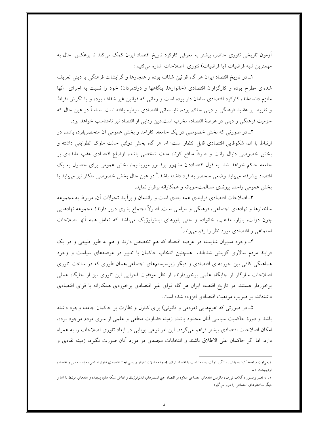آزمون تاریخی تئوری حاضر، بیشتر به معرفی کارکرد تاریخ اقتصاد ایران کمک میکند تا برعکس. حال به مهمترين شبه فرضيات (يا فرضيات) تئوري اصلاحات اشاره مي كنيم :

۱ـ در تاریخ اقتصاد ایران هر گاه قوانین شفاف بوده و هنجارها و گرایشات فرهنگی یا دینی تعریف شدهای مطرح بوده و کارگزاران اقتصادی (خانوارها، بنگاهها و دولتمردان) خود را نسبت به اجرای آنها ملتزم دانستهاند، کارکرد اقتصادی سامان دار بوده است و زمانی که قوانین غیر شفاف بوده و یا نگرش افراط و تفریط بر عقاید فرهنگی و دینی حاکم بوده، نابسامانی اقتصادی سیطره یافته است. اساساً در عین حال که جزمیت فرهنگی و دینی در عرصهٔ اقتصاد، مخرب است،دین زدایی از اقتصاد نیز نامتناسب خواهد بود.

۲ـ در صورتی که بخش خصوصی در یک جامعه، کارآمد و بخش عمومی آن منحصربفرد، باشد، در ارتباط با آن، شکوفایی اقتصادی قابل انتظار است؛ اما هر گاه بخش دولتی حالت ملوک الطوایفی داشته و بخش خصوصی دنبال رانت و صرفاً منافع کوتاه مدت شخصی باشد، اوضاع اقتصادی عقب ماندهای بر جامعه حاکم خواهد شد. به قول اقتصاددان مشهور پرفسور موریشیما، بخش عمومی برای حصول به یک اقتصاد پیشرفته میباید وضعی منحصر به فرد داشته باشد.<sup>^</sup> در عین حال بخش خصوصی متکثر نیز میباید با بخش عمومي واحد، پيوندي مسالمتجويانه و همكارانه برقرار نمايد.

۳ـ اصلاحات اقتصادی فرایندی همه بعدی است و راندمان و بر آیند تحولات آن، مربوط به مجموعه ساختارها و نهادهای اجتماعی، فرهنگی و سیاسی است. اصولاً اجتماع بشری دربر دارندهٔ مجموعه نهادهایی چون دولت، بازار، مذهب، خانواده و حتى باورهاى ايدئولوژيک مىباشد که تعامل همه آنها اصلاحات اجتماعی و اقتصادی مورد نظر را رقم می زند.<sup>۹</sup>

۴ـ وجود مديران شايسته در عرصه اقتصاد كه هم تخصص دارند و هم به طور طبيعي و در يک فرایند مردم سالاری گزینش شدهاند، همچنین انتخاب حاکمان با تدبیر در عرصههای سیاست و وجود هماهنگی کافی بین حوزههای اقتصادی و دیگر زیرسیستمهای اجتماعی،همان طوری که در ساخت تئوری اصلاحات سازگار از جایگاه علمی برخوردارند، از نظر موفقیت اجرایی این تئوری نیز از جایگاه عملی برخوردار هستند. در تاریخ اقتصاد ایران هر گاه قوای غیر اقتصادی برخوردی همکارانه با قوای اقتصادی داشتهاند، بر ضريب موفقيت اقتصادى افزوده شده است.

۵ـ در صورتی که اهرمهایی (مردمی و قانونی) برای کنترل و نظارت بر حاکمان جامعه وجود داشته باشد و دورهٔ حاکمیت سیاسی آنان محدود باشد، زمینه قضاوت منطقی و علمی از سوی مردم موجود بوده، امکان اصلاحات اقتصادی بیشتر فراهم میگردد. این امر نوعی پویایی در ابعاد تئوری اصلاحات را به همراه دارد. اما اگر حاکمان علی الاطلاق باشند و انتخابات مجددی در مورد آنان صورت نگیرد، زمینه نقادی و

٠.ميتوان مراجعه كرد به يدا… دادگر، دولت رفاه متناسب با اقتصاد ايران، مجموعه مقالات سمينار بررسي ابعاد اقتصادي قانون اساسي، مؤسسه دين و اقتصاد، ارديبهشت ٨١.

١. به تعبير پرفسور داگلاث نورث، ماتريس نمادهاي اجتماعي علاوه بر اقتصاد حتى ايستارهاي ايدئولوژيك و تعامل شبكه هاي پيچيده و فمادهاي مرتبط با آنها و دیگر ساختارهاي احتماعي را دربر ميگيرد.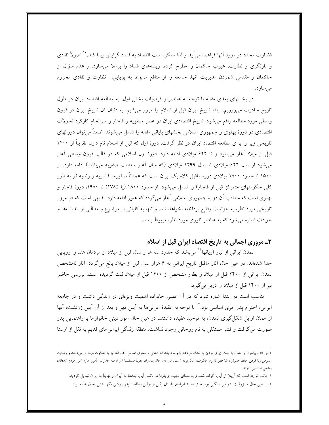قضاوت مجدد در مورد آنها فراهم نمي]يد و لذا ممكن است اقتصاد به فساد گرايش پيدا كند. `` اصولاً نقادي و بازنگری و نظارت، عیوب حاکمان را مطرح کرده، ریشههای فساد را برملا میسازد. و عدم سؤال از حاکمان و مقدس شمردن مدیریت آنها، جامعه را از منافع مربوط به پویایی، نظارت و نقادی محروم مىسازد.

در بخشهای بعدی مقاله با توجه به عناصر و فرضیات بخش اول، به مطالعه اقتصاد ایران در طول تاریخ مبادرت میeرزیم. ابتدا تاریخ ایران قبل از اسلام را مرور میکنیم. به دنبال آن تاریخ ایران در قرون وسطی مورد مطالعه واقع می شود. تاریخ اقتصادی ایران در عصر صفویه و قاجار و سرانجام کارکرد تحولات اقتصادی در دورهٔ پهلوی و جمهوری اسلامی بخشهای پایانی مقاله را شامل میشوند. ضمناً میتوان دورانهای تاریخی زیر را برای مطالعه اقتصاد ایران در نظر گرفت. دورهٔ اول که قبل از اسلام نام دارد، تقریباً از ۱۴۰۰ قبل از میلاد آغاز میشود و تا ۶۲۲ میلادی ادامه دارد. دورهٔ اول اسلامی که در قالب قرون وسطی آغاز میشود از سال ۶۲۲ میلادی تا سال ۱۴۹۹ میلادی (که سال آغاز سلطنت صفویه میباشد) ادامه دارد. از ۱۵۰۰ تا حدود ۱۸۰۰ میلادی دوره ماقبل کلاسیک ایران است که عمدتاً صفویه، افشاریه و زندیه (و به طور کلی حکومتهای متمرکز قبل از قاجار) را شامل می شود. از حدود ۱۸۰۰ (یا ۱۷۸۵) تا ۱۹۸۰، دورهٔ قاجار و یهلوی است که متعاقب آن دوره جمهوری اسلامی آغاز میگردد که هنوز ادامه دارد. بدیهی است که در مرور تاریخی مورد نظر، به جزئیات وقایع پرداخته نخواهد شد، و تنها به کلیاتی از موضوع و مطالبی از اندیشهها و حوادث اشاره می شود که به عناصر تئوری مورد نظر، مربوط باشد.

# ۲ـ مروري اجمالي به تاريخ اقتصاد ايران قبل از اسلام

تمدن ایرانی از تبار آریانها<sup>۱۱</sup> میباشد که حدود سه هزار سال قبل از میلاد از مردمان هند و اروپایی جدا شدهاند. در عین حال آثار ماقبل تاریخ ایرانی به ۶ هزار سال قبل از میلاد بالغ میگردد. آثار نامشخص تمدن ایرانی از ۲۴۰۰ قبل از میلاد و بطور مشخص از ۱۴۰۰ قبل از میلاد ثبت گردیده است، بررسی حاضر نیز از ۱۴۰۰ قبل از میلاد را دربر می گیرد.

مناسب است در ابتدا اشاره شود که در آن عصر، خانواده اهمیت ویژهای در زندگی داشت و در جامعه ایرانی، احترام یدر امری اساسی بود.<sup>۱۷</sup> با توجه به عقیدهٔ ایرانیها به آیین مهر و بعد از آن آیین زرتشت، آنها از همان اوایل شکل گیری تمدن، به توحید عقیده داشتند. در عین حال امور دینی خانوارها با راهنمایی پدر صورت می گرفت و قشر مستقلبی به نام روحانبی وجود نداشت. منطقه زندگی ایرانبیهای قدیم به نقل از اوستا

٢.تن دادن پیامبران و امامان به بیعت (رأي مردم) نیز نشان مي،دهد با وجود پشتوانه خدايي و معنوي اساسي آلها، آلها نیز به قضاوت مردم تن ميدادند و رضايت عمومی (با فرض حفظ اصول)، شاخص تداوم حکومت آنان بوده است. در عین حال پیامبران چون مستقیماً ا ز ناحیه خداوند مأمور اداره امور مردم شدهاند، وضعي استثنايي دارند.

۱ جالب توجه است که آریان از آیریا گرفته شده و به معنای نجیب و باوفا می,باشد. آیریا بعدها به آیران و نهایتاً به ایران تبدیل گردید. ۲ در عین حال مسؤولیت پدر نیز سنگین بود. طبق عقاید ایرانیان باستان یکی از اولین وظایف پدر روشن نگهداشتن اجاق خانه بود.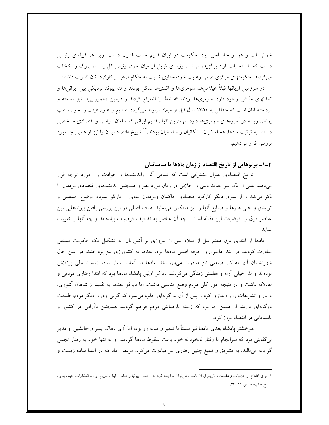خوش أب و هوا و حاصلخیر بود. حکومت در ایران قدیم حالت فدرال داشت؛ زیرا هر قبیلهای رئیسی داشت که با انتخابات آزاد برگزیده میشد. رؤسای قبایل از میان خود، رئیس کل یا شاه بزرگ را انتخاب می کردند. حکومتهای مرکزی ضمن رعایت خودمختاری نسبت به حکام فرعی برکارکرد آنان نظارت داشتند.

در سرزمین أریانها قبلاً عیلامیها، سومریها و اکدیها ساکن بودند و لذا پیوند نزدیکی بین ایرانیها و تمدنهای مذکور وجود دارد. سومریها بودند که خط را اختراع کردند و قوانین «حمورابی» نیز ساخته و پرداخته آنان است که حداقل به ۱۷۵۰ سال قبل از میلاد مربوط میگردد. صنایع و علوم هیئت و نجوم و طب یونانی ریشه در آموزههای سومریها دارد. مهمترین اقوام قدیم ایرانی که سامان سیاسی و اقتصادی مشخصی داشتند به ترتیب مادها، هخامنشیان، اشکانیان و ساسانیان بودند. `` تاریخ اقتصاد ایران را نیز از همین جا مورد بررسي قرار ميدهيم.

#### ۲\_۱\_ پرتوهایی از تاریخ اقتصاد از زمان مادها تا ساسانیان

تاریخ اقتصادی عنوان مشترکی است که تمامی آثار واندیشهها و حوادث را مورد توجه قرار میدهد. یعنی از یک سو عقاید دینی و اخلاقی در زمان مورد نظر و همچنین اندیشههای اقتصادی مردمان را ذکر می کند و از سوی دیگر کارکرد اقتصادی حاکمان ومردمان عادی را بازگو نموده، اوضاع جمعیتی و تولیدی و حتی هنرها و صنایع آنها را نیز منعکس می نماید. هدف اصلی در این بررسی یافتن پیوندهایی بین عناصر فوق و ۖ فرضیات این مقاله است ــ چه اَن عناصر به تضعیف فرضیات بیانجامد و چه اَنها را تقویت نمايد.

مادها از ابتدای قرن هفتم قبل از میلاد پس از پیروزی بر آشوریان، به تشکیل یک حکومت مستقل مبادرت کردند. در ابتدا دامپروری حرفه اصلی مادها بود، بعدها به کشاورزی نیز پرداختند. در عین حال شهرنشینان آنها به کار صنعتی نیز مبادرت میورزیدند. مادها در آغاز، بسیار ساده زیست ولی پرتلاش بودهاند و لذا خیلی اَرام و مطمئن زندگی میکردند. دیااکو اولین پادشاه مادها بود که ابتدا رفتاری مردمی و عادلانه داشت و در نتیجه امور کلّی مردم وضع مناسبی داشت. اما دیااکو بعدها به تقلید از شاهان أشوری، دربار و تشریفات را راهاندازی کرد و پس از آن به گونهای جلوه می نمود که گویی وی و دیگر مردم، طبیعت دوگانهای دارند. از همین جا بود که زمینه نارضایتی مردم فراهم گردید. همچنین ناآرامی در کشور و نابسامانی در اقتصاد بروز کرد.

هوخشتر پادشاه بعدی مادها نیز نسبتاً با تدبیر و میانه رو بود، اما آژی دهاک پسر و جانشین او مدیر بر كفايتي بود كه سرانجام با رفتار نابخردانه خود باعث سقوط مادها گرديد. او نه تنها خود به رفتار تجمل گرایانه میبالید، به تشویق و تبلیغ چنین رفتاری نیز مبادرت میکرد. مردمان ماد که در ابتدا ساده زیست و

۱. برای اطلاع از جزئیات و مقدمات تاریخ ایران باستان می توان مراجعه کرد به : حسن پیرنیا و عباس اقبال، تاریخ ایران، انتشارات خبام، بدون تاريخ چاپ، صص ١٢-۴٣.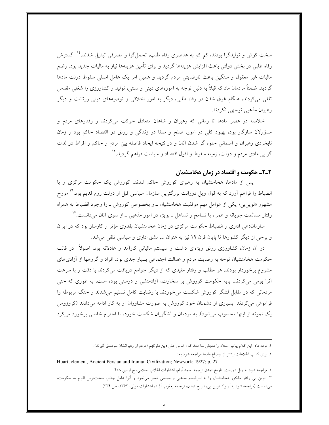سخت کوش و تولیدگرا بودند، کم کم به عناصری رفاه طلب، تجملگرا و مصرفی تبدیل شدند.<sup>۱۶</sup> گسترش رفاه طلبی در بخش دولتی باعث افزایش هزینهها گردید و برای تأمین هزینهها نیاز به مالیات جدید بود. وضع مالیات غیر معقول و سنگین باعث نارضایتی مردم گردید و همین امر یک عامل اصلی سقوط دولت مادها گردید. ضمناً مردمان ماد که قبلاً به دلیل توجه به آموزههای دینی و سنتی، تولید و کشاورزی را شغلی مقدس تلقی میکردند، هنگام غرق شدن در رفاه طلبی، دیگر به امور اخلاقی و توصیههای دینی زرتشت و دیگر رهبران مذهبي توجهي نكردند.

خلاصه در عصر مادها تا زمانی که رهبران و شاهان متعادل حرکت میکردند و رفتارهای مردم و مسؤولان سازگار بود، بهبود کلی در امور، صلح و صفا در زندگی و رونق در اقتصاد حاکم بود و زمان نابخردی رهبران و آسمانی جلوه گر شدن آنان و در نتیجه ایجاد فاصله بین مردم و حاکم و افراط در لذت گرایی مادی مردم و دولت، زمینه سقوط و افول اقتصاد و سیاست فراهم گردید.°`

#### ٢\_٢\_ حکومت و اقتصاد در زمان هخامنشیان

پس از مادها، هخامنشیان به رهبری کوروش حاکم شدند. کوروش یک حکومت مرکزی و با انضباط را فراهم اَورد که به قول ویل دورانت بزرگترین سازمان سیاسی قبل از دولت روم قدیم بود.'` مورخ مشهور «توین بی» یکی از عوامل مهم موفقیت هخامنشیان ـ و بخصوص کوروش ـ را وجود انضباط به همراه رفتار مسالمت جویانه و همراه با تسامح و تساهل ــ بویژه در امور مذهبی ــ از سوی آنان میدانست.<sup>۱۷</sup>

سازماندهی اداری و انضباط حکومت مرکزی در زمان هخامنشیان بقدری مؤثر و کارساز بود که در ایران و برخی از دیگر کشورها تا پایان قرن ۱۹ نیز به عنوان سرمشق اداری و سیاسی تلقی می شد.

در آن زمان، کشاورزی رونق ویژهای داشت و سیستم مالیاتی کارآمد و عادلانه بود. اصولاً در قالب حکومت هخامنشیان توجه به رضایت مردم و عدالت اجتماعی بسیار جدی بود. افراد و گروهها از آزادیهای مشروع برخوردار بودند. هر مطلب و رفتار مفیدی که از دیگر جوامع دریافت میکردند با دقت و با سرعت آنرا بومی میکردند. پایه حکومت کوروش بر سخاوت، آزادمنشی و دوستی بوده است، به طوری که حتی مردمانی که در مقابل لشگر کوروش شکست می خوردند با رضایت کامل تسلیم می شدند و جنگ مربوطه را فراموش میکردند. بسیاری از دشمنان خود کوروش به صورت مشاوران او به کار ادامه میدادند (کروزوس یک نمونه از اینها محسوب می شود). به مردمان و لشگریان شکست خورده با احترام خاصی برخورد می کرد

۳. .توین بی رفتار مذکور هخامنشیان را به لیبرالیسم مذهبی و سیاسی تعبیر مینمود و آنرا عامل جذب سختترین اقوام به حکومت، میدانست (مراجعه شود به:آرنولد توین بی، تاریخ تمدن، ترجمه یعقوب آژند، انتشارات مولی، ۱۳۶۲، ص ۲۲۴).

۲. مردم ماد این کلام پیامبر اسلام را متجلی ساختند که : الناس علی دین ملوکهم (مردم از رهبرانشان سرمشق گیرند).

۱. برای کسب اطلاعات بیشتر از اوضاع مادها مراجعه شود به : Huart, clement, Ancient Persian and Iranian Civilization; Newyork; 1927; p. 27

۲. مراجعه شود به ویل دورانت، تاریخ تمدن،ترجمه احمد آرام، انتشارات انقلاب اسلامی، ج ا، ص ۴۰۸.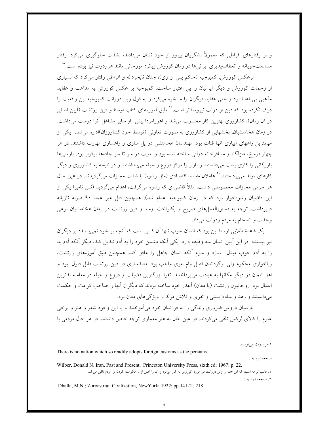و از رفتارهای افراطی که معمولاً لشگریان پیروز از خود نشان میدادند، بشدت جلوگیری میکرد. رفتار مسالمتجویانه و انعطافپذیری ایرانیها در زمان کوروش زبانزد مورخانی مانند هرودوت نیز بوده است.^`

برعکس کوروش، کمبوجیه (حاکم پس از وی)، چنان نابخردانه و افراطی رفتار میکرد که بسیاری از زحمات کوروش و دیگر ایرانیان را بی اعتبار ساخت. کمبوجیه بر عکس کوروش به مذاهب و عقاید مذهبی بی اعتنا بود و حتی عقاید دیگران را مسخره میکرد و به قول ویل دورانت کمبوجیه این واقعیت را درک نکرده بود که دین از دولت نیرومندتر است.<sup>۱۹</sup> طبق آموزههای کتاب اوستا و دین زرتشت (آیین اصل<sub>ی</sub> در آن زمان)، کشاورزی بهترین کار محسوب می شد و اهورامزدا بیش از سایر مشاغل آنرا دوست می داشت. در زمان هخامنشیان، بخشهایی از کشاورزی به صورت تعاونی (توسط خود کشاورزان)اداره می شد. یکی از مهمترین راههای آبیاری آنها قنات بود. مهندسان هخامنشی در پل سازی و راهسازی مهارت داشتند. در هر چهار فرسخ، منزلگاه و مسافرخانه دولتی ساخته شده بود و امنیت در سر تا سر جادهها برقرار بود. پارسیها بازرگانی را کاری پست میدانستند و بازار را مرکز دروغ و حیله میپنداشتند و در نتیجه به کشاورزی و دیگر کارهای مولد می یرداختند. کشماهالان مفاسد اقتصادی (مثل رشوه) با شدت مجازات می گردیدند. در عین حال هر جرمی مجازات مخصوصی داشت، مثلاً قاضیای که رشوه میگرفت، اعدام میگردید (نس نامیرا یکی از این قاضیان رشوهخوار بود که در زمان کمبوجیه اعدام شد)، همچنین قتل غیر عمد ۹۰ ضربه تازیانه دربرداشت. توجه به دستورالعملهای صریح و یکنواخت اوستا و دین زرتشت در زمان هخامنشیان نوعی وحدت و انسجام به مردم ودولت میداد.

یک قاعدهٔ طلایی اوستا این بود که انسان خوب تنها آن کسی است که آنچه بر خود نمی پسندد بر دیگران نیز نپسندد. در این آیین انسان سه وظیفه دارد: یکی آنکه دشمن خود را به آدم تبدیل کند، دیگر آنکه آدم بد را به آدم خوب مبدل ً سازد و سوم آنکه انسان جاهل را عاقل کند. همچنین طبق آموزههای زرتشت، رباخواری محکوم ولی برگرداندن اصل وام امری واجب بود. معبدسازی در دین زرتشت قابل قبول نبود و اهل ایمان در دیگر مکانها به عبادت میپرداختند. تقوا بزرگترین فضیلت و دروغ و حیله در معامله بدترین اعمال بود. روحانیون زرتشت (یا مغان) آنقدر خود ساخته بودند که دیگران آنها را صاحب کرامت و حکمت میدانستند و زهد و سادهزیستی و تقوی و تلاش مولد از ویژگی های مغان بود.

پارسیان دروس ضروری زندگی را به فرزندان خود میآموختند و با این وجود شعر و هنر و برخی علوم را كالاي لوكس تلقى مى كردند. در عين حال به هنر معمارى توجه خاص داشتند. در هر حال مردمى با

۳. مراجعه شود به :

مراجعه شود به : Wilber, Donald N. Iran, Past and Present, Princeton University Press, sixth ed; 1967; p. 22. ۲.حالب توجه است که این جمله را ویل دورانت در مورد کوروش به کار میپرد و آن را اصل اول حکومت کردن بر مردم تلقی میکند.

Dhalla, M.N.; Zoroastrian Civilization, NewYork; 1922; pp.141-2, 218.

There is no nation which so readily adopts foreign customs as the persians.

١.هرودوت مي نويسد :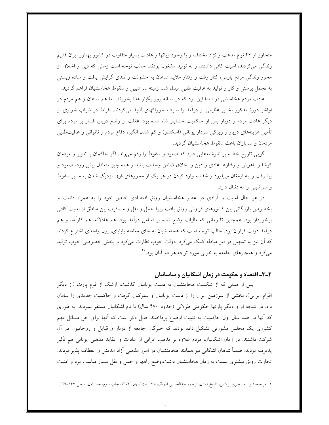متجاوز از ۴۶ نوع مذهب و نژاد مختلف و با وجود زبانها و عادات بسیار متفاوت در کشور پهناور ایران قدیم زندگی می کردند، امنیت کافی داشتند و به تولید مشغول بودند. جالب توجه است زمانی که دین و اخلاق از محور زندگی مردم پارس، کنار رفت و رفتار ملایم شاهان به خشونت و تندی گرایش یافت و ساده زیستی به تجمل پرستی و کار و تولید به عافیت طلبی مبدل شد، زمینه سراشیبی و سقوط هخامنشیان فراهم گردید.

عادت مردم هخامنشی در ابتدا این بود که در شبانه روز یکبار غذا بخورند، اما هم شاهان و هم مردم در اواخر دورهٔ مذکور بخش عظیمی از درآمد را صرف خوراکهای لذیذ میکردند. افراط در شراب خواری از دیگر عادت مردم و دربار پس از حاکمیت خشایار شاه شده بود. غفلت از وضع دربار، فشار بر مردم برای تأمین هزینههای دربار و زیرکی سردار یونانی (اسکندر) و کم شدن انگیزه دفاع مردم و ناتوانی و عافیتطلبی مردمان و سربازان باعث سقوط هخامنشیان گردید.

گویی تاریخ خط سیر نانوشتههایی دارد که صعود و سقوط را رقم میزند. اگر حاکمان با تدبیر و مردمان کوشا و باهوش و رفتارها عادی و دین و اخلاق ضامن وحدت باشد و همه چیز متعادل پیش رود، صعود و پیشرفت را به ارمغان می[ورد و خدشه وارد کردن در هر یک از محورهای فوق نزدیک شدن به مسیر سقوط و سراشیبی را به دنبال دارد.

در هر حال امنیت و آزادی در عصر هخامنشیان رونق اقتصادی خاص خود را به همراه داشت و بخصوص بازرگانی بین کشورهای فراوانی رونق یافت زیرا حمل و نقل و مسافرت بین مناطق از امنیت کافی برخوردار بود. همچنین تا زمانی که مالیات وضع شده بر اساس درآمد بود، هم عادلانه، هم کارآمد و هم درآمد دولت فراوان بود. جالب توجه است که هخامنشیان به جای معامله پایاپای، پول واحدی اختراع کردند که آن نیز به تسهیل در امر مبادله کمک میکرد. دولت خوب نظارت میکرد و بخش خصوصی خوب تولید مي کرد و هنجارهاي جامعه به خوبي مورد توجه هر دو آنان بود.''

## ۲\_۳\_ اقتصاد و حکومت در زمان اشکانیان و ساسانیان

پس از مدتی که از شکست هخامنشیان به دست یونانیان گذشت، ارشک از قوم پارت (از دیگر اقوام ایرانی)، بخشی از سرزمین ایران را از دست یونانیان و سلوکیان گرفت و حاکمیت جدیدی را سامان داد. در نتیجه او و دیگر پارتها حکومتی طولانی (حدود ۴۷۰ سال) با نام اشکانیان مستقر نمودند. به طوری که آنها در صد سال اول حاکمیت به تثبیت اوضاع پرداختند. قابل ذکر است که آنها برای حل مسائل مهم کشوری یک مجلس مشورتی تشکیل داده بودند که خبرگان جامعه از دربار و قبایل و روحانیون در آن شرکت داشتند. در زمان اشکانیان، مردم علاوه بر مذهب ایرانی از عادات و عقاید مذهبی یونانی هم تأثیر پذیرفته بودند. ضمناً شاهان اشکانی نیز همانند هخامنشیان در امور مذهبی أزاد اندیش و انعطاف پذیر بودند. تجارت رونق بیشتری نسبت به زمان هخامنشیان داشت،وضع راهها و حمل و نقل بسیار مناسب بود و امنیت

۱. مراجعه شود به : هنری لوکاس، تاریخ تمدن، ترجمه عبدالحسین آذرنگ، انتشارات کیهان، ۱۳۷۲، چاپ سوم، جلد اول، صص ۱۳۷–۱۲۹.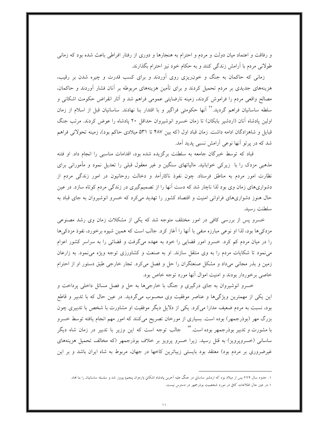و رفاقت و اعتماد میان دولت و مردم و احترام به هنجارها و دوری از رفتار افراطی باعث شده بود که زمانی طولانی مردم با آرامش زندگی کنند و به حکام خود نیز احترام بگذارند.

زمانی که حاکمان به جنگ و خون(یزی روی آوردند و برای کسب قدرت و چیره شدن بر رقیب، هزینههای جدیدی بر مردم تحمیل کردند و برای تأمین هزینههای مربوطه بر آنان فشار آوردند و حاکمان، مصالح واقعی مردم را فراموش کردند، زمینه نارضایتی عمومی فراهم شد و آثار انقراض حکومت اشکانی و سلطه ساسانیان فراهم گردید.<sup>۲۲</sup> آنها حکومتی فراگیر و با اقتدار بنا نهادند. ساسانیان قبل از اسلام از زمان اولین یادشاه آنان (اردشیر بابکان) تا زمان خسرو انوشیروان حداقل ۲۰ پادشاه را عوض کردند. مرتب جنگ قبایل و شاهزادگان ادامه داشت. زمان قباد اول (که بین ۴۸۷ تا ۵۳۱ میلادی حاکم بود)، زمینه تحولاتی فراهم شد که در بر تو آنها نوعی آرامش نسبی پدید آمد.

قباد که توسط خبرگان جامعه به سلطنت برگزیده شده بود، اقدامات مناسبی را انجام داد. او فتنه مذهبی مزدک را با زیرکی خوابانید. مالیاتهای سنگین و غیر معقول قبلی را تعدیل نمود و مأمورانی برای نظارت امور مردم به مناطق فرستاد. چون نفوذ ناکارآمد و دخالت روحانیون در امور زندگی مردم از دشواریهای زمان وی بود لذا ناچار شد که دست آنها را از تصمیمگیری در زندگی مردم کوتاه سازد. در عین حال هنوز دشواریهای فراوانی امنیت و اقتصاد کشور را تهدید میکرد که خسرو انوشیروان به جای قباد به سلطنت رسيد.

خسرو پس از بررسی کافی در امور مختلف متوجه شد که یکی از مشکلات زمان وی رشد مصنوعی مزدکی ها بود، لذا او نوعی مبارزه منفی با آنها را آغاز کرد. جالب است که همین شیوه برخورد، نفوذ مزدکی ها را در میان مردم کم کرد. خسرو امور قضایی را خود به عهده میگرفت و قضاتی را به سراسر کشور اعزام می نمود تا شکایات مردم را به وی منتقل سازند. او به صنعت و کشاورزی توجه ویژه می نمود. به زارعان زمین و بذر مجانبی میداد و مشکل صنعتگران را حل و فصل میکرد. تجار خارجی طبق دستور او از احترام خاصی برخوردار بودند و امنیت اموال آنها مورد توجه خاص بود.

خسرو انوشیروان به جای درگیری و جنگ با خارجیها به حل و فصل مسائل داخلی پرداخت و این یکی از مهمترین ویژگیها و عناصر موفقیت وی محسوب میگردید. در عین حال که با تدبیر و قاطع بود، نسبت به مردم ضعیف مدارا می کرد. یکی از دلایل دیگر موفقیت او مشاورت با شخص با تدبیری چون بزرگ مهر (بوذرجمهر) بوده است. بسیاری از مورخان تصریح میکنند که امور مهم انجام یافته توسط خسرو با مشورت و تدبیر بوذرجمهر بوده است.<sup>۲۳</sup> جالب توجه است که این وزیر با تدبیر در زمان شاه دیگر ساسانی (خسرویرویز) به قتل رسید. زیرا خسرو پرویز بر خلاف بوذرجمهر (که مخالف تحمیل هزینههای غیرضروری بر مردم بود) معتقد بود بایستی زیباترین کاخها در جهان، مربوط به شاه ایران باشد و بر این

۱. حدود سال ۲۲۴ پس از میلاد بود که اردشیر ساسانِ در حنگ علیه آخرین پادشاه اشکانِ (اردوان پنجم) پیروز شد و سلسله ساسانیان را بنا نماد. ٠.در عين حال اطلاعات كافي در مورد شخصيت بوذرجمهر در دسترس نيست.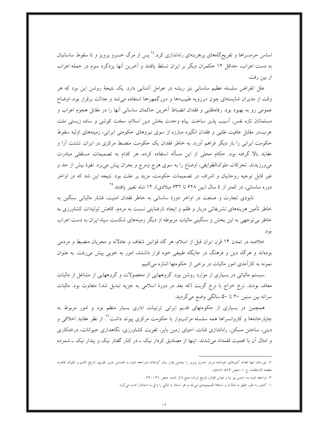اساس حرمسراها و تفریحگاههای پرهزینهای راهاندازی کرد.<sup>۲۶</sup> پس از مرگ خسرو پرویز و تا سقوط ساسانیان به دست اعراب، حداقل ١٢ حكمران ديگر بر ايران تسلط يافتند و آخرين آنها يزدگرد سوم در حمله اعراب از بين رفت.

علل انقراض سلسله عظیم ساسانی نیز ریشه در عوامل آشنایی دارد. یک نتیجهٔ روشن این بود که هر وقت از مدیران شایستهای چون «برزویه طبیب»ها و «بزرگمهر»ها استفاده می شد و عدالت برقرار بود، اوضاع عمومي رو به بهبود بود. رفاهطلبي و فقدان انضباط أخرين حاكمان ساساني أنها را در مقابل هجوم اعراب و مسلمانان تازه نفس، آسيب يذير ساخت. پيام وحدت بخش دين اسلام، سخت كوشي و ساده زيستي ملت عرب،در مقابل عافیت طلبی و فقدان انگیزه مبارزه از سوی نیروهای حکومتی ایرانی، زمینههای اولیه سقوط حکومت ایرانی را بار دیگر فراهم آورد. به خاطر فقدان یک حکومت منضبط مرکزی در ایران، تشتت آرا و عقاید بالا گرفته بود. حکام محلی از این مسأله استفاده کرده، هر کدام به تصمیمات مستقلی مبادرت می0ررزیدند. تحرکات ملوکالطوایفی، اوضاع را به سوی هرج ومرج و بحران پیش میبرد. نفوذ بیش از حد و غیر قابل توجیه روحانیان و اشراف در تصمیمات حکومت، مزید بر علت بود. نتیجه این شد که در اواخر دوره ساسانی، در کمتر از ٤ سال (بین ۶۲۸ تا ۶۳۲ میلادی)، ۱۲ شاه تغییر یافتند.°<sup>۲</sup>

نابودی تجارت و صنعت در اواخر دورهٔ ساسانی به خاطر فقدان امنیت، فشار مالیاتی سنگین به خاطر تأمین هزینههای تشریفاتی دربار و ظلم و ایجاد نارضایتی نسبت به مردم، کاهش تولیدات کشاورزی به خاطر بی توجهی به این بخش و سنگینی مالیات مربوطه از دیگر زمینههای شکست سپاه ایران به دست اعراب يو د.

خلاصه در تمدن ۱۴ قرن ایران قبل از اسلام، هر گاه قوانین شفاف و عادلانه و مجریان منضبط و مردمی بودهاند و هرگاه دین و فرهنگ در جایگاه طبیعی خود قرار داشتند، امور به خوبی پیش می رفت. به عنوان نمونه به کارآمدی امور مالیات در برخی از حکومتها اشاره میکنیم.

سیستم مالیاتی در بسیاری از موارد روشن بود. گروههایی از محصولات و گروههایی از مشاغل از مالیات معاف بودند. نرخ خراج با نرخ گزیت (که بعد در دورهٔ اسلامی به جزیه تبدیل شد) متفاوت بود. مالیات سرانه بین سنین ۲۰ تا ۵۰ سالگی وضع میگردید.

همچنین در بسیاری از حکومتهای قدیم ایرانی ترتیبات اداری بسیار منظم بود و امور مربوط به چایارخانهها و کاروانسراها همه سلسله مراتبوار با حکومت مرکزی پیوند داشت<sup>۲</sup>۰ از نظر عقاید اخلاقی و دینی، ساختن مسکن، راهاندازی قنات، احیای زمین بایر، تقویت کشاورزی، نگاهداری حیوانات، درختکاری و امثال آن با اهمیت قلمداد می شدند. اینها از مصادیق کردار نیک ــ در کنار گفتار نیک و پندار نیک ــ شمرده

۲. مورخان تنها تعداد کنیزهاي خواننده دربار خسرو پرويز را چندين هزار بيان کردهاند (مراجعه شود به محمدبن جرير طبري، تاريخ الامم و الملوك، قاهره، مطبعه الاستقامه، ج ١، صص ٥٩۴–٥٨٧).

۳. مراجعه شود به، حسن پیر نیا و عباس اقبال، تاریخ ایران، منبع ذکر شده، صص ۳۱-۲۳۰.

۱. کشور به طور دقیق به ایالات و استانها تقسیمبندی می شد و هر استان یا ایالتی را والی یا استاندار اداره می کرد.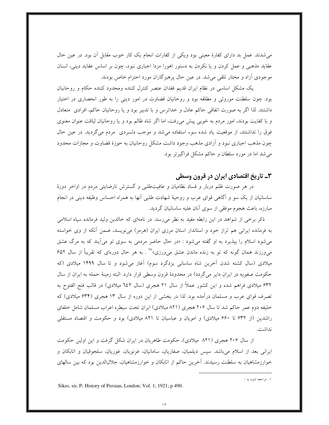می شدند. عمل بد دارای کفارهٔ معینی بود ویکی از کفارات انجام یک کار خوب مقابل أن بود. در عین حال عقاید مذهبی و عمل کردن و یا نکردن به دستور اهورا مزدا اجباری نبود، چون بر اساس عقاید دینی، انسان موجودي آزاد و مختار تلقي مي شد. در عين حال پرهيزگاران مورد احترام خاص بودند.

یک مشکل اساسی در نظام ایران قدیم فقدان عنصر کنترل کننده ومحدود کننده حکام و روحانیان بود. چون سلطنت موروثی و مطلقه بود و روحانیان قضاوت در امور دینی را به طور انحصاری در اختیار داشتند. لذا اگر به صورت اتفاقی حاکم عادل و خداترس و با تدبیر بود و یا روحانیان حاکم، افرادی متعادل و با كفايت بودند، امور مردم به خوبي پيش مي رفت، اما اگر شاه ظالم بود و يا روحانيان لياقت عنوان معنوي فوق را نداشتند، از موقعیت یاد شده سوء استفاده می شد و موجب دلسردی مردم می گردید. در عین حال چون مذهب اجباری نبود و آزادی مذهب وجود داشت مشکل روحانیان به حوزهٔ قضاوت و مجازات محدود می شد اما در مورد سلطان و حاکم مشکل فراگیرتر بود.

## ۳ـ تاریخ اقتصادی ایران در قرون وسطی

در هر صورت ظلم دربار و فساد نظامیان و عافیتطلبی و گسترش نارضایتی مردم در اواخر دورهٔ ساسانیان از یک سو و آگاهی قوای عرب و روحیهٔ شهادت طلبی آنها به همراه احساس وظیفه دینی در انجام مبارزه، باعث هجوم موفقی از سوی آنان علیه ساسانیان گردید.

ذکر برخی از شواهد در این رابطه مفید به نظر می رسد. در نامهای که خالدبن ولید فرمانده سپاه اسلامی به فرمانده ایرانی هم تراز خود و استاندار استان مرزی ایران (هرمز) می نویسد، ضمن آنکه از وی خواسته میشود اسلام را بپذیرد به او گفته میشود : «در حال حاضر مردمی به سوی تو می[یند که به مرگ عشق میeرزند همان گونه که تو به زنده ماندن عشق می $e$ رزی» ``` . به هر حال دورهای که تقریباً از سال ۵۲\$ میلادی (سال کشته شدن آخرین شاه ساسانی یزدگرد سوم) آغاز می شود و تا سال ۱۴۹۹ میلادی (که حکومت صفویه در ایران دایر می گردد) در محدودهٔ قرون وسطی قرار دارد. البته زمینهٔ حمله به ایران از سال ۶۳۲ میلادی فراهم شده و این کشور عملاً از سال ۲۱ هجری (سال ٦٤٢ میلادی) در قالب فتح الفتوح به تصرف قوای عرب و مسلمان درآمده بود. لذا در بخشی از این دوره از سال ۱۳ هجری (۶۳۴ میلادی) که خلیفه دوم عمر حاکم شد تا سال ۲۰۶ هجری (۸۲۱ میلادی) ایران تحت سیطره اعراب مسلمان شامل خلفای راشدین (از ۶۳۲ تا ۶۶۰ میلادی) و امویان و عباسیان تا ۸۲۱ میلادی) بود و حکومت و اقتصاد مستقلی نداشت.

از سال ۲۰۶ هجری (۸۲۱ میلادی)، حکومت طاهریان در ایران شکل گرفت و این اولین حکومت ایرانی بعد از اسلام میباشد. سپس دیلمیان، صفاریان، سامانیان، غزنویان، غوریان، سلجوقیان و اتابکان و خوارزمشاهیان به سلطنت رسیدند. آخرین حاکم از اتابکان و خوارزمشاهیان، جلالالدین بود که بین سالهای

Sikes, sir, P; History of Persian, London; Vol. 1; 1921; p 490.

۱. مراجعه شود به :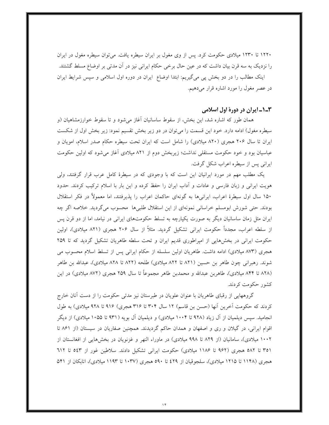۱۲۲۰ تا ۱۲۳۰ میلادی حکومت کرد. پس از وی مغول بر ایران سیطره یافت. میتوان سیطره مغول در ایران را نزدیک به سه قرن بیان داشت که در عین حال برخی حکام ایرانی نیز در آن مدتی بر اوضاع مسلط گشتند. اینک مطالب را در دو بخش پی میگیریم: ابتدا اوضاع ایران در دوره اول اسلامی و سپس شرایط ایران در عصر مغول را مورد اشاره قرار میدهیم.

#### ٠-١ـ١يران در دورهٔ اول اسلامي

همان طور که اشاره شد، این بخش، از سقوط ساسانیان آغاز میشود و تا سقوط خوارزمشاهیان (و سیطره مغول) ادامه دارد. خود این قسمت را میتوان در دو زیر بخش تقسیم نمود: زیر بخش اول از شکست ایران تا سال ۲۰۶ هجری (۸۲۰ میلادی) را شامل است که ایران تحت سیطره حکام صدر اسلام، امویان و عباسیان بود و خود حکومت مستقلی نداشت؛ زیربخش دوم از ۸۲۱ میلادی آغاز میشود که اولین حکومت ايراني پس از سيطره اعراب شكل گرفت.

یک مطلب مهم در مورد ایرانیان این است که با وجودی که در سیطرهٔ کامل عرب قرار گرفتند، ولی هویت ایرانی و زبان فارسی و عادات و اّداب ایران را حفظ کرده و این بار با اسلام ترکیب کردند. حدود ۱۵۰ سال اول سیطرهٔ اعراب، ایرانیها به گونهای حاکمان اعراب را پذیرفتند، اما معمولاً در فکر استقلال بودند. حتى شورش ابومسلم خراساني نمونهاي از اين استقلال طلبيها محسوب مي گرديد. خلاصه اگر چه ایران مثل زمان ساسانیان دیگر به صورت یکپارچه به تسلط حکومتهای ایرانی در نیامد، اما از دو قرن پس از سلطه اعراب، مجدداً حکومت ایرانی تشکیل گردید. مثلاً از سال ۲۰۶ هجری (۸۲۱ میلادی)، اولین حکومت ایرانی در بخشهایی از امپراطوری قدیم ایران و تحت سلطه طاهریان تشکیل گردید که تا ۲۵۹ هجری (۸۷۳ میلادی) ادامه داشت. طاهریان اولین سلسله از حکام ایرانی پس از تسلط اسلام محسوب می شوند. رهبرانی چون طاهر بن حسین (۸۲۱ تا ۸۲۲ میلادی) طلحه (۸۲۲ تا ۸۲۸ میلادی)، عبدالله بن طاهر (۸۲۸ تا ۸۴۴ میلادی)، طاهربن عبدالله و محمدبن طاهر مجموعاً تا سال ۲۵۹ هجری (۸۷۲ میلادی) در این كشور حكومت كردند.

گروههایی از رقبای طاهریان با عنوان علویان در طبرستان نیز مدتی حکومت را از دست آنان خارج کردند که حکومت اَخرین اَنها (حسن بن قاسم) ۱۲ سال ۳۰۴ تا ۳۱۶ هجری) ۹۱۶ تا ۹۲۸ میلادی) به طول انجامید. سپس دیلمیان از آل زیاد (۹۲۸ تا ۱۰۰۴ میلادی) و دیلمیان آل بویه (۹۳۱ تا ۱۰۵۵ میلادی) از دیگر اقوام ایرانی، در گیلان و ری و اصفهان و همدان حاکم گردیدند. همچنین صفاریان در سیستان (از ۸۶۱ تا ۱۰۰۲ میلادی)، سامانیان (از ۸۲۹ تا ۹۹۸ میلادی) در ماوراء النهر و غزنویان در بخش هایی از افغانستان از ۳۵۱ تا ۵۸۲ هجری (۹۶۲ تا ۱۱۸۶ میلادی) حکومت ایرانی تشکیل دادند. سلاطین غور از ۵٤۳ تا ۹۱۲ هجری (۱۱۴۸ تا ۱۲۱۵ میلادی)، سلجوقیان از ٤٢٩ تا ٥٩٠ هجری (۱۰۳۷ تا ۱۱۹۳ میلادی)، اتابکان از ۵۴۱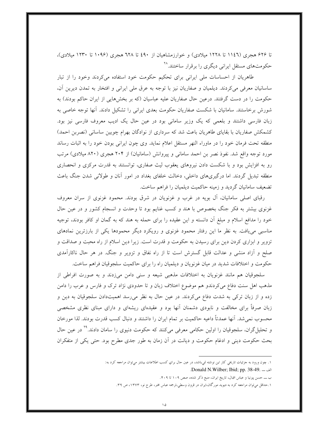تا ۶۲۶ هجری (۱۱٤٦ تا ۱۲۲۸ میلادی) و خوارزمشاهیان از ٤٩٠ تا ٦۲۸ هجری (۱۰۹۶ تا ۱۲۳۰ میلادی)، حکومتهای مستقل ایرانی دیگری را برقرار ساختند.^`

طاهریان از احساسات ملی ایرانی برای تحکیم حکومت خود استفاده میکردند وخود را از تبار ساسانیان معرفی میکردند. دیلمیان و صفاریان نیز با توجه به عرق ملی ایرانی و افتخار به تمدن دیرین آن، حکومت را در دست گرفتند. درعین حال صفاریان علیه عباسیان (که بر بخشهایی از ایران حاکم بودند) به شورش برخاستند. سامانیان با شکست صفاریان حکومت بعدی ایرانی را تشکیل دادند. آنها توجه خاصی به زبان فارسی داشتند و بلعمی که یک وزیر سامانی بود در عین حال یک ادیب معروف فارسی نیز بود. کشمکش صفاریان با بقایای طاهریان باعث شد که سرداری از نوادگان بهرام چوبین ساسانی (نصربن احمد) منطقه تحت فرمان خود را در ماوراء النهر مستقل اعلام نمايد. وى چون ايراني بودن خود را به اثبات رساند مورد توجه واقع شد. نفوذ نصر بن احمد سامانی و پیروانش (سامانیان) از ۲۰۴ هجری (۸۲۰ میلادی) مرتب رو به افزایش بود و با شکست دادن نیروهای یعقوب لیث صفاری، توانستند به قدرت مرکزی و انحصاری منطقه تبدیل گردند. اما درگیریهای داخلی، دخالت خلفای بغداد در امور آنان و طولانی شدن جنگ باعث تضعیف سامانیان گردید و زمینه حاکمیت دیلمیان را فراهم ساخت.

رقبای اصلی سامانیان، آل بویه در غرب و غزنویان در شرق بودند. محمود غزنوی از سران معروف غزنوی بیشتر به فکر جنگ بخصوص با هند و کسب غنایم بود تا وحدت و انسجام کشور و در عین حال خود را مدافع اسلام و مبلغ آن دانسته و این عقیده را برای حمله به هند که به گمان او کافر بودند، توجیه مناسبی می یافت. به نظر ما این رفتار محمود غزنوی و رویکرد دیگر محمودها یکی از بارزترین نمادهای تزویر و ابزاری کردن دین برای رسیدن به حکومت و قدرت است. زیرا دین اسلام از راه محبت و صداقت و صلح و آزاد منشی و عدالت قابل گسترش است تا از راه نفاق و تزویر و جنگ. در هر حال ناکارآمدی حکومت و اختلافات شدید در میان غزنویان و دیلمیان راه را برای حاکمیت سلجوقیان فراهم ساخت.

سلجوقیان هم مانند غزنویان به اختلافات مذهبی شیعه و سنی دامن میزدند و به صورت افراطی از مذهب اهل سنت دفاع میکردندو هم موضوع اختلاف زبان و تا حدودی نژاد ترک و فارس و عرب را دامن زده و از زبان ترکی به شدت دفاع میکردند. در عین حال به نظر می رسد اهمیتدادن سلجوقیان به دین و زبان صرفاً برای مخالفت و نابودی دشمنان آنها بود و عقیدهای ریشهای و دارای مبنای نظری مشخصی محسوب نمی شد. آنها عمدتاً داعیه حاکمیت بر تمام ایران را داشتند و دنبال کسب قدرت بودند. لذا مورخان و تحلیل گران، سلجوقیان را اولین حکامی معرفی میکنند که حکومت دنیوی را سامان دادند.<sup>۲۹</sup> در عین حال بحث حکومت دینی و ادغام حکومت و دیانت در آن زمان به طور جدی مطرح بود. حتی یکی از متفکران

- الف ـــ Donald N.Wilber; Ibid; pp. 38-49.
- ب ــــ حسن پیرنیا و عباس اقبال، تاریخ ایران، منبع ذکر شده، صص ۱۰۹ تا ۴۰۹.

۱. چون ورود به حزئیات تاریخی کار این نوشته نمیباشد، در عین حال برای کسب اطلاعات بیشتر میتوان مراجعه کرد به:

۱.حداقل میتوان مراجعه کرد به دیوید مورگان،ایران در قرون وسطی،ترجمه عباس مخبر، طرح نو، ۱۳۷۳، ص ۳۹.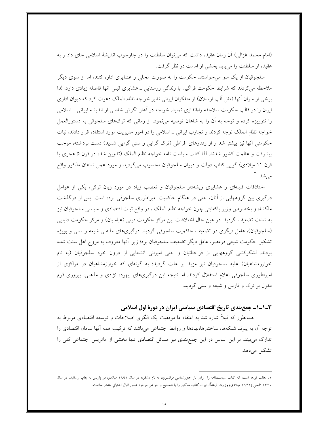(امام محمد غزالی) آن زمان عقیده داشت که میتوان سلطنت را در چارچوب اندیشهٔ اسلامی جای داد و به عقیده او سلطنت را می باید بخشی از امامت در نظر گرفت.

سلجوقیان از یک سو می خواستند حکومت را به صورت محلی و عشایری اداره کنند، اما از سوی دیگر ملاحظه میکردند که شرایط حکومت فراگیر، با زندگی روستایی ـ عشایری قبلی آنها فاصله زیادی دارد، لذا برخی از سران آنها (مثل آلب ارسلان) از متفکران ایرانی نظیر خواجه نظام الملک دعوت کرد که دیوان اداری ایران را در قالب حکومت سلاجقه راهاندازی نماید. خواجه در آغاز نگرش خاصی از اندیشه ایرانی ـ اسلامی را تئوریزه کرده و توجه به آن را به شاهان توصیه می نمود. از زمانی که ترکهای سلجوقی به دستورالعمل خواجه نظام الملک توجه کردند و تجارب ایرانی ـ اسلامی را در امور مدیریت مورد استفاده قرار دادند، ثبات حکومتی آنها نیز بیشتر شد و از رفتارهای افراطی (ترک گرایی و سنی گرایی شدید) دست برداشته، موجب پیشرفت و عظمت کشور شدند. لذا کتاب سیاست نامه خواجه نظام الملک (تدوین شده در قرن ۵ هجری یا قرن ۱۱ میلادی) گویی کتاب دولت و دیوان سلجوقیان محسوب میگردید و مورد عمل شاهان مذکور واقع مرشد. ب

اختلافات قبیلهای و عشایری ریشهدار سلجوقیان و تعصب زیاد در مورد زبان ترکی، یکی از عوامل درگیری بین گروههایی از آنان، حتی در هنگام حاکمیت امپراطوری سلجوقی بوده است. پس از درگذشت ملکشاه و بخصوص وزیر باکفایتی چون خواجه نظام الملک ، در واقع ثبات اقتصادی و سیاسی سلجوقیان نیز به شدت تضعیف گردید. در عین حال اختلافات بین مرکز حکومت دینی (عباسیان) و مرکز حکومت دنیایی (سلجوقیان)، عامل دیگری در تضعیف حاکمیت سلجوقی گردید. درگیریهای مذهبی شیعه و سنی و بویژه تشکیل حکومت شیعی درمصر، عامل دیگر تضعیف سلجوقیان بود؛ زیرا آنها معروف به مروج اهل سنت شده بودند. لشکرکشی گروههایی از قراختائیان و حتی امیرانی انشعابی از درون خود سلجوقیان (به نام خوارزمشاهیان) علیه سلجوقیان نیز مزید بر علت گردید؛ به گونهای که خوارزمشاهیان در مراکزی از امپراطوری سلجوقی اعلام استقلال کردند. اما نتیجه این درگیریهای بیهوده نژادی و مذهبی، پیروزی قوم مغول بر ترک و فارس و شیعه و سنی گردید.

١-١-١- جمع بندي تاريخ اقتصادي سياسي ايران در دورهٔ اول اسلامي

همانطور که قبلاً اشاره شد به اعتقاد ما موفقیت یک الگوی اصلاحات و توسعه اقتصادی مربوط به توجه اّن به پیوند شبکهها، ساختارها،نهادها و روابط اجتماعی می باشد که ترکیب همه اّنها سامان اقتصادی را تدارک می بیند. بر این اساس در این جمع بندی نیز مسائل اقتصادی تنها بخشی از ماتریس اجتماعی کلی را تشکیل می دهد.

۱. جالب توجه است که کتاب سیاستنامه را اولین بار حاورشناسی فرانسوی، به نام «شفر» در سال ۱۸۹۱ میلادیِ در پاریس به چاپ رسانید. در سال ۱۳۲۰ شمسی (۱۹۴۱ میلادی) وزارت فرهنگ ایران کتاب مذکور را با تصحیح و حواشیِ مرحوم عباس اقبال آشتیانیِ منتشر ساخت.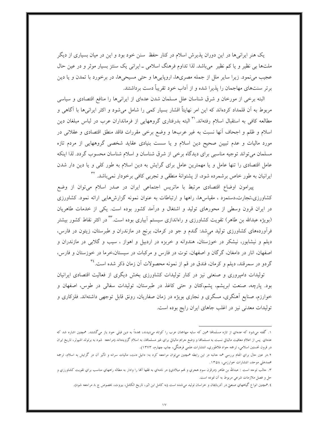یک هنر ایرانبیها در این دوران پذیرش اسلام در کنار حفظ ً سنن خود بود و این در میان بسیاری از دیگر ملتها بی نظیر و یا کم نظیر ً میباشد. لذا تداوم فرهنگ اسلامی ـ ایرانی یک سنتز بسیار موثر و در عین حال عجیب می نمود. زیرا سایر ملل از جمله مصریها، اروپاییها و حتی مسیحیها، در برخورد با تمدن و یا دین برتر سنتهای مهاجمان را پذیرا شده و از آداب خود تقریباً دست برداشتند.

البته برخی از مورخان و شرق شناسان علل مسلمان شدن عدهای از ایرانیها را منافع اقتصادی و سیاسی مربوط به آن قلمداد کردهاند که این امر نهایتاً اقشار بسیار کمی را شامل می شود و اکثر ایرانیها با آگاهی و مطالعه کافی به استقبال اسلام رفتهاند.<sup>۳۱</sup> البته بدرفتاری گروههایی از فرمانداران عرب در لباس مبلغان دین اسلام و ظلم و اجحاف آنها نسبت به غیر عربها و وضع برخی مقررات فاقد منطق اقتصادی و عقلانی در مورد مالیات و عدم تبیین صحیح دین اسلام و یا سست بنیادی عقاید شخصی گروههایی از مردم تازه مسلمان میتواند توجیه مناسبی برای دیدگاه برخی از شرق شناسان و اسلام شناسان محسوب گردد. لذا اینکه عامل اقتصادی را تنها عامل و یا مهمترین عامل برای گرایش به دین اسلام به طور کلی و یا دین دار شدن ایرانیان به طور خاص برشمرده شود، از پشتوانهٔ منطقی و تجربی کافی برخودار نمیباشد. <sup>۳۲</sup>

پیرامون اوضاع اقتصادی مرتبط با ماتریس اجتماعی ایران در صدر اسلام میتوان از وضع کشاورزی،تجارت،دستمزد ، مقیاسها، راهها و ارتباطات به عنوان نمونه گزارشهایی ارائه نمود. کشاورزی در ایران قرون وسطی از محورهای تولید و اشتغال و درآمد کشور بوده است. یکی از خدمات طاهریان (بویژه عبدالله بن طاهر) تقویت کشاورزی و راهاندازی سیستم آبیاری بوده است.<sup>۳۳</sup> در اکثر نقاط کشور بیشتر فرآوردههای کشاورزی تولید می شد: گندم و جو در کرمان، برنج در مازندران و طبرستان، زیتون در فارس، دیلم و نیشابور، نیشکر در خوزستان، هندوانه و خربزه در اردبیل و اهواز ، سیب و گلابی در مازندران و اصفهان، انار در دامغان، گرگان و اصفهان، توت در فارس و مرکبات در سیستان،خرما در خوزستان و فارس، گردو در سمرقند، دیلم و کرمان، فندق در قم از نمونه محصولات آن زمان ذکر شده است. \*\*

تولیدات دامیروری و صنعتی نیز در کنار تولیدات کشاورزی بخش دیگری از فعالیت اقتصادی ایرانیان بود. پارچه، صنعت ابریشم، پشم،کتان و حتی کاغذ در طبرستان، تولیدات سفالی در طوس، اصفهان و خوارزم، صنایع اَهنگری، مسگری و نجاری بویژه در زمان صفاریان، رونق قابل توجهی داشتهاند. فلزکاری و تولیدات معدنی نیز در اغلب جاهای ایران رایج بوده است.

۱. گفته می شود که عدهاي از تازه مسلمالها همين که سايه مهاجمان عرب را کوتاه می‹يدند، مجدداً به دين قبلي حود باز مي&شتند. همچنين اشاره شد که عدهاي پس از اعلام معافيت مالياتي نسبت به مسلمالها و وضع جرايم مالياتي براي غير مسلمالها، به اسلام گرويدهاند (مراجعه شود به برتولد اشپولر، تاريخ ايران در قرون نخستین اسلامی، ترجمه جواد فلاطوري، انتشارات علمی فرهنگی، چاپ چهارم، ۱۳۷۳).

۰.۲در عین حال براي انجام بررسي همه جانبه در این رابطه همچنین ميتوان مراجعه کرد به: دانیل دنت، مالیات سرانه و تأثیر آن در گرایش به اسلام، ترجمه محمدعلي موحد، انتشارات خوارزمي، ١٣٥٨.

۳. حالب توحه است : عبدالله بن طاهر (درقرن سوم هجري و نمم ميلادي) در نامهاي به فقها آنها را وادار به مطاله راههاي مناسب براي تقويت كشاورزي و حل و فصل ملازمات شرعی مربوط به آن نموده است.

٤.فمجنین انواع گیاههاي صنعتي در آذربايجان و خراسان توليد مي شده است (به كامل ابن اثير، تاريخ الكامل، بيروت، بخصوص ج ٨ مراجعه شود).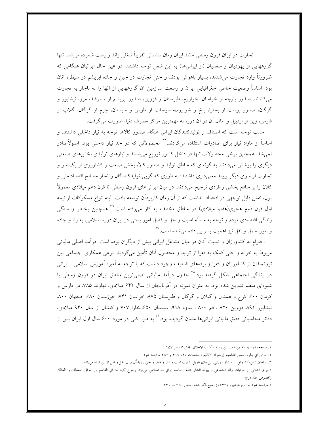تجارت در ايران قرون وسطى مانند ايران زمان ساسانى تقريباً شغلى زائد و يست شمرده مى شد. تنها گروههایی از یهودیان و سغدیان (از ایرانیها) به این شغل توجه داشتند. در عین حال ایرانیان هنگامی که ضرورتاً وارد تجارت می شدند، بسیار باهوش بودند و حتی تجارت در چین و جاده ابریشم در سیطره آنان بود. اساساً وضعیت خاص جغرافیایی ایران و وسعت سرزمین آن گروههایی از آنها را به ناچار به تجارت میکشاند. صدور پارچه از خراسان، خوارزم، طبرستان و قزوین، صدور ابریشم از سمرقند، مرو، نیشابور و گرگان، صدور پوست از بخارا، بلخ و خوارزم،منسوجات از طوس و سیستان، چرم از گرگان، گلاب از فارس، زین از اردبیل و امثال آن در آن دوره به مهمترین مراکز مصرف دنیا، صورت می گرفت.

جالب توجه است كه اصناف و توليدكنندگان ايراني هنگام صدور كالاها توجه به نياز داخلي داشتند. و اساساً از مازاد نیاز برای صادرات استفاده میکردند.°<sup>۳</sup> محصولاتی که در حد نیاز داخل<sub>ی</sub> بود، اصولاًصادر نمی شد. همچنین برخی محصولات تنها در داخل کشور توزیع می شدند و نیازهای تولیدی بخش های صنعتی دیگری را پوشش میدادند. به گونهای که مناطق تولید و صدور کالا، بخش صنعت و کشاورزی از یک سو و تجارت از سوی دیگر پیوند معنیداری داشتند؛ به طوری که گویی تولیدکنندگان و تجار مصالح اقتصاد ملی و کلان را بر منافع بخشی و فردی ترجیح میدادند. در میان ایرانیهای قرون وسطی تا قرن دهم میلادی معمولاً يول، نقش قابل توجهي در اقتصاد نداشت كه از آن زمان كاربردآن توسعه يافت. البته انواع مسكوكات از نيمه اول قرن دوم هجری(هفتم میلادی) در مناطق مختلف به کار میرفته است.<sup>۳۹</sup> همچنین بخاطر وابستگی زندگی اقتصادی مردم و توجه به مسأله امنیت و حل و فصل امور پستی در ایران دوره اسلامی، به راه و جاده و امور حمل و نقل نیز اهمیت بسزایی داده می شده است.<sup>۳۷</sup>

احترام به کشاورزان و نسبت آنان در میان مشاغل ایرانی بیش از دیگران بوده است. درآمد اصلی مالیاتی مربوط به خزانه و حتی کمک به فقرا از تولید و محصول آنان تأمین میگردید. نوعی همکاری اجتماعی بین ثروتمندان از کشاورزان و فقرا و بردههای ضعیف وجود داشت که با توجه به آمیزه آموزش اسلامی ـ ایرانی در زندگی اجتماعی شکل گرفته بود.<sup>۳۸</sup> جدول درآمد مالیاتی اصلیترین مناطق ایران در قرون وسطی با شیوهای منظم تدوین شده بود. به عنوان نمونه در آذربایجان از سال ۶۴۲ میلادی، نهاوند ۷۸۵، در فارس و کرمان ۶۰۰، کرج و همدان و گیلان و گرگان و طبرستان ۸۷۵ خراسان ۷۴۱، خوزستان ۶۸۰، اصفهان ۸۰۰، نیشابور ۸۹۱ قزوین ۸۲۰ ، قم ۸۰۰ ، ساوه ۹۱۸، سیستان ۶۵۰بخارا ۷۰۷ و کاشان از سال ۹۴۰ میلادی، دفاتر محاسباتی دقیق مالیاتی ایرانیها مدون گردیده بود.<sup>۳۹</sup> به طور کلی در مورد ۶۰۰ سال اول ایران پس از

١. مراجعه شود به احمدبن عمر، ابن رسته ، كتاب الاعلاق، بخش ٧، ص ١٥٧.

٢. به ابن ابي بكر، احسن التقاسيم في معرفه الاقاليم ، صفحات ۴۱۷، ۴۱۷ و ۴۵۲ مراجعه شود.

۳. ساختن تونل،کشتیراني در مناطق دریایي، پل هاي طویل، تربیت اسب و شتر و قاطر و حتی یوزپلنگ براي حمل و نقل از این نمونه می!شد.

٤.براي آشنايي از حزئيات رفاه احتماعي و پيوند اقشار مختلف حامعه ايراني ـــ اسلامي ميتوان رحوع كرد به: ابي القاسم بن حوقل، المسالك و الممالك (بخصوص جلد دوم).

۰.۱مراجعه شود به :برتولداشپولر (۱۳۷۳)، منبع ذکر شده ،صص ۳۵۰ ـــ ۳۳۰.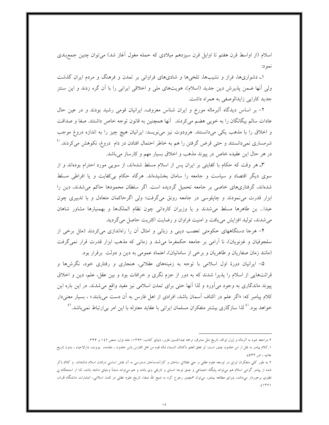اسلام (از اواسط قرن هفتم تا اوایل قرن سیزدهم میلادی که حمله مغول آغاز شد) میتوان چنین جمع بندی نمو د:

۱ـ دشواریها، فراز و نشیبها، تلخیها و شادیهای فراوانی بر تمدن و فرهنگ و مردم ایران گذشت ولی آنها ضمن پذیرش دین جدید (اسلام)، هویتهای ملی و اخلاقی ایرانی را با آن گره زدند و این سنتز جدید کارایی زایدالوصفی به همراه داشت.

۲– بر اساس دیدگاه آلبرماله مورخ و ایران شناس معروف، ایرانیان قومی رشید بودند و در عین حال عادات سالم بيگانگان را به خوبي هضم مي كردند. آنها همچنين به قانون توجه خاص داشتند. صفا و صداقت و اخلاق را با مذهب یکی میدانستند. هرودوت نیز مینویسد: ایرانیان هیچ چیز را به اندازه دروغ موجب شرمساری نمیدانستند و حتی قرض گرفتن را هم به خاطر احتمال افتادن در دام ۖ دروغ، نکوهش میکردند. `` در هر حال این عقیده خاص در پیوند مذهب و اخلاق بسیار مهم و کارساز میباشد.

٣ـ هر وقت كه حكام با كفايتي بر ايران پس از اسلام مسلط شدهاند، از سويي مورد احترام بودهاند و از سوی دیگر اقتصاد و سیاست و جامعه را سامان بخشیدهاند. هرگاه حکام بی کفایت و یا افراطی مسلط شدهاند، گرفتاریهای خاصی بر جامعه تحمیل گردیده است. اگر سلطان محمودها حاکم میشدند، دین را ابزار قدرت می نمودند و چاپلوسی در جامعه رونق می گرفت؛ ولی اگر حاکمان متعادل و با تدبیری چون عبدا... بن طاهرها مسلط میشدند و یا وزیران کاردانی چون نظام الملکها و بهمنیارها مشاور شاهان می شدند، تولید افزایش می یافت و امنیت فراوان و رضایت اکثریت حاصل می گردید.

۴– هرجا دستگاههای حکومتی تعصب دینی و زبانی و امثال آن را راهاندازی می کردند (مثل برخی از سلجوقیان و غزنویان)، نا آرامی بر جامعه حکمفرما می شد و زمانی که مذهب ابزار قدرت قرار نمی گرفت (مانند زمان صفاریان و طاهریان و برخی از سامانیان)، اعتماد عمومی به دین و دولت برقرار بود.

۵– ایرانیان دورهٔ اول اسلامی با توجه به زمینههای عقلانی، هنجاری و رفتاری خود، نگرش۵ا و قرائتهایی از اسلام را پذیرا شدند که به دور از جزم نگری و خرافات بود و بین عقل، علم، دین و اخلاق پیوند ماندگاری به وجود میآورد و لذا آنها حتی برای تمدن اسلامی نیز مفید واقع می شدند. در این باره این کلام پیامبر که: «اگر علم در اکناف آسمان باشد، افرادی از اهل فارس به آن دست میbیابند.» ، بسیار معنیدار خواهد بود.<sup>۱٬ </sup>لذا سازگاری بیشتر متفکران مسلمان ایرانی با عقاید معتزله با این امر بی|رتباط نمی باشد.<sup>۲٬</sup>

۲.مراجعه شود به آلرماله و ژول ایزاك، تاریخ ملل مشرق، ترجمه عبدالحسین هژبر، دنیایِ کتاب، ۱۳۶۲، جلد اول، صص ۱٤۲ و ۳۴۶.

١.كلام پيامبر به نقل از ابن حلدون چنين است: لو تعلق العلم باكناف السماء لناله قوم من اهل الفارس (ابن حلدون ، مقدمه، بيروت، دارالاحياء ، بدون تاريخ چاپ ، ص ۵۴۴).

۰.۲ طور کلی متفکران ایرانِ در توسعه علوم عقلی و حتی عقلانِ ساختن و کارآمدساختن دسترسی به آن نقش اساسی درتمدن اسلام داشتهاند. و کلام ذکر شده از پيامبر گرامي اسلام هم ميتواند پايگاه احتماعي و عمق توجه انساني و تاريخي وي باشد و هم ميتواند منشأ وحياني داشته باشد، لذا از استحكام بي نظیري برخوردار می؛اشد، (براي مطالعه بیشتر، ميتوان همچنین رجوع كرد به ذبیح الله صفا، تاریخ علوم عقلي در تمدن اسلامي، انتشارات دانشگاه قمران،  $(151)$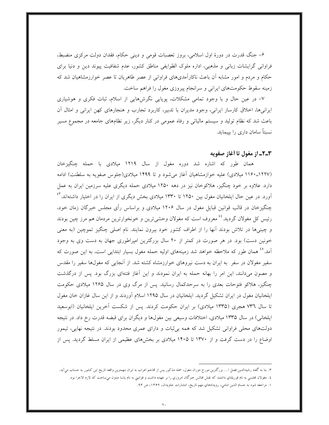۶– جنگ قدرت در دورهٔ اول اسلامی، بروز تعصبات قومی و دینی حکام، فقدان دولت مرکزی منضبط، فراوانی گرایشات زبانی و مذهبی، اداره ملوک الطوایفی مناطق کشور، عدم شفافیت پیوند دین و دنیا برای حکام و مردم و امور مشابه آن باعث ناکارآمدیهای فراوانی از عصر طاهریان تا عصر خوارزمشاهیان شد که زمینه سقوط حکومتهای ایرانی و سرانجام پیروزی مغول را فراهم ساخت.

۷– در عین حال و با وجود تمامی مشکلات، پویایی نگرشهایی از اسلام، ثبات فکری و هوشیاری ایرانیها، اخلاق کارساز ایرانی، وجود مدیران با تدبیر، کاربرد تجارب و هنجارهای کهن ایرانی و امثال آن باعث شد که نظام تولید و سیستم مالیاتی و رفاه عمومی در کنار دیگر، زیر نظامهای جامعه در مجموع مسیر نسبتاً سامان داری را بییماید.

## ٣\_٢\_ از مغول تا أغاز صفويه

همان طور که اشاره شد دوره مغول از سال ۱۲۱۹ میلادی با حمله چنگیزخان (۱۲۲۷\_۱۱۶۰ میلادی) علیه خوازمشاهیان آغاز می شود و تا ۱۴۹۹ میلادی(جلوس صفویه به سلطنت) ادامه دارد. علاوه بر خود چنگیز، هلاکوخان نیز در دهه ۱۲۵۰ میلادی حمله دیگری علیه سرزمین ایران به عمل آورد. در عین حال ایلخانیان مغول بین ۱۲۵۰ تا ۱۳۳۰ میلادی بخش دیگری از ایران را در اختیار داشتهاند.<sup>۴</sup> چنگیزخان در قالب قوانین قبایل مغول در سال ۱۲۰۶ میلادی و براساس رأی مجلس خبرگان زمان خود، رئيس کل مغولان گرديد.<sup>٤٤</sup> معروف است که مغولان وحشي ترين و خونخوارترين مردمان هم مرز چين بودند و چینبیها در تلاش بودند آنها را از اطراف کشور خود بیرون نمایند. نام اصلبی چنگیز تموچین (به معنبی خونین دست) بود. در هر صورت در کمتر از ۲۰ سال بزرگترین امپراطوری جهان به دست وی به وجود آمد.°<sup>،</sup> همان طور که ملاحظه خواهد شد زمینههای اولیه حمله مغول بسیار ابتدای<sub>ی</sub> است، به این صورت که سفیر مغولان در سفر به ایران به دست نیروهای خوارزمشاه کشته شد. از آنجایی که مغولها سفیر را مقدس و مصون میدانند، این امر را بهانه حمله به ایران نمودند و این اَغاز فتنهای بزرگ بود. پس از درگذشت چنگیز، هلاکو فتوحات بعدی را به سرحدکمال رسانید. پس از مرگ وی در سال ۱۲۶۵ میلادی حکومت ایلخانیان مغول در ایران تشکیل گردید. ایلخانیان در سال ۱۲۹۵ اسلام آوردند و از این سال غازان خان مغول تا سال ٧٣٦ هجري (١٣٣٥ ميلادي) بر ايران حكومت كردند. پس از شكست آخرين ايلخانيان (ابوسعيد ایلخانم ) در سال ۱۳۳۵ میلادی، اختلافات وسیعی بین مغولها و دیگران برای قبضه قدرت رخ داد. در نتیجه دولتهای محلی فراوانی تشکیل شد که همه برثبات و دارای عمری محدود بودند. در نتیجه نهایی، تیمور اوضاع را در دست گرفت و از ۱۳۷۰ تا ۱۴۰۵ میلادی بر بخشهای عظیمی از ایران مسلط گردید. پس از

۳. بنا به گفته رشیدالدین فصل ا… بزرگترین مورخ دوران مغول، حمله مذکور پس از قماحم اعراب به ایران مهمترین واقعه تاریخ این کشور به حساب میآید. ٤. مغولان مجلسي به نام قوريلتاي داشتند كه نقش مجالس حبرگان امروزي را بر عهده داشت و قوانيني به نام ياسا مدون مي ساحت كه لازم الاحرا بود.

١. مراجعه شود به حسام الدين امامي، رويدادهاي مهم تاريخ، انتشارات حاويدان، ١٣۶٢، ص ٩٣.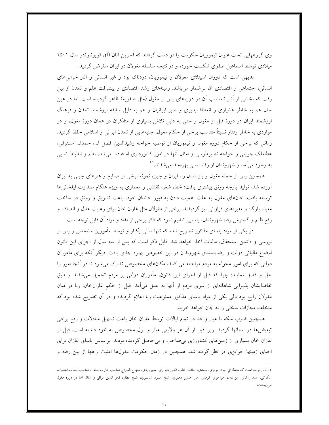وی گروههایی تحت عنوان تیموریان حکومت را در دست گرفتند که آخرین آنان (آق قویونلو)در سال ۱۵۰۱ میلادی توسط اسماعیل صفوی شکست خورده و در نتیجه سلسله مغولان در ایران منقرض گردید.

بدیهی است که دوران اسپتلای مغولان و تیموریان، دردناک بود و غیر انسانی و آثار خرابی های انسانی، اجتماعی و اقتصادی أن بیشمار میباشد. زمینههای رشد اقتصادی و پیشرفت علم و تمدن از بین رفت که بخشی از آثار نامناسب آن در دورههای پس از مغول (مثل صفویه) ظاهر گردیده است. اما در عین حال هم به خاطر هشیاری و انعطافپذیری و صبر ایرانیان و هم به دلیل سابقه ارزشمند تمدن و فرهنگ ارزشمند ایران در دورهٔ قبل از مغول و حتی به دلیل تلاش بسیاری از متفکران در همان دورهٔ مغول، و در مواردی به خاطر رفتار نسبتاً متناسب برخی از حکام مغول، جنبههایی از تمدن ایرانی و اسلامی حفظ گردید. زمانی که برخی از حکام دوره مغول و تیموریان از توصیه خواجه رشیدالدین فضل ا…، حمدا… مستوفی، عطاملک جوینی و خواجه نصیرطوسی و امثال آنها در امور کشورداری استفاده می شد، نظم و انظباط نسبی به وجود میآمد و شهروندان از رفاه نسبی بهرهمند میشدند.<sup>۶1</sup>

همچنین پس از حمله مغول و باز شدن راه ایران و چین، نمونه برخی از صنایع و هنرهای چینی به ایران آورده شد، تولید پارچه رونق بیشتری یافت؛ خط، شعر، نقاشی و معماری به ویژه هنگام صدارت ایلخانیها توسعه یافت. خانهای مغول به علت اهمیت دادن به قبور خاندان خود، باعث تشویق و رونق در ساخت معبد، بارگاه و مقبرههای فراوانی نیز گردیدند. برخی از مغولان مثل غازان خان برای رعایت عدل و انصاف و رفع ظلم و گسترش رفاه شهروندان، پاسایی تنظیم نمود که ذکر برخی از مفاد و مواد آن قابل توجه است.

در یکی از مواد یاسای مذکور تصریح شده که تنها سالی یکبار و توسط مأمورین مشخص و پس از بررسی و داشتن استحقاق، مالیات اخذ خواهد شد. قابل ذکر است که پس از سه سال از اجرای این قانون اوضاع مالیاتی دولت و رضایتمندی شهروندان در این خصوص بهبود جدی یافت. دیگر آنکه برای مأموران دولتی که برای امور محوله به مردم مراجعه می کنند، مکانهای مخصوص تدارک می شود تا در آنجا امور را حل و فصل نمایند؛ چرا که قبل از اجرای این قانون، مأموران دولتی بر مردم تحمیل میشدند و طبق تقاضایشان پذیرایی شاهانهای از سوی مردم از آنها به عمل میآمد. قبل از حکم غازانخان، ربا در میان مغولان رایج بود ولی یکی از مواد یاسای مذکور ممنوعیت ربا اعلام گردیده و در آن تصریح شده بود که متخلف مجازات سختی را به جان خواهد خرید.

همچنین ضرب سکه با عیار واحد در تمام ایالات توسط غازان خان باعث تسهیل مبادلات و رفع برخی تبعیضها در استانها گردید. زیرا قبل از آن هر ولایتی عیار و پول مخصوص به خود داشته است. قبل از غازان خان بسیاری از زمینهای کشاورزی بی صاحب و بی حاصل گردیده بودند. براساس یاسای غازان برای احیای زمینها جوایزی در نظر گرفته شد. همچنین در زمان حکومت مغولها امنیت راهها از بین رفته و

٢. قابل توحه است كه متفكراني چون مولوي، سعدي، حافظ، قطب الدين شيرازي، سهروردي، منهاج السراج صاحب تجارب سلف، صاحب نصاب الصبيان، سکاکي، عبيد زاکاني، ابن يمين، خواجوي کرماني، امير خسرو دهلوي، شيخ محمود شبستري، شيخ عطار، فخر الدين عراقي و امثال آلها در دوره مغول مىزيستەاند.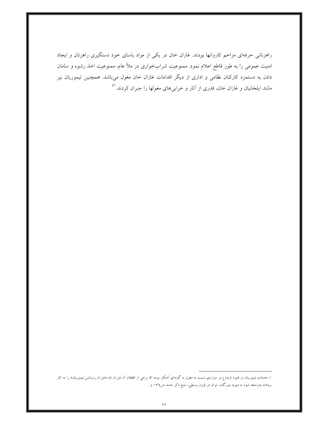راهزنانی حرفهای مزاحم کاروانها بودند. غازان خان در یکی از مواد یاسای خود دستگیری راهزنان و ایجاد امنیت عمومی را به طور قاطع اعلام نمود. ممنوعیت شرابخواری در ملأ عام، ممنوعیت اخذ رشوه و سامان دادن به دستمزد کارکنان نظامی و اداری از دیگر اقدامات غازان خان مغول میباشد. همچنین تیموریان نیز مانند ایلخانیان و غازان خان، قدری از آثار و خرابیهای مغولها را جبران کردند.<sup>٤٧</sup>

۱.خدمات تیموریان در هبود اوضاع در مواردي نسبت به مغول به گونهاي آشکار بوده که برخي از محققان آن دوران نام «دوران رنسانس تیموریان» را به کار بردهاند (مراجعه شود به دیوید مورگان، ایران در قرون وسطی، منبع ذکر شده، ص١٣٤ ).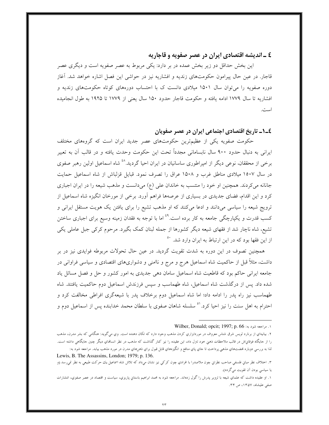# ٤ ـ انديشه اقتصادي ايران در عصر صفويه و قاجاريه

این بخش حداقل دو زیر بخش عمده در بر دارد: یکی مربوط به عصر صفویه است و دیگری عصر قاجار. در عین حال پیرامون حکومتهای زندیه و افشاریه نیز در حواشی این فصل اشاره خواهد شد. آغاز دوره صفویه را می توان سال ۱۵۰۱ میلادی دانست ک با احتساب دورههای کوتاه حکومتهای زندیه و افشاريه تا سال ١٧٧٩ ادامه يافته و حكومت قاجار حدود ١۵٠ سال يعني از ١٧٧٩ تا ١٩٢٥ به طول انجاميده است.

## ٤\_١\_ تاريخ اقتصادي اجتماعي ايران در عصر صفويان

حکومت صفویه یکی از عظیمترین حکومتهای عصر جدید ایران است که گروههای مختلف ایرانی به دنبال حدود ۹۰۰ سال نابسامانی مجدداً تحت این حکومت وحدت یافته و در قالب آن به تعبیر برخی از محققان، نوعی دیگر از امپراطوری ساسانیان در ایران احیا گردید.<sup>٤٨</sup> شاه اسماعیل اولین رهبر صفوی در سال ۱۵۰۷ میلادی مناطق غرب و ۱۵۰۸ عراق را تصرف نمود. قبایل قزلباش از شاه اسماعیل حمایت جانانه می کردند. همچنین او خود را منتسب به خاندان علی (ع) میدانست و مذهب شیعه را در ایران اجباری کرد و این اقدام، فضای جدیدی در بسیاری از عرصهها فراهم آورد. برخی از مورخان انگیزه شاه اسماعیل از ترویج شیعه را سیاسی میدانند و ادعا میکنند که او مذهب تشیع را برای یافتن یک هویت مستقل ایرانی و کسب قدرت و یکپارچگی جامعه به کار برده است.<sup>٤٩</sup> اما با توجه به فقدان زمینه وسیع برای اجباری ساختن تشیع، شاه ناچار شد از فقهای شیعه دیگر کشورها از جمله لبنان کمک بگیرد. مرحوم کرکی جبل عاملی یکی از این فقها بود که در این ارتباط به ایران وارد شد. ``

همچنین تصوف در این دوره به شدت تقویت گردید. در عین حال تحولات مربوطه فوایدی نیز در بر داشت، مثلاً قبل از حاکمیت شاه اسماعیل هرج و مرج و ناامنی و دشواریهای اقتصادی و سیاسی فراوانی در جامعه ایرانی حاکم بود که قاطعیت شاه اسماعیل سامان دهی جدیدی به امور کشور و حل و فصل مسائل یاد شده داد. پس از درگذشت شاه اسماعیل، شاه طهماسب و سپس فرزندش اسماعیل دوم حاکمیت یافتند. شاه طهماسب نیز راه یدر را ادامه داد؛ اما شاه اسماعیل دوم برخلاف یدر با شیعهگری افراطی مخالفت کرد و احترام به اهل سنت را نیز احیا کرد.<sup>۵</sup> سلسله شاهان صفوی با سلطان محمد خدابنده پس از اسماعیل دوم و

١. مراجعه شود به: Wilber, Donald; opcit; 1997; p. 66

۲. بیانیهای از برنارد لویس شرق شناس معروف در موردابزاری کردن مذهب وجود دارد که تکان دهنده است. وی میگوید: هنگامی که بشر مدرن، مذهب را از حایگاه فوقانپاش در قالب ملاحظات ذهنی خود تترل داد، این عقیده را نیز کنار گذاشت که مذهب در نظر انسانهای دیگر چنین حایگاهی داشته است. لذا به بررسي دوباره فمضتهاي مذهبي پرداخت تا حاي پاي منافع و انگيزههاي قابل قبول براي ذهنهاي مدرن در مورد مذهب بيابد. مراجعه شود به:

Lewis, B. The Assassins, London; 1979; p. 136.

٣. احتلاف نظر مبانٍ فلسفي صاحب نظرانٍ چون ملاصدرا با افرادي چون كركي نيز نشان مي‹اد كه تلاش شاه اسماعيل يك حركت طبيعي به نظر نمي٫رسد (و یا سیاسی بودن آن تقویت میگردد).

۱. او عقیده داشت که علماي شیعه با تزویر پدرش را گول زدهاند. مراجعه شود به محمد ابراهیم باستاني پاریزي، سیاست و اقتصاد در عصر صفوي، انتشارات صفی علیشاہ، ۱۳۵۷، ص ۳۴.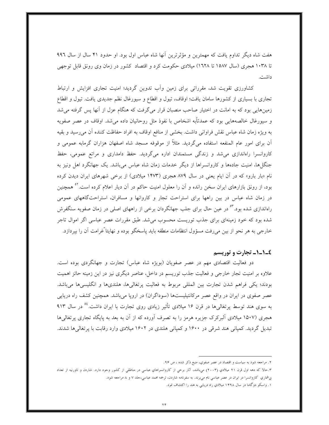هفت شاه دیگر تداوم یافت که مهمترین و مؤثرترین أنها شاه عباس اول بود. او حدود ۴۱ سال از سال ۹۹۶ تا ۱۰۳۸ هجری (سال ۱۵۸۷ تا ۱٦۲۸) میلادی حکومت کرد و اقتصاد کشور در زمان وی رونق قابل توجهی داشت.

کشاورزی تقویت شد، مقرراتی برای زمین وأب تدوین گردید؛ امنیت تجاری افزایش و ارتباط تجاري با بسياري از كشورها سامان يافت؛ اوقاف، تيول و اقطاع و سيورغال نظم جديدي يافت. تيول و اقطاع زمینهایی بود که به امانت در اختیار صاحب منصبان قرار میگرفت که هنگام عزل از آنها پس گرفته می شد و سیورغال خالصههایی بود که عمدتأبه اشخاص با نفوذ مثل روحانیان داده می شد. اوقاف در عصر صفویه به ویژه زمان شاه عباس نقش فراوانی داشت. بخشی از منافع اوقاف به افراد حفاظت کننده آن میرسید و بقیه آن برای امور عام المنفعه استفاده میگردید. مثلاً از موقوفه مسجد شاه اصفهان هزاران گرمابه عمومی و کاروانسرا راهاندازی می شد و زندگی مستمندان اداره می گردید. حفظ دامداری و مراتع عمومی، حفظ جنگلها، امنیت جادهها و کاروانسراها از دیگر خدمات زمان شاه عباس میباشد. یک جهانگرد اهل ونیز به نام «بار بارو» که در آن ایام یعنی در سال ۸۷۹ هجری (۱۴۷۳ میلادی) از برخی شهرهای ایران دیدن کرده بود، از رونق بازارهای ایران سخن رانده و آن را معلول امنیت حاکم در آن دیار اعلام کرده است.<sup>۵۲</sup> همچنین در زمان شاه عباس در بین راهها برای استراحت تجار و کاروانها و مسافران، استراحتگاههای عمومی راهاندازی شده بود.<sup>۵۳</sup> در عین حال برای جلب جهانگردان برخی از راههای اصلی در زمان صفویه سنگفرش شده بود که خود زمینهای برای جذب توریست محسوب میشد. طبق مقررات عصر عباسی اگر اموال تاجر خارجي به هر نحو از بين مي رفت مسؤول انتظامات منطقه بايد پاسخگو بوده و نهايتا ًغرامت آن را بيردازد.

#### ٤\_١\_١\_ تجارت و توريسم

دو فعالیت اقتصادی مهم در عصر صفویان (بویژه شاه عباس) تجارت و جهانگردی بوده است. علاوه بر امنیت تجار خارجی و فعالیت جذب توریسم در داخل، عناصر دیگری نیز در این زمینه حائز اهمیت بودند؛ یکی فراهم شدن تجارت بین المللی مربوط به فعالیت پرتغالیها، هلندیها و انگلیسیها میباشد. عصر صفوی در ایران در واقع عصر مرکانتیلیستها (سوداگران) در اروپا میباشد. همچنین کشف راه دریایی به سوی هند توسط پرتغالیها در قرن ۱۶ میلادی تأثیر زیادی روی تجارت با ایران داشت.<sup>66</sup> در سال ۹۱۳ هجری (۱۵۰۷ میلادی آلبرکرک جزیره هرمز را به تصرف آورده که از آن به بعد به پایگاه تجاری پرتغالی ها تبدیل گردید. کمپانی هند شرقی در ۱۶۰۰ و کمپانی هلندی در ۱۶۰۲ میلادی وارد رقابت با پرتغالی ها شدند.

۲. مراجعه شود به سیاست و اقتصاد در عصر صفوي، منبع ذكر شده ، ص ۹۶.

۳.حالا که دهه اول قرن ۲۱ میلادي (۲۰۰۳) مي،لشد، آثار برخي از کاروانسراهاي عباسي در مناطقي از کشور وحود دارد. شاردن و تاورنيه از تعداد بي شماري كاروانسرا در ايران در عصر عباسي نام مي برند. به سفرنامه شاردن، ترجمه محمد عباسي،حلد ٧ و ٨ مراجعه شود.

۱. واسکو دوگاما در سال ۱۴۹۸ میلادیِ راه دریایی به هند را اکتشاف نمود.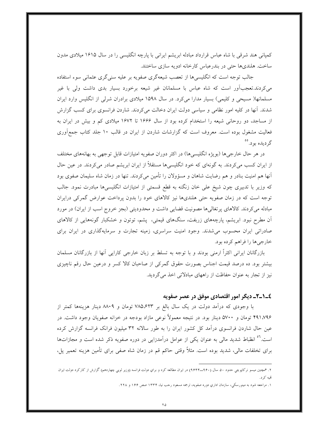کمپانی هند شرقی با شاه عباس قرارداد مبادله ابریشم ایرانی با پارچه انگلیسی را در سال ۱۶۱۵ میلادی مدون ساخت. هلندیها حتی در بندرعباس کارخانه ادویه سازی ساختند.

جالب توجه است که انگلیسیها از تعصب شیعهگری صفویه بر علیه سنی گری عثمانی سوء استفاده میکردند.تعجبآور است که شاه عباس با مسلمانان غیر شیعه برخورد بسیار بدی داشت ولی با غیر مسلمانها( مسیحی و کلیمی) بسیار مدارا میکرد. در سال ۱۵۹۸ میلادی برادران شرلی از انگلیس وارد ایران شدند. آنها در کلیه امور نظامی و سیاسی دولت ایران دخالت میکردند. شاردن فرانسوی برای کسب گزارش از مساجد، دو روحانی شیعه را استخدام کرده بود از سال ۱۶۶۶ تا ۱۶۷۲ میلادی کم و بیش در ایران به فعالیت مشغول بوده است. معروف است که گزارشات شاردن از ایران در قالب ۱۰ جلد کتاب جمعآوری گرديده بود. °°

در هر حال خارجي ها (بويژه انگليسي ها) در اكثر دوران صفويه امتيازات قابل توجهي به بهانههاي مختلف از ایران کسب میکردند. به گونهای که خود انگلیسیها مستقلاً از ایران ابریشم صادر میکردند. در عین حال آنها هم امنیت بنادر و هم رضایت شاهان و مسؤولان را تأمین میکردند. تنها در زمان شاه سلیمان صفوی بود که وزیر با تدبیری چون شیخ علی خان زنگنه به قطع قسمتی از امتیازات انگلیسیها مبادرت نمود. جالب توجه است که در زمان صفویه حتی هلندیها نیز کالاهای خود را بدون پرداخت عوارض گمرکی درایران مبادله می کردند. کالاهای پرتغالیها مصونیت قضایی داشت و محدودیتی (بجز خروج اسب از ایران) در مورد آن مطرح نبود. ابریشم، پارچههای زربفت، سنگهای قیمتی، پشم، توتون و خشکبار گونههایی از کالاهای صادراتی ایران محسوب می شدند. وجود امنیت سراسری، زمینه تجارت و سرمایهگذاری در ایران برای خارجي ها را فراهم كرده بود.

بازرگانان ایرانی اکثراً ارمنی بودند و با توجه به تسلط بر زبان خارجی کارایی آنها از بازرگانان مسلمان بیشتر بود. ده درصد قیمت اجناس بصورت حقوق گمرکی از صاحبان کالا کسر و درعین حال رقم ناچیزی نیز از تجار به عنوان حفاظت از راههای مبادلاتی اخذ می گردید.

### ٤\_١\_٢\_ ديگر امور اقتصادي موفق در عصر صفويه

با وجودی که درأمد دولت در یک سال بالغ بر ۷۸۵٬۶۲۳ تومان و ۸۸۰۹ دینار هزینهها کمتر از ۴۹۱،۷۹۶ تومان و ۵۷۰۰ دینار بود. در نتیجه معمولاً نوعی مازاد بودجه در خزانه صفویان وجود داشت. در عین حال شاردن فرانسوی درآمد کل کشور ایران را به طور سالانه ۳۲ میلیون فرانک فرانسه گزارش کرده است.<sup>۵٦</sup> انظباط شدید مالی به عنوان یکی از عوامل درآمدزایی در دوره صفویه ذکر شده است و مجازاتها برای تخلفات مالی، شدید بوده است. مثلاً وقتی حاکم قم در زمان شاه صفی برای تأمین هزینه تعمیر پل،

۲. همچنین میسو نرکاپوچی حدود ۵۰ سال (۹۶۰ـ۹۶۴) در ایران مطالعه کرد و برای دولت فرانسه (وزیر لویی چهاردهم) گزارش از کارکرد دولت ایران تمبه کړ د.

۱. مراجعه شود به مینورسکی، سازمان اداریِ دوره صفویه، ترجمه مسعود رحب نیا، ۱۳۳۴ صص ۱۶۶ و ۲۲۸.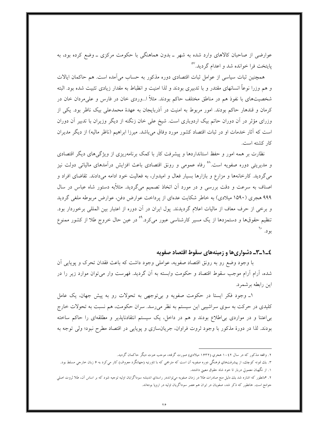عوارضی از صاحبان کالاهای وارد شده به شهر ــ بدون هماهنگی با حکومت مرکزی ــ وضع کرده بود، به پایتخت فرا خوانده شد و اعدام گردید.<sup>۵۷</sup>

همچنین ثبات سیاسی از عوامل ثبات اقتصادی دوره مذکور به حساب میآمده است. هم حاکمان ایالات و هم وزرا نوعاً انسانهای مقتدر و با تدبیری بودند و لذا امنیت و انظباط به مقدار زیادی تثبیت شده بود. البته شخصیتهای با نفوذ هم در مناطق مختلف حاکم بودند. مثلاً ا…وردی خان در فارس و علی مردان خان در کرمان و قندهار حاکم بودند. امور مربوط به امنیت در آذربایجان به عهدهٔ محمدعلمی بیک ناظر بود. یکی از وزرای مؤثر در آن دوران حاتم بیک اردوباری است. شیخ علی خان زنگنه از دیگر وزیران با تدبیر آن دوران است که آثار خدمات او در ثبات اقتصاد کشور مورد وفاق میباشد. میرزا ابراهیم (ناظر مالیه) از دیگر مدیران كار كشته است.

نظارت بر همه امور و حفظ استانداردها و پیشرفت کار با کمک برنامهریزی از ویژگیهای دیگر اقتصادی و مدیریتی دوره صفویه است.<sup>۵۸</sup> رفاه عمومی و رونق اقتصادی باعث افزایش درآمدهای مالیاتی دولت نیز میگردید. کارخانهها و مزارع و بازارها بسیار فعال و امیدوار، به فعالیت خود ادامه میدادند. تقاضای افراد و اصناف به سرعت و دقت بررسی و در مورد آن اتخاذ تصمیم میگردید. مثلاًبه دستور شاه عباس در سال ۹۹۹ هجری (۱۵۹۰ میلادی) به خاطر شکایت عدهای از پرداخت عوارض دفن، عوارض مربوطه ملغی گردید و برخی از حرف معاف از مالیات اعلام گردیدند. پول ایران در آن دوره از اعتبار بین المللی برخوردار بود. تنظیم حقوق&ا و دستمزدها از یک مسیر کارشناسی عبور میکرد.<sup>۵۹</sup> در عین حال خروج طلا از کشور ممنوع بود. ۲۰

#### ٤\_١\_٣\_ دشواريها و زمينههاي سقوط اقتصاد صفويه

با وجود وضع رو به رونق اقتصاد صفويه، عواملي وجود داشت كه باعث فقدان تحرك و پويايي أن شده، آرام آرام موجب سقوط اقتصاد و حکومت وابسته به آن گردید. فهرست وار میتوان موارد زیر را در اين رابطه برشمرد.

۱ـ وجود فکر ایستا در حکومت صفویه و بی توجهی به تحولات رو به پیش جهان، یک عامل کلیدی در حرکت به سوی سراشیبی این سیستم به نظر میرسد. سران حکومت، هم نسبت به تحولات خارج بی|عتنا و در مواردی بی|طلاع بودند و هم در داخل، یک سیستم انتقادناپذیر و مطلقهای را حاکم ساخته بودند. لذا در دورهٔ مذکور با وجود ثروت فراوان، جریانسازی و پویایی در اقتصاد مطرح نبود؛ ولی توجه به

۲. واقعه مذکور که در سال ۱۰٤۲ هجري (۱۶۳۲ میلادي) صورت گرفته، موجب عبرت دیگر حاکمان گردید.

۳. یك نمونه كوچك، از پیشرفتهایِ فرهنگی دوره صفویه آن است كه مترجمی كه با تاورنیه (جهانگرد معروف) كار میكرد به ۶ زبان خارجی مسلط بود. ۱. از نگهبان معمولي دربار تا خود شاه حقوق معيني داشتند.

۲. همانطور که اشاره شد یك دلیل منع صادرات طلا در زمان صفویه میتوانددر راستاي اندیشه سوداگرایان اولیه توجیه شود که بر اساس آن، طلا ثروت اصلی جوامع است. هانطور که ذکر شد، صفویان در ایران هم عصر سوداگریان اولیه در اروپا بودهاند.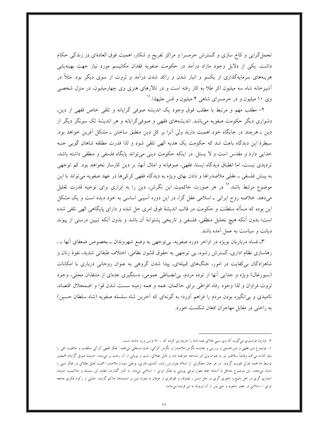تجمل گرایی و کاخ سازی و گسترش حرمسرا و مراکز تفریح و شکار، اهمیت فوق العادهای در زندگی حکام داشت. یکی از دلایل وجود مازاد درآمد در حکومت صفویه فقدان مکانیسم مورد نیاز جهت بهینهیابی هزینههای سرمایهگذاری از یکسو و انبار شدن و راکد شدن درآمد و ثروت از سوی دیگر بود. مثلاً در آشپزخانه شاه سه میلیون اکر طلا به کار رفته است و در تالارهای هنری وی چهارمیلیون، در منزل شخصی وی ۱۰ میلیون و در حرمسرای شاهی ۴ میلیون و قس علیهذا.<sup>۳۱</sup>

٢- مطلب مهم و مرتبط با مطلب فوق وجود يک انديشه صوفي گرايانه و تلقى خاص فقهى از دين، دشواری دیگر حکومت صفویه میباشد. اندیشههای فقهی و صوفی گرایانه و هر اندیشهٔ تک سونگر دیگر از دین ــ هرچند در جایگاه خود اهمیت دارند ولی آنرا بر کل دین منطبق ساختن ــ مشکل آفرین خواهد بود. سیطرهٔ این دیدگاه باعث شد که حکومت یک هدیه الهی تلقی شود و لذا قدرت مطلقه شاهان گویی جنبه خدایی دارد و مقدس است و لا یسئل. در اینکه حکومت دینی می تواند پایگاه فلسفی و منطقی داشته باشد، تردیدی نیست، اما انطباق دیدگاه ایستا، فقهی، صوفیانه و امثال أنها، بر دین کارساز نخواهد بود. کم توجهی به بینش فلسفی ــ عقلبی ملاصدراها و دادن بهای ویژه به دیدگاه فقهی کرکیها در عهد صفویه می تواند با این موضوع مرتبط باشد.<sup>۱۱</sup> در هر صورت حاکمیت این نگرش، دین را به ابزاری برای توجیه قدرت تقلیل می،دهد. خلاصه روح ایرانی ـ اسلامی عقل گرا، در این دوره آسیبی اساسی به خود دیده است و یک مشکل این بوده که مسأله سلطنت و حکومت در قالب اندیشهٔ فوق امری حل شده و دارای پایگاهی الهی تلقی شده است؛ بدون آنكه هيچ تحليل منطقى، فلسفى و تاريخى پشتوانهٔ آن باشد و بدون آنكه تبيين درستى از پيوند دیانت و سیاست به عمل آمده باشد.

٣ـ فساد درباریان بویژه در اواخر دوره صفویه، بی توجهی به وضع شهروندان ــ بخصوص ضعفای آنها ــ ، رهاسازی نظام اداری، گسترش رشوه، بی توجهی به حقوق قشون نظامی، اختلاف طبقاتی شدید، نفوذ زنان و شاهزادگان بر کفایت در امور، جنگهای قبیلهای، پیدا شدن گروهی به عنوان روحانی درباری با امکانات (سیورغال) ویژه و جدایی آنها از توده مردم، بی|نضباطی عمومی، دستگیری عدهای از متنفذان محلی، وجود ثروت فراوان و لذا وجود رفاه افراطي براي حاكمان، همه و همه زمينه سست شدن قوا و اضمحلال اقتصاد، ناامیدی و برانگیزه بودن مردم را فراهم أورد؛ به گونهای که أخرین شاه سلسله صفویه (شاه سلطان حسین) به راحتی در مقابل مهاجران افغان شکست خورد.

۳. شاردن فرانسوي مي گويد كه وي سيني طلاي عمه شاه را حريداري كرده كه ۶۰۰ اونس وزن داشته است.

١. موضوع دين فقهي و دين فلسفي و بررسي و مقايسه نگرش ملاصدرا و نگرش كركي، بحث مستقلي ميdلبد. تفكر فقهي كركي سلطنت و حالقيت الهي را یك كاسه میكند ولهایتاً سلاطین نیز به عنوان ولی امر شناخته خواهند شد و تأمل عقلانی، تدبیر و پویایی از آن رخت بر میهندد. اندیشه صوفي گرایانه همچنین توسط اما محمد غزالي تقويت گرديد. در هر حال متفكراي از اسلام چون ابن رشد، كندي، فارايي، بوعلي سينا و ملاصدرا اهميت تحليل عقلاي در تفكر ديني را نشان میدهند. این موضوع حداقل تا آستانه حمله مغول نوعی پویایی به تفکر ایران – اسلامی میداد. با کنار گذاردن عقاید این سلسله و حاکمیت اندیشه اخباري گري در اهل تشيع و اشعري گري در اهل تسنن ، تصوف و ظواهري از عرفان به عنوان دين بر انديشهها حاکم گرديد. بخشى از رکود فکري جامعه ايراني – اسلامي در عصر صفويه و حتي پس از آن مربوط به اين فرايند ميباشد.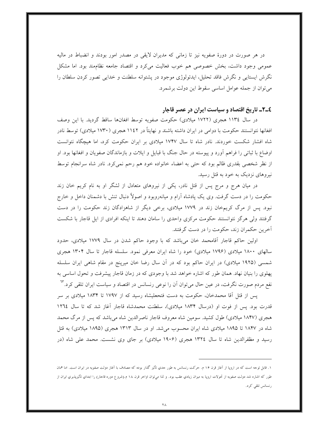در هر صورت در دورهٔ صفویه نیز تا زمانی که مدیران لایقی در مصدر امور بودند و انضباط در مالیه عمومی وجود داشت، بخش خصوصی هم خوب فعالیت می کرد و اقتصاد جامعه نظامِمند بود. اما مشکل نگرش ایستایی و نگرش فاقد تحلیل، ایدئولوژی موجود در پشتوانه سلطنت و خدایی تصور کردن سلطان را می توان از جمله عوامل اساسی سقوط این دولت برشمرد.

# ٤ـ٢ـ تاريخ اقتصاد و سياست ايران در عصر قاجار

در سال ١١٣٤ هجري (١٧٢٢ ميلادي) حكومت صفويه توسط افغانها ساقط گرديد. با اين وصف افغانها نتوانستند حکومت با دوامی در ایران داشته باشند و نهایتاً در ۱۱٤۲ هجری (۱۷۳۰ میلادی) توسط نادر شاه افشار شکست خوردند. نادر شاه تا سال ۱۷۴۷ میلادی بر ایران حکومت کرد، اما هیچگاه نتوانست اوضاع با ثباتی را فراهم آورد و پیوسته در حال جنگ با قبایل و ایلات و بازماندگان صفویان و افغانها بود. او از نظر شخصی بقدری ظالم بود که حتی به اعضاء خانواده خود هم رحم نمیکرد. نادر شاه سرانجام توسط نیروهای نزدیک به خود به قتل رسید.

در میان هرج و مرج پس از قتل نادر، یکی از نیروهای متعادل از لشگر او به نام کریم خان زند حکومت را در دست گرفت. وی یک یادشاه آرام و میانهروبود و اصولاً دنبال تنش با دشمنان داخل و خارج نبود. پس از مرگ کریمخان زند در ۱۷۷۹ میلادی، برخی دیگر از شاهزادگان زند حکومت را در دست گرفتند ولی هرگز نتوانستند حکومت مرکزی واحدی را سامان دهند تا اینکه افرادی از ایل قاجار با شکست آخرین حکمران زند، حکومت را در دست گرفتند.

اولین حاکم قاجار آقامحمد خان میباشد که با وجود حاکم شدن در سال ۱۷۷۹ میلادی، حدود سالهای ۱۸۰۰ میلادی (۱۷۹۶ میلادی) خود را شاه ایران معرفی نمود. سلسله قاجار تا سال ۱۳۰۴ هجری شمسی (۱۹۲۵ میلادی) در ایران حاکم بود که در آن سال رضا خان میرپنج در مقام شاهی ایران سلسله پهلوی را بنیان نهاد. همان طور که اشاره خواهد شد با وجودی که در زمان قاجار پیشرفت و تحول اساسی به نفع مردم صورت نگرفت، در عین حال میٍتوان اَن را نوعی رنسانس در اقتصاد و سیاست ایران تلقی کرد.<sup>٦٣</sup>

پس از قتل آقا محمدخان، حکومت به دست فتحعلیشاه رسید که از ۱۷۹۷ تا ۱۸۳۴ میلادی بر سر قدرت بود. پس از فوت او (درسال ۱۸۳۴ میلادی)، سلطنت محمدشاه قاجار أغاز شد که تا سال ۱۲٦٤ هجری (۱۸۴۷ میلادی) طول کشید. سومین شاه معروف قاجار ناصرالدین شاه میباشد که پس از مرگ محمد شاه در ۱۸۴۷ تا ۱۸۹۵ میلادی شاه ایران محسوب میشد. او در سال ۱۳۱۳ هجری (۱۸۹۵ میلادی) به قتل رسید و مظفرالدین شاه تا سال ۱۳۲٤ هجری (۱۹۰۶ میلادی) بر جای وی نشست. محمد علی شاه (در

۱. قابل توجه است که در اروپا از آغاز قرن ۱۶ م. حرکت رنسانس به طور جدي تأثیر گذار بوده که مصادف با آغاز دولت صفويه در ايران است. اما همان طور که اشاره شد دولت صفویه از تحولات اروپا به میزان زیادیِ عقب بود. و لذا میتوان اواخر قرن ۱۸ م.(شروع دوره قاحار) را ابتدایِ تأثیرپذیریِ ایران از رنسانس تلقى كرد.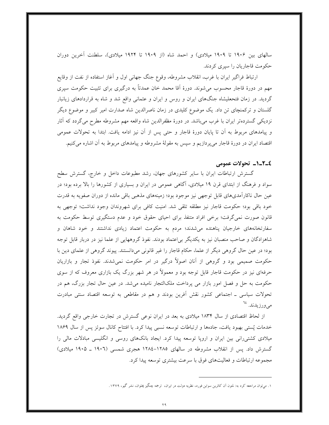سالهای بین ۱۹۰۶ تا ۱۹۰۹ میلادی) و احمد شاه (از ۱۹۰۹ تا ۱۹۲۴ میلادی)، سلطنت آخرین دوران حکومت قاجاریان را سپری کردند.

ارتباط فراگیر ایران با غرب، انقلاب مشروطه، وقوع جنگ جهانی اول و آغاز استفاده از نفت از وقایع مهم در دورهٔ قاجار محسوب میشوند. دورهٔ اَقا محمد خان عمدتاً به درگیری برای تثبیت حکومت سپری گردید. در زمان فتحعلیشاه جنگهای ایران و روس و ایران و عثمانی واقع شد و شاه به قراردادهای زیانبار گلستان و ترکمنچای تن داد. یک موضوع کلیدی در زمان ناصرالدین شاه صدارت امیر کبیر و موضوع دیگر نزدیکی گستردهتر ایران با غرب می باشد. در دورهٔ مظفرالدین شاه واقعه مهم مشروطه مطرح می گردد که آثار و پیامدهای مربوط به اَن تا پایان دورهٔ قاجار و حتی پس از اَن نیز ادامه یافت. ابتدا به تحولات عمومی اقتصاد ایران در دورهٔ قاجار میپردازیم و سپس به مقولهٔ مشروطه و پیامدهای مربوط به آن اشاره میکنیم.

#### ٤\_٢\_١\_ تحولات عمومى

گسترش ارتباطات ایران با سایر کشورهای جهان، رشد مطبوعات داخل و خارج، گسترش سطح سواد و فرهنگ از ابتدای قرن ۱۹ میلادی، آگاهی عمومی در ایران و بسیاری از کشورها را بالا برده بود؛ در عین حال ناکارآمدیهای قابل توجهی نیز موجود بود؛ زمینههای مذهبی باقی مانده از دوران صفویه به قدرت خود باقي بود؛ حكومت قاجار نيز مطلقه تلقى شد. امنيت كافي براي شهروندان وجود نداشت؛ توجهي به قانون صورت نمی گرفت؛ برخی افراد متنفذ برای احیای حقوق خود و عدم دستگیری توسط حکومت به سفارتخانههای خارجیان پناهنده می شدند؛ مردم به حکومت اعتماد زیادی نداشتند و خود شاهان و شاهزادگان و صاحب منصبان نیز به یکدیگر بی|عتماد بودند. نفوذ گروههایی از علما نیز در دربار قابل توجه بود؛ در عین حال گروهی دیگر از علما، حکام قاجار را غیر قانونی میدانستند. پیوند گروهی از علمای دین با حکومت صمیمی بود و گروهی از آنان اصولاً درگیر در امر حکومت نمیشدند. نفوذ تجار و بازاریان حرفهای نیز در حکومت قاجار قابل توجه بود و معمولاً در هر شهر بزرگ یک بازاری معروف که از سوی حکومت به حل و فصل امور بازار می پرداخت ملکالتجار نامیده می شد. در عین حال تجار بزرگ، هم در تحولات سیاسی ــ اجتماعی کشور نقش أفرین بودند و هم در مقاطعی به توسعه اقتصاد سنتی مبادرت مے ورزیدند. <sup>۲٤</sup>

از لحاظ اقتصادی از سال ۱۸۳۴ میلادی به بعد در ایران نوعی گسترش در تجارت خارجی واقع گردید. خدمات پُستی بهبود یافت، جادهها و ارتباطات توسعه نسبی پیدا کرد. با افتتاح کانال سوئز پس از سال ۱۸۶۹ میلادی کشتیرانی بین ایران و اروپا توسعه پیدا کرد. ایجاد بانکهای روسی و انگلیسی مبادلات مالی را گسترش داد. پس از انقلاب مشروطه در سالهای ۱۲۸۵-۱۲۸٤ هجری شمسی (۱۹۰۲ ـ ۱۹۰۵ میلادی) مجموعه ارتباطات و فعالیتهای فوق با سرعت بیشتری توسعه پیدا کرد.

۱. میتوان مراجعه کرد به: لمتون آن کاترین سواین فورد، نظریه دولت در ایران، ترجمه چنگیز پملوان، نشر گیو، ۱۳۷۹.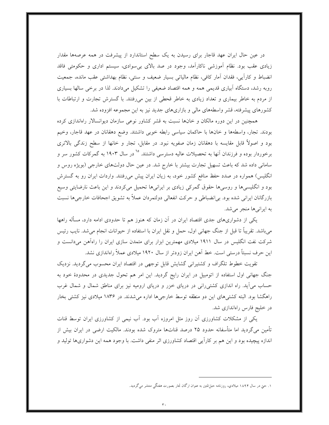در عین حال ایران عهد قاجار برای رسیدن به یک سطح استاندارد از پیشرفت در همه عرصهها مقدار زیادی عقب بود. نظام آموزشی ناکارآمد، وجود در صد بالای بی سوادی، سیستم اداری و حکومتی فاقد انضباط و كارأيي، فقدان أمار كافي، نظام مالياتي بسيار ضعيف و سنتي، نظام بهداشتي عقب مانده، جمعيت روبه رشد، دستگاه اَبیاری قدیمی همه و همه اقتصاد ضعیفی را تشکیل میدادند. لذا در برخی سالها بسیاری از مردم به خاطر بیماری و تعداد زیادی به خاطر قحطی از بین میرفتند. با گسترش تجارت و ارتباطات با کشورهای پیشرفته، قشر واسطههای مالی و بازاریهای جدید نیز به این مجموعه افزوده شد.

همچنین در این دوره مالکان و خانها نسبت به قشر کشاور نوعی سازمان دیوانسالار راهاندازی کرده بودند. تجار، واسطهها و خانها با حاكمان سياسي رابطه خوبي داشتند. وضع دهقانان در عهد قاجار، وخيم بود و اصولاً قابل مقایسه با دهقانان زمان صفویه نبود. در مقابل، تجار و خانها از سطح زندگی بالاتری برخوردار بوده و فرزندان آنها به تحصیلات عالیه دسترسی داشتند. <sup>1</sup>۵ در سال ۱۹۰۳ به گمرکات کشور سر و سامانی داده شد که باعث تسهیل تجارت بیشتر با خارج شد. در عین حال دولتهای خارجی (بویژه روس و انگلیس) همواره در صدد حفظ منافع کشور خود، به زیان ایران پیش میرفتند. واردات ایران رو به گسترش بود و انگلیسیها و روسیها حقوق گمرکی زیادی بر ایرانیها تحمیل میکردند و این باعث نارضایتی وسیع بازرگانان ایرانی شده بود. بی¦نضباطی و حرکت انفعالی دولتمردان عملاً به تشویق اجحافات خارجیها نسبت به ایرانیها منجر می شد.

یکی از دشواریهای جدی اقتصاد ایران در آن زمان که هنوز هم تا حدودی ادامه دارد، مسأله راهها مي باشد. تقريباً تا قبل از جنگ جهاني اول، حمل و نقل ايران با استفاده از حيوانات انجام مي شد. نايب رئيس شرکت نفت انگلیس در سال ۱۹۱۱ میلادی مهمترین ابزار برای متمدن سازی ایران را راهآهن میدانست و این حرف نسبتاً درستی است. خط آهن ایران زودتر از سال ۱۹۲۰ میلادی عملاً راهاندازی نشد.

تقویت خطوط تلگراف و کشتیرانی گشایش قابل توجهی در اقتصاد ایران محسوب میگردید. نزدیک جنگ جهانی اول استفاده از اتومبیل در ایران رایج گردید. این امر هم تحول جدیدی در محدودهٔ خود به حساب می آید. راه اندازی کشتی رانی در دریای خزر و دریای ارومیه نیز برای مناطق شمال و شمال غرب راهگشا بود. البته کشتیهای این دو منطقه توسط خارجیها اداره میشدند. در ۱۸۳۶ میلادی نیز کشتی بخار در خلیج فارس راهاندازی شد.

یکی از مشکلات کشاورزی آن روز مثل امروزه آب بود. آب نیمی از کشاورزی ایران توسط قنات تأمین می گردید اما متأسفانه حدود ۲۵ درصد قناتها متروک شده بودند. مالکیت ارضی در ایران بیش از اندازه پیچیده بود و این هم بر کاراًیی اقتصاد کشاورزی اثر منفی داشت. با وجود همه این دشواریها تولید و

۱. حتی در سال ۱۸۹۴ میلادی، روزنامه حبل|لمتین به عنوان ارگان تجار بصورت هفتگی منتشر میگردید.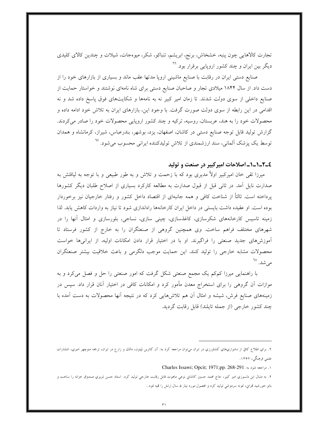تجارت کالاهایی چون پنبه، خشخاش، برنج، ابریشم، تنباکو، شکر، میوهجات، شیلات و چندین کالای کلیدی دیگر بین ایران و چند کشور اروپایی برقرار بود. <sup>۲۰</sup>

صنایع دستی ایران در رقابت با صنایع ماشینی اروپا مدتها عقب ماند و بسیاری از بازارهای خود را از دست داد. از سال ۱۸۴۴ میلادی تجار و صاحبان صنایع دستی برای شاه نامهای نوشتند و خواستار حمایت از صنایع داخلی از سوی دولت شدند. تا زمان امیر کبیر نه به نامهها و شکایتهای فوق پاسخ داده شد و نه اقدامی در این رابطه از سوی دولت صورت گرفت. با وجود این، بازارهای ایران به تلاش خود ادامه داده و محصولات خود را به هند، عربستان، روسیه، ترکیه و چند کشور اروپایی محصولات خود را صادر می کردند. گزارش تولید قابل توجه صنایع دستی در کاشان، اصفهان، یزد، بوشهر، بندرعباس، شیراز، کرمانشاه و همدان توسط یک پزشک آلمانی، سند ارزشمندی از تلاش تولیدکننده ایرانی محسوب میشود. <sup>٦٧</sup>

#### ٤\_٢\_١\_١\_ اصلاحات اميركبير در صنعت و توليد

میرزا تقی خان امیرکبیر اولاً مدیری بود که با زحمت و تلاش و به طور طبیعی و با توجه به لیاقتش به صدارت نایل آمد. در ثانی قبل از قبول صدارت به مطالعه کارکرد بسیاری از اصلاح طلبان دیگر کشورها پرداخته است. ثالثاً از شناخت کافی و همه جانبهای از اقتصاد داخل کشور و رفتار خارجیان نیز برخوردار بوده است. او عقیده داشت بایستی در داخل ایران کارخانهها راهاندازی شود تا نیاز به واردات کاهش یابد. لذا زمینه تاسیس کارخانههای شکرسازی، کاغذسازی، چینی سازی، نساجی، بلورسازی و امثال آنها را در شهرهای مختلف فراهم ساخت. وی همچنین گروهی از صنعتگران را به خارج از کشور فرستاد تا آموزشههای جدید صنعتی را فراگیرند. او با در اختیار قرار دادن امکانات اولیه، از ایرانیها خواست محصولات مشابه خارجي را توليد كنند. اين حمايت موجب دلگرمي و باعث خلاقيت بيشتر صنعتگران می شد. ^`

با راهنمایی میرزا کمکم یک مجمع صنعتی شکل گرفت که امور صنعتی را حل و فصل میکرد و به موازات آن گروهی را برای استخراج معدن مأمور کرد و امکانات کافی در اختیار آنان قرار داد. سپس در زمینههای صنایع فرش، شیشه و امثال آن هم تلاش(هایی کرد که در نتیجه آنها محصولات به دست آمده با چند کشور خارجی (از جمله تایلند) قابل رقابت گردید.

1. مراجعه شود به: Charles Issawi; Opcit; 1971;pp. 268-291

٢. به دنبال اين دلسوزي امير كبير، حاج محمد حسين كاشاني نوعي ماهوت قابل رقابت خارجي توليد كرد. استاد حسن تبريزي صندوق خزانه را ساخت و بانو خورشيد قمراني، نمونه سردوشي توليد كرد و محصول مورد نياز ۵ سال ارتش را قميه نمود..

۲. براي اطلاع کافي از دشواري،هاي کشاورزي در ايران ميټوان مراجعه کرد به: آن کاترين لمپتون، مالك و زارع در ايران، ترجمه منوچهر اميري، انتشارات علمی فرهنگی، ۱۳۶۲.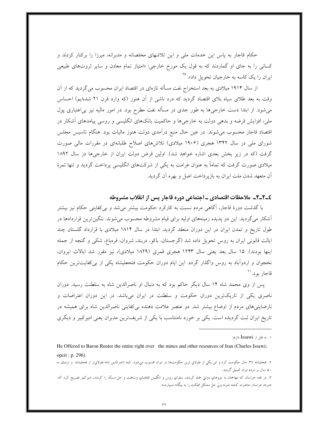حکام قاجار به پاس این خدمات ملی و این تلاشهای مخلصانه و مدبرانه، میرزا را برکنار کردند و کسانی را به جای او گماردند که به قول یک مورخ خارجی: «امتیاز تمام معادن و سایر ثروتهای طبیعی ایران را یک کاسه به خارجیان تحویل داد». <sup>۲۹</sup>

از سال ۱۹۱۴ میلادی به بعد استخراج نفت مسأله تازهای در اقتصاد ایران محسوب می گردید که از آن وقت به بعد طلای سیاه بلای اقتصاد گردید که درد ناشی از آن هنوز (که وارد قرن ۲۱ شدهایم) احساس میشود. از ابتدا دست خارجیها به طور جدی در مسأله نفت مطرح بود. در امور مالیه نیز بی|عتباری پول ملی، افزایش قرضه و بدهی دولت به خارجیها و حاکمیت بانکهای انگلیسی و روسی پیامدهای آشکار در اقتصاد قاجار محسوب میشوند. در عین حال منبع درآمدی دولت هنوز مالیات بود. هنگام تاسیس مجلس شورای ملی در سال ۱۳۴۲ هجری (۱۹۰۶ میلادی) تلاشهای اصلاح طلبانهای در مقررات مالی صورت گرفت (که در زیر بخش بعدی اشاره خواهد شد). اولین قرض دولت ایران از خارجیها در سال ۱۸۹۲ میلادی صورت گرفت که تماماً به عنوان غرامت به یکی از شرکتهای انگلیسی پرداخت گردید و تنها ثمرهٔ آن متعهد شدن ملت ايران به بازير داخت اصل و بهره آن گرديد.

# ٤\_٢\_٢\_ ملاحظات اقتصادي \_ اجتماعي دوره قاجار پس از انقلاب مشروطه

با گذشت دورهٔ قاجار، آگاهی مردم نسبت به کارکرد حکومت بیشتر میشد و بی کفایتی حکام نیز بیشتر آشکار میگردید. این دو پدیده زمینههای اولیه برای قیام مشروطه محسوب میشوند. ننگینترین قراردادها در طول تاریخ و تمدن ایران در این دوران منعقد گردید. ابتدا در سال ۱۸۱۴ میلادی با قرارداد گلستان چند ایالت قانونی ایران به روس تحویل داده شد (گرجستان، باکو، دربند، شروان، قرهباغ، شکی و گنجه از جمله اینها بودند). ۱۵ سال بعد یعنی سال ۱۲۴۳ هجری قمری (۱۸۲۹ میلادی)، نیز مقرر شد ایالات ایروان، نخجوان و اردوآباد به روس واگذار گردد. این ایام دوران حکومت فتحعلیشاه یکی از بی کفایتترین حکام قاجار بود. ``

پس از وی محمد شاه ۱۴ سال دیگر حاکم بود که به دنبال او ناصرالدین شاه به سلطنت رسید. دوران ناصری یکی از تاریک ترین دوران حکومت و سلطنت در ایران میباشد. در این دوران اعتراضات و نارضایتیهای مردم از اوضاع بیشتر شد. دو عنصر علامت دهنده بی کفایتی ناصرالدین شاه برای همیشه در تاریخ ایران ثبت گردیده است. یکی بر خورد نامتناسب با یکی از شریفترین مدیران یعنی امیرکبیر و دیگری

۰۱. به نقل از Issawi داريم:

He Offered to Baron Reuter the entire right over the mines and other resources of Iran (Charles Issawi; opcit ; p. 296).

۲. فتحلیشاه ۳۷ سال حکومت کرد و این یکی از طولانی ترین حکومتها در ایران محسوب میشود. البته ناصرالدین شاه طولانیتر از فتحلیشاه و نزدیك به ۵۰ سال بر مردم ایران تحمیل گردید.

۳. در فتنه خراسان که مهاجمان به نیروهای دولتی حمله کردند، سفرای روس و انگلیس تقاضای وساطت و حل مسأله را کردند، امیرکبیر تصریح کرد که: «مردم خراسان حاضرند کشته شوند ولی حل مشکل مملکت را به بیگانه نسپارند».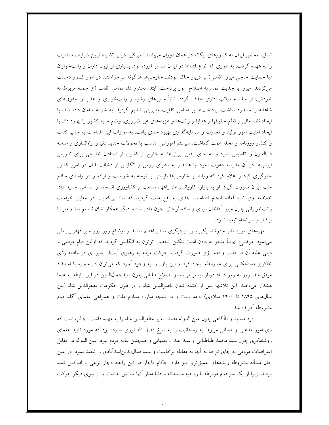تسلیم محض ایران به کشورهای بیگانه در همان دوران میباشد. امیرکبیر در بی|نضباطترین شرایط، صدارت را به عهده گرفت. به طوری که انواع فتنهها در ایران سر بر آورده بود. بسیاری از تیول داران و رانتخواران (با حمایت حاجی میرزا اّقاسی) بر دربار حاکم بودند. خارجیها هرگونه میخواستند در امور کشور دخالت می کردند. میرزا با جدیت تمام به اصلاح امور پرداخت. ابتدا دستور داد تمامی القاب (از جمله مربوط به خودش) از سلسله مراتب اداری حذف گردد. ثانیاً مسیرهای رشوه و رانتخواری و هدایا و حقوقهای شاهانه را مسدود ساخت. پرداختها بر اساس كفايت مديريتي تنظيم گرديد. به خزانه سامان داده شد، با ایجاد نظم مالی و قطع حقوقها و هدایا و رانتها و هزینههای غیر ضروری، وضع مالیه کشور را بهبود داد. با ایجاد امنیت امور تولید و تجارت و سرمایهگذاری بهبود جدی یافت. به موازات این اقدامات به چاپ کتاب و انتشار روزنامه و مجله همت گماشت. سیستم آموزشی مناسب با تحولات جدید دنیا را راهاندازی و مدسه دارالفنون را تاسیس نمود و به جای رفتن ایرانیها به خارج از کشور، از استادان خارجی برای تدریس ایرانیها در آن مدرسه دعوت نمود. با هشدار به سفرای روس و انگلیس از دخالت آنان در امور کشور جلوگیری کرد و اعلام کرد که روابط با خارجیها بایستی با توجه به خواست و اراده و در راستای منافع ملت ایران صورت گیرد. او به بازار، کاروانسراها، راهها، صنعت و کشاورزی انسجام و سامانی جدید داد. خلاصه وي تازه آماده انجام اقدامات جدي به نفع ملت گرديد كه شاه بي كفايت در مقابل خواست رانتخوارانی چون میرزا آقاخان نوری و ساده لوحانی چون مادر شاه و دیگر همکارانشان تسلیم شد وامیر را برکنار و سرانجام تبعید نمود.

مهرههای مورد نظر مادرشاه یکی پس از دیگری صدر اعظم شدند و اوضاع روز روز سیر قهقرایی طی می نمود. موضوع نهایتاً منجر به دادن امتیاز ننگین انحصار توتون به انگلیس گردید که اولین قیام مردمی و دینی علیه آن در قالب واقعه رژی صورت گرفت. حرکت مردم به رهبری آیتا... شیرازی در واقعه رژی خاکریز مستحکمی برای مشروطه ایجاد کرد و این باور را به وجود آورد که میتوان در مبارزه با استبداد موفق شد. روز به روز فساد دربار بیشتر میشد و اصلاح طلبانی چون سیدجمالالدین در این رابطه به علما هشدار میدادند. این تلاشها پس از کشته شدن ناصرالدین شاه و در طول حکومت مظفرالدین شاه (بین سالهای ۱۸۹۵ تا ۱۹۰۶ میلادی) ادامه یافت و در نتیجه مبارزه مداوم ملت و همراهی علمای آگاه، قیام مشروطه أفريده شد.

فرد مستبد و ناآگاهی چون عین الدوله مصدر امور مظفرالدین شاه را به عهده داشت. جالب است که وی امور مذهبی و مسائل مربوط به روحانیت را به شیخ فضل الله نوری سپرده بود که مورد تایید علمای روشنفکری چون سید محمد طباطبایی و سید عبدا… بهبهانی و همچنین عامه مردم نبود. عین الدوله در مقابل اعتراضات مردمی به جای توجه به اَنها به مقابله برخاست و سیدجمالالدیناسداًبادی را تبعید نمود. در عین حال مسأله مشروطه ریشههای عمیقتری نیز دارد. حکام قاجار در این رابطه دچار نوعی پارادوکس شده بودند. زیرا از یک سو قیام مربوطه با روحیه مستبدانه و دنیا مدار آنها سازش نداشت و از سوی دیگر حرکت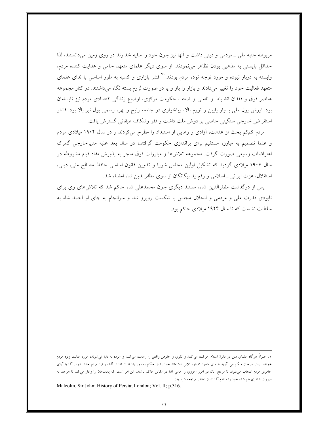مربوطه جنبه ملي ـ مردمي و ديني داشت و آنها نيز چون خود را سايه خداوند در روي زمين ميدانستند، لذا حداقل بایستی به مذهبی بودن تظاهر می نمودند. از سوی دیگر علمای متعهد حامی و هدایت کننده مردم، وابسته به دربار نبوده و مورد توجه توده مردم بودند.'`` قشر بازاري و كسبه به طور اساسي با نداي علماي متعهد فعالیت خود را تغییر میدادند و بازار را باز و یا در صورت لزوم بسته نگاه میداشتند. در کنار مجموعه عناصر فوق و فقدان انضباط و ناامنی و ضعف حکومت مرکزی، اوضاع زندگی اقتصادی مردم نیز نابسامان بود. ارزش پول ملی بسیار پایین و تورم بالا، رباخواری در جامعه رایج و بهره رسمی پول نیز بالا بود. فشار استقراض خارجي سنگيني خاصي بر دوش ملت داشت و فقر وشكاف طبقاتي گسترش يافت.

مردم کمکم بحث از عدالت، آزادی و رهایی از استبداد را مطرح میکردند و در سال ۱۹۰۴ میلادی مردم و علما تصمیم به مبارزه مستقیم برای براندازی حکومت گرفتند؛ در سال بعد علیه مدیرخارجی گمرک اعتراضات وسیعی صورت گرفت. مجموعه تلاشها و مبارزات فوق منجر به پذیرش مفاد قیام مشروطه در سال ۱۹۰۶ میلادی گردید که تشکیل اولین مجلس شورا و تدوین قانون اساسی حافظ مصالح ملی، دینی، استقلال، عزت ایرانی ـ اسلامی و رفع ید بیگانگان از سوی مظفرالدین شاه امضاء شد.

یس از درگذشت مظفرالدین شاه، مستبد دیگری چون محمدعلی شاه حاکم شد که تلاش۵های وی برای نابودی قدرت ملی و مردمی و انحلال مجلس با شکست روبرو شد و سرانجام به جای او احمد شاه به سلطنت نشست که تا سال ۱۹۲۴ میلادی حاکم بود.

۱. اصولاً هرگاه علماي دين در دايرة اسلام حركت مىكنند و تقوي و خلوص واقعى را رعايت مىكنند و آلوده به دنيا نمىشوند، مورد عنايت ويژه مردم حواهند بود. سرحان ملکم می گوید علمای متعهد همواره تلاش داشتهاند حود را از حکام به دور بدارند تا اعتبار آنها در نزد مردم حفظ شود. آنها با آرای حاموش مردم انتخاب می شوند تا مرحع آنان در امور احروي و حامی آنما در مقابل حاکم باشند. اين امر است که پادشاهان را وادار می کند تا هرچند به صورت ظاهري هم شده خود را مدافع آنها نشان دهند. مراجعه شود به:

Malcolm, Sir John; History of Persia; London; Vol. II; p.316.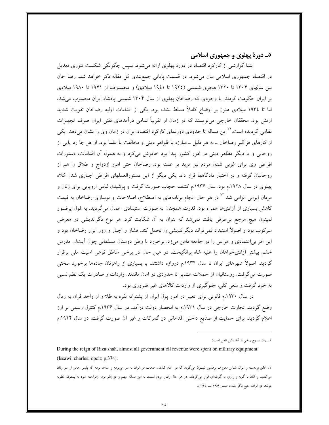#### ٥\_ دورۀ پهلوي و جمهوري اسلامي

ابتدا گزارشی از کارکرد اقتصاد در دورهٔ پهلوی ارائه میشود. سپس چگونگی شکست تئوری تعدیل در اقتصاد جمهوری اسلامی بیان میشود. در قسمت پایانی جمع بندی کل مقاله ذکر خواهد شد. رضا خان بین سالهای ۱۳۰۴ تا ۱۳۲۰ هجری شمسی (۱۹۲۵ تا ۱۹٤۱ میلادی) و محمدرضا از ۱۹۴۱ تا ۱۹۸۰ میلادی بر ایران حکومت کردند. با وجودی که رضاخان پهلوی از سال ۱۳۰۴ شمسی پادشاه ایران محسوب می شد، اما تا ۱۹۳٤ میلادی هنوز بر اوضاع کاملاً مسلط نشده بود. یکی از اقدامات اولیه رضاخان تقویت شدید ارتش بود. محققان خارجی میiویسند که در زمان او تقریباً تمامی درآمدهای نفتی ایران صرف تجهیزات نظامی گردیده است.<sup>۷۲</sup> این مساله تا حدودی دورنمای کارکرد اقتصاد ایران در زمان وی را نشان میدهد. یکی از کارهای فراگیر رضاخان ــ به هر دلیل ــ مبارزه با ظواهر دینی و مخالفت با علما بود. او هر جا رد پایی از روحانی و یا دیگر مظاهر دینی در امور کشور پیدا بود خاموش میکرد و به همراه آن اقدامات، دستورات افراطی وی برای غربی شدن مردم نیز مزید بر علت بود. رضاخان حتی امور ازدواج و طلاق را هم از روحانیان گرفته و در اختیار دادگاهها قرار داد. یکی دیگر از این دستورالعملهای افراطی اجباری شدن کلاه پهلوی در سال ۱۹۲۸.م بود. سال ۱۹۳۶.م کشف حجاب صورت گرفت و پوشیدن لباس اروپایی برای زنان و مردان ایرانی الزامی شد.<sup>۷۳</sup> در هر حال انجام برنامههای به اصطلاح، اصلاحات و نوسازی رضاخان به قیمت کاهش بسیاری از آزادیها همراه بود. قدرت همچنان به صورت استبدادی اعمال میگردید. به قول پرفسور لمپتون هیچ مرجع بی طرفی یافت نمی شد که بتوان به آن شکایت کرد. هر نوع دگراندیشی در معرض سرکوب بود و اصولاً استبداد نمیٍتواند دیگراندیشی را تحمل کند. فشار و اجبار و زور ابزار رضاخان بود و این امر بی|عتمادی و هراس را در جامعه دامن میزد. برخورد با وطن دوستان مسلمانی چون آیتا... مدرس خشم بیشتر آزادیخواهان را علیه شاه برانگیخت. در عین حال در برخی مناطق نوعی امنیت ملی برقرار گردید، اصولاً شهرهای ایران تا سال ۱۹۳۴.م دروازه داشتند. با بسیاری از راهزنان جادهها برخورد سختی صورت می گرفت. روستائیان از حملات عشایر تا حدودی در امان ماندند. واردات و صادرات یک نظم نسبی به خود گرفت و سعی کلی، جلوگیری از واردات کالاهای غیر ضروری بود.

در سال ۱۹۳۰.م قانونی برای تغییر در امور پول ایران از پشتوانه نقره به طلا و از واحد قران به ریال وضع گردید. تجارت خارجی در سال ۱۹۳۱.م به انحصار دولت درآمد. در سال ۱۹۳۶.م کنترل رسمی بر ارز اعلام گردید. برای حمایت از صنایع داخلی اقداماتی در گمرکات و غیر آن صورت گرفت. در سال ۱۹۲۴.م

۲. محقق برجسته و ايران شناس معروف پرفسور لپمتون ميگويد كه در ايام كشف حجاب در ايران به سر مي,ردم و شاهد بودم كه پليس چادر از سر زنان میکشید و آنان با گریه و زاري به گوشهاي فرار میکردند. در هر حال رفتار مردم نسبت به این مساله مبهم و دو پملو بود (مراجعه شود به لپمتون، نظریه دولت در ایران، منبع ذکر شده، صص ۱۹۶ ـ ۱۹۵).

١. بيان صريح برخي از آنها قابل تامل است:

During the reign of Riza shah, almost all government oil revenue were spent on military equipment (Issawi, charles; opcit; p.374).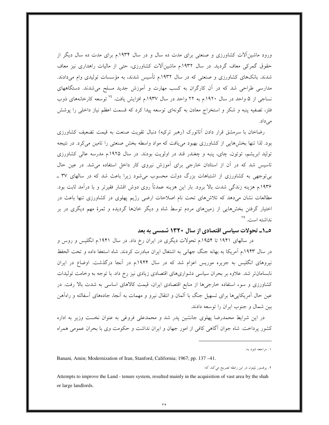ورود ماشینآلات کشاورزی و صنعتی برای مدت ده سال و در سال ۱۹۳۴.م برای مدت ده سال دیگر از حقوق گمرکی معاف گردید. در سال ۱۹۳۲.م ماشینآلات کشاورزی، حتی از مالیات راهداری نیز معاف شدند. بانکهای کشاورزی و صنعتی که در سال ۱۹۳۲م تأسیس شدند، به مؤسسات تولیدی وام میدادند. مدارسی طراحی شد که در آن کارگران به کسب مهارت و آموزش جدید مسلح میشدند. دستگاههای نساجی از ۵ واحد در سال ۱۹۲۰.م به ۲۲ واحد در سال ۱۹۳۷.م افزایش یافت. <sup>۷۰</sup> توسعه کارخانههای ذوب فلز، تصفیه پنبه و شکر و استخراج معادن به گونهای توسعه پیدا کرد که قسمت اعظم نیاز داخلی را پوشش مے ٍداد.

رضاخان با سرمشق قرار دادن آتاتورک (رهبر ترکیه) دنبال تقویت صنعت به قیمت تضعیف کشاورزی بود. لذا تنها بخشهایی از کشاورزی بهبود می یافت که مواد واسطه بخش صنعتی را تامین میکرد. در نتیجه تولید ابریشم، توتون، چای، پنبه و چغندر قند در اولویت بودند. در سال ۱۹۲۵.م مدرسه عالی کشاورزی تاسیس شد که در آن از استادان خارجی برای آموزش نیروی کار داخل استفاده می شد. در عین حال بیتوجهی به کشاورزی از اشتباهات بزرگ دولت محسوب میشود زیرا باعث شد که در سالهای ۳۷ \_ ۱۹۳۶.م هزینه زندگی شدت بالا برود. بار این هزینه عمدتاً روی دوش اقشار فقیرتر و با درآمد ثابت بود. مطالعات نشان میدهد که تلاشهای تحت نام اصلاحات ارضی رژیم یهلوی در کشاورزی تنها باعث در اختیار گرفتن بخشهایی از زمینهای مردم توسط شاه و دیگر خانها گردیده و ثمرهٔ مهم دیگری در بر نداشته است. <sup>۷۵</sup>

#### ۵\_۱\_ تحولات سیاسی اقتصادی از سال ۱۳۲۰ شمسی به بعد

در سالهای ۱۹۴۱ تا ۱۹۵۴.م تحولات دیگری در ایران رخ داد. در سال ۱۹۴۱.م انگلیس و روس و در سال ۱۹۴۳.م آمریکا به بهانه جنگ جهانی به اشتغال ایران مبادرت کردند. شاه استعفا داده و تحت الحفظ نیروهای انگلیس به جزیره موریس اعزام شد که در سال ۱۹۴۴.م در آنجا درگذشت. اوضاع در ایران نابسامانتر شد. علاوه بر بحران سیاسی دشواریهای اقتصادی زیادی نیز رخ داد. با توجه به وخامت تولیدات کشاورزی و سوء استفاده خارجیها از منابع اقتصادی ایران، قیمت کالاهای اساسی به شدت بالا رفت. در عین حال آمریکایی ها برای تسهیل جنگ با آلمان و انتقال نیرو و مهمات به آنجا، جادههای آسفالته و راهآهن بین شمال و جنوب ایران را توسعه دادند.

در این شرایط محمدرضا پهلوی جانشین پدر شد و محمدعلی فروغی به عنوان نخست وزیر به اداره کشور پرداخت. شاه جوان آگاهی کافی از امور جهان و ایران نداشت و حکومت وی با بحران عمومی همراه

۱. مراجعه شود به:

Banani, Amin; Modernization of Iran, Stanford, California; 1967; pp. 137 -41.

٢. پرفسور لمپتون در اين رابطه تصريح مي كند كه:

Attempts to improve the Land - tenure system, resulted mainly in the acquisition of vast area by the shah or large landlords.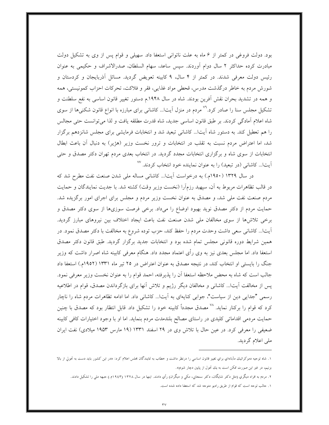بود. دولت فروغی در کمتر از ۶ ماه به علت ناتوانی استعفا داد. سهیلی و قوام پس از وی به تشکیل دولت مبادرت کرده حداکثر ۲ سال دوام اَوردند. سپس ساعد، سهام السلطان، صدرالاشراف و حکیمی به عنوان رئیس دولت معرفی شدند. در کمتر از ۴ سال، ۹ کابینه تعویض گردید. مسائل آذربایجان و کردستان و شورش مردم به خاطر درگذشت مدرس، قحطی مواد غذایبی، فقر و فلاکت، تحرکات احزاب کمونیستی، همه و همه در تشدید بحران نقش آفرین بودند. شاه در سال ۱۹۴۸.م دستور تغییر قانون اساسی به نفع سلطنت و تشکیل مجلس سنا را صادر کرد.<sup>۷۶</sup> مردم در منزل آیتا... کاشانی برای مبارزه با انواع قانون شکنیها از سوی شاه اعلام آمادگی کردند. بر طبق قانون اساسی جدید، شاه قدرت مطلقه یافت و لذا می توانست حتی مجالس را هم تعطیل کند. به دستور شاه اّیتا... کاشانی تبعید شد و انتخابات فرمایشی برای مجلس شانزدهم برگزار شد، اما اعتراض مردم نسبت به تقلب در انتخابات و ترور نخست وزیر (هژیر) به دنبال آن باعث ابطال انتخابات از سوی شاه و برگزاری انتخابات مجدد گردید. در انتخاب بعدی مردم تهران دکتر مصدق و حتبی آیتا... کاشانی (در تبعید) را به عنوان نماینده خود انتخاب کردند. <sup>۷۷</sup>

در سال ۱۳۲۹ (۱۹۵۰م.) به درخواست آیتا... کاشانی مساله ملی شدن صنعت نفت مطرح شد که در قالب تظاهرات مربوط به آن، سپهبد رزمآرا (نخست وزیر وقت) کشته شد. با جدیت نمایندگان و حمایت مردم صنعت نفت ملي شد، و مصدق به عنوان نخست وزير مردم و مجلس براي اجراي امور برگزيده شد. حمایت مردم از دکتر مصدق نوید بهبود اوضاع را میداد. برخی فرصت سوزیها از سوی دکتر مصدق و برخی تلاش ها از سوی مخالفان ملی شدن صنعت نفت باعث ایجاد اختلاف بین نیروهای مبارز گردید. آيتاً... كاشاني سعي داشت وحدت مردم را حفظ كند، حزب توده شروع به مخالفت با دكتر مصدق نمود. در همین شرایط دوره قانونی مجلس تمام شده بود و انتخابات جدید برگزار گردید. طبق قانون دکتر مصدق استعفا داد. اما مجلس بعدی نیز به وی رأی اعتماد مجدد داد. هنگام معرفی کابینه شاه اصرار داشت که وزیر جنگ را بایستی او انتخاب کند، در نتیجه مصدق به عنوان اعتراض در ۲۵ تیر ماه ۱۳۳۱ (۱۹۵۲م.) استعفا داد جالب است كه شاه به محض ملاحظه استعفا آن را پذيرفته، احمد قوام را به عنوان نخست وزير معرفي نمود. پس از مخالفت آیتا... کاشانی و مخالفان دیگر رژیم و تلاش آنها برای بازگرداندن مصدق، قوام در اطلاعیه رسمی "جدایی دین از سیاست"، جوابی کنایهای به آیتا… کاشانی داد. اما ادامه تظاهرات مردم شاه را ناچار کرد که قوام را برکنار نماید. <sup>۷۸</sup> مصدق مجدداً کابینه خود را تشکیل داد. قابل انتظار بود که مصدق با چنین حمایت مردمی اقداماتی کلیدی در راستای مصالح بلندمدت مردم بنماید. اما او با وجود اختیارات کافی کابینه ضعیفی را معرفی کرد. در عین حال با تلاش وی در ۲۹ اسفند ۱۳۳۱ (۱۹ مارس ۱۹۵۳ میلادی) نفت ایران ملي اعلام گرديد.

۱. شاه توجیه دموکراتیك مآبانهاي براي تغییر قانون اساسی را درنظر داشت و خطاب به نمایندگان بحلس اعلام کرد: «در این کشور باید دست به تحولی از بالا بزنیم، در غیر این صورت ممکن است به یك تحول از پایین دچار شویم».

۲. مردم به افراد دیگري (مثل دکتر شایگان، دکتر سنحابي، مکي و دیگران) رأي دادند. اينها در سال ۱۳۲۸ (۱۹٤۳م.) جبهه ملي را تشکيل دادند.

۱. حالب توجه است که قوام از طریق رادیو متوجه شد که استعفا داده شده است.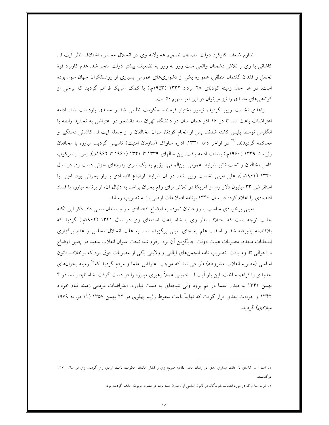تداوم ضعف کارکرد دولت مصدق، تصمیم عجولانه وی در انحلال مجلس، اختلاف نظر آیت ا… کاشانی با وی و تلاش دشمنان واقعی ملت روز به روز به تضعیف بیشتر دولت منجر شد. عدم کاربرد قوهٔ تحمل و فقدان گفتمان منطقی، همواره یکی از دشواریهای عمومی بسیاری از روشنفکران جهان سوم بوده است. در هر حال زمینه کودتای ۲۸ مرداد ۱۳۳۲ (۱۹۵۳م.) با کمک آمریکا فراهم گردید که برخی از کوتاهی های مصدق را نیز می توان در این امر سهیم دانست.

زاهدی نخست وزیر گردید، تیمور بختیار فرمانده حکومت نظامی شد و مصدق بازداشت شد. ادامه اعتراضات باعث شد تا در ۱۶ آذر همان سال در دانشگاه تهران سه دانشجو در اعتراض به تجدید رابطه با انگلیس توسط پلیس کشته شدند. پس از انجام کودتا، سران مخالفان و از جمله آیت ا... کاشانی دستگیر و محاکمه گردیدند. <sup>۷۹</sup> در اواخر دهه ۱۳۳۰، اداره ساواک (سازمان امنیت) تاسیس گردید. مبارزه با مخالفان رژیم تا ۱۳۳۹ (۱۹۶۰م.) بشدت ادامه یافت. بین سالهای ۱۳۳۹ تا ۱۳۴۱ (۱۹۶۰ تا ۱۹۶۲م.)، پس از سرکوب کامل مخالفان و تحت تاثیر شرایط عمومی بینالمللی، رژیم به یک سری رفرمهای جزئی دست زد. در سال ۱۳۴۰ (۱۹۶۱م.)، علی امینی نخست وزیر شد. در آن شرایط اوضاع اقتصادی بسیار بحرانی بود. امینی با استقراض ۳۳ میلیون دلار وام از آمریکا در تلاش برای رفع بحران برآمد. به دنبال آن، او برنامه مبارزه با فساد اقتصادی را اعلام کرده در سال ۱۳۴۰ برنامه اصلاحات ارضی را به تصویب رساند.

امینی برخوردی مناسب با روحانیان نموده به اوضاع اقتصادی سر و سامان نسبی داد. ذکر این نکته جالب توجه است که اختلاف نظر وی با شاه باعث استعفای وی در سال ۱۳۴۱ (۱۹۶۲م.) گردید که بلافاصله پذیرفته شد و اسدا… علم به جای امینی برگزیده شد. به علت انحلال مجلس و عدم برگزاری انتخابات مجدد، مصوبات هيات دولت جايگزين أن بود. رفرم شاه تحت عنوان انقلاب سفيد در چنين اوضاع و احوالي تداوم يافت. تصويب نامه انجمنهاي ايالتي و ولايتي يكي از مصوبات فوق بود كه برخلاف قانون اساسی (مصوبه انقلاب مشروطه) طراحی شد که موجب اعتراض علما و مردم گردید که<sup>۸۰</sup> زمینه بحرانهای جدیدی را فراهم ساخت. این بار آیت ا... خمینی عملاً رهبری مبارزه را در دست گرفت. شاه ناچار شد در ۴ بهمن ۱۳۴۱ به دیدار علما در قم برود ولی نتیجهای به دست نیاورد. اعتراضات مردمی زمینه قیام خرداد ۱۳۴۲ و حوادث بعدی قرار گرفت که نهایتاً باعث سقوط رژیم پهلوی در ۲۲ بهمن ۱۳۵۷ (۱۱ فوریه ۱۹۷۹ مىلادى) گر دىد.

۲. آیت ا... کاشانِ با حالت بیماریِ مدتِ در زندان ماند. دفاعیه صریح وی و فشار مخالفان حکومت باعث آزادیِ وی گردید. ویِ در سال ۱۳۴۰ در گذشت.

۱. شرط اسلام که در مورد انتخاب شوندگان در قانون اساسی اول مدون شده بود، در مصوبه مربوطه حذف گردیده بود.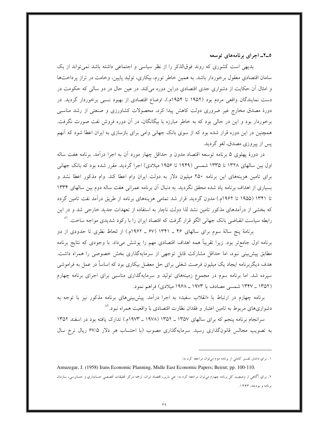0\_۲\_ اجرای برنامههای توسعه

بدیهی است کشوری که روند فوقالذکر را از نظر سیاسی و اجتماعی داشته باشد نمی تواند از یک سامان اقتصادی معقول برخوردار باشد. به همین خاطر تورم، بیکاری، تولید پایین، وخامت در تراز پرداختها و امثال آن حکایت از دشواری جدی اقتصادی دراین دوره می کند. در عین حال در دو سالی که حکومت در دست نمایندگان واقعی مردم بود (۱۹۵۲ تا ۱۹۵۴م.)، اوضاع اقتصادی از بهبود نسبی برخوردار گردید. در دورهٔ مصدق مخارج غیر ضروری دولت کاهش پیدا کرد، محصولات کشاورزی و صنعتی از رشد مناسبی برخوردار بود و این در حالی بود که به خاطر مبارزه با بیگانگان، در آن دوره فروش نفت صورت نگرفت. همچنین در این دوره قرار شده بود که از سوی بانک جهانی وامی برای بازسازی به ایران اعطا شود که آنهم پس از پیروزی مصدق، لغو گردید.

در دورهٔ پهلوی ۵ برنامه توسعه اقتصاد مدون و حداقل چهار مورد آن به اجرا درآمد. برنامه هفت ساله اول بین سالهای ۱۳۲۸ تا ۱۳۳۵ شمسی (۱۹۴۹ تا ۱۹۵۶ میلادی) اجرا گردید. مقرر شده بود که بانک جهانی برای تامین هزینههای این برنامه ۲۵۰ میلیون دلار به دولت ایران وام اعطا کند. وام مذکور اعطا نشد و بسیاری از اهداف برنامه یاد شده محقق نگردید. به دنبال آن برنامه عمرانی هفت ساله دوم بین سالهای ۱۳۳۴ تا ۱۳۴۱ (۱۹۵۵ تا ۱۹۶۲م.) مدون گردید. قرار شد تمامی هزینههای برنامه از طریق درآمد نفت تامین گردد که بخشی از درآمدهای مذکور تامین نشد لذا دولت ناچار به استفاده از تعهدات جدید خارجی شد و در این رابطه سیاست انقباضی بانک جهانی الگو قرار گرفت که اقتصاد ایران را با رکود شدیدی مواجه ساخت. '^

برنامهٔ پنج سالهٔ سوم برای سالهای ۴۶ ـ ۱۳۴۱ (۶۷ ـ ۱۹۶۲م.) از لحاظ نظری تا حدودی از دو برنامه اول جامعتر بود. زیرا تقریباً همه اهداف اقتصادی مهم را پوشش میداد. با وجودی که نتایج برنامه مطابق پیش بینی نبود، اما حداقل مشارکت قابل توجهی از سرمایهگذاری بخش خصوصی را همراه داشت. هدف دیگربرنامه ایجاد یک میلیون فرصت شغلی برای حل معضل بیکاری بود که اساساً در عمل به فراموشی سپرده شد. اما برنامه سوم در مجموع زمینههای تولید و سرمایهگذاری مناسبی برای اجرای برنامه چهارم (١٣٥٢ ـ ١٣٣٧ شمسي مصادف با ١٩٧٣ ـ ١٩۶٨ ميلادي) فراهم نمود.

برنامه چهارم در ارتباط با «انقلاب سفید» به اجرا درآمد. پیش بینیهای برنامه مذکور نیز با توجه به دشواریهای مربوط به تامین اعتبار و فقدان نظارت اقتصادی با واقعیت همراه نبود.<sup>۸۲</sup>

سرانجام برنامه پنجم که برای سالهای ۱۳۵۷ ـ ۱۳۵۲ (۱۹۷۸ ـ ۱۹۷۳م.) تدارک یافته بود در اسفند ۱۳۵۲ به تصویب مجالس قانونگذاری رسید. سرمایهگذاری مصوب (با احتساب هر دلار ۶۷/۵ ریال نرخ سال

۱. برای داشتن تفسیر کاملی از برنامه دوم میتوان مراجعه کرد به:

Amuzegar, J. (1958) Irans Economic Planning, Midle East Economic Papers; Beirut; pp. 100-110. ۲. براي آگاهي از وضعيت کل برنامه چهارم ميتوان مراجعه کرد به: حي بارير، اقتصاد ايران، ترجمه مرکز تحقيقات تخصصي حسابداري و حسابرسي، سازمان برنامه و بودجه، ۱۳۶۳.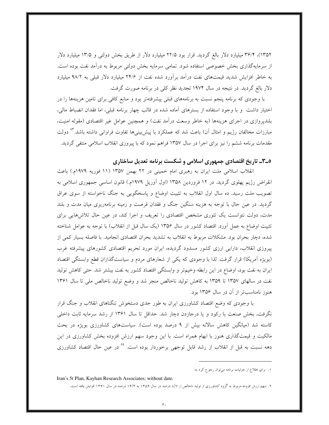۱۳۵۲)، ۳۶/۴ میلیارد دلار بالغ گردید. قرار بود ۲۲/۵ میلیارد دلار از طریق بخش دولتی و ۱۳/۵ میلیارد دلار از سرمایهگذاری بخش خصوصی استفاده شود. تمامی سرمایه بخش دولتی مربوط به درآمد نفت بوده است. به خاطر افزایش شدید قیمتهای نفت درآمد برآورد شده نفت از ۲۴/۶ میلیارد دلار قبلی به ۹۸/۲ میلیارد دلار بالغ گردید. در نتیجه در سال ۱۹۷۴ تجدید نظر کلی در برنامه صورت گرفت.

با وجودی که برنامه پنجم نسبت به برنامههای قبلی پیشرفتهتر بود و منابع کافی برای تامین هزینهها را در اختیار داشت ً و با وجود استفاده از بسترهای آماده شده در قالب چهار برنامه قبلی، اما فقدان انضباط مالی، بلندیروازی در اجرای هزینهها (به خاطر وسعت درآمد نفت) و همچنین عوامل غیر اقتصادی (مقوله امنیت، مبارزات مخالفان رژیم و امثال آن) باعث شد که عملکرد با پیشبینیها تفاوت فراوانی داشته باشد.<sup>۸۳</sup> دولت مقدمات برنامه ششم را نیز برای اجرا در سال ۱۳۵۷ فراهم نمود که با پیروزی انقلاب اسلامی منتفی گردید.

## ۵\_۳\_ تاریخ اقتصادی جمهوری اسلامی و شکست برنامه تعدیل ساختاری

انقلاب اسلامی ملت ایران به رهبری امام خمینی در ۲۲ بهمن ۱۳۵۷ (۱۱ فوریه ۱۹۷۹م.) باعث انقراض رژیم پهلوی گردید. در ۱۲ فروردین ۱۳۵۸ (اول آوریل ۱۹۷۹م.) قانون اساسی جمهوری اسلامی به تصویب ملت رسید. ده سال اول انقلاب به تثبیت اوضاع و پاسخگویی به جنگ ناخواسته از سوی عراق گردید. در عین حال با توجه به هزینه سنگین جنگ و فقدان فرصت و زمینه برنامهریزی میان مدت و بلند مدت، دولت نتوانست یک تئوری مشخص اقتصادی را تعریف و اجرا کند، در عین حال تلاشهایی برای تثبیت اوضاع به عمل آورد. اقتصاد کشور در سال ۱۳۵۶ (یک سال قبل از انقلاب) با توجه به عوامل شناخته شده، دچار بحران بود. مشکلات مربوط به انقلاب به تشدید بحران اقتصادی انجامید. با فاصله بسیار کمی از پیروزی انقلاب، دارایی ارزی کشور مسدود گردیده، ایران مورد تحریم اقتصادی کشورهای پیشرفته غرب (بویژه آمریکا) قرار گرفت. لذا با وجودی که یکی از شعارهای مردم و سیاستگذاران قطع وابستگی اقتصاد ایران به نفت بود، اوضاع در این رابطه وخیمتر و وابستگی اقتصاد کشور به نفت بیشتر شد. حتی کاهش تولید نفت در سالهای ۱۳۵۷ تا ۱۳۵۹ به کاهش تولید ناخالص منجر شد و وضع تولید ناخالص ملی تا سال ۱۳۶۱ هنوز نامناسبتر از آن در سال ۱۳۵۶ بود.

با وجودی که وضع اقتصاد کشاورزی ایران به طور جدی دستخوش تنگناهای انقلاب و جنگ قرار نگرفت، بخش صنعت با رکود و یا درجازدن دچار شد. حداقل تا سال ۱۳۶۱ از رشد سرمایه ثابت داخلی کاسته شد (میانگین کاهش سالانه بیش از ۹ درصد بوده است). سیاستهای کشاورزی بویژه در بحث مالکیت و قیمتگذاری هنوز با ابهام همراه است. با این وجود سهم ارزش افزوده بخش کشاورزی در این دهه نسبت به قبل از انقلاب از رشد قابل توجهی برخوردار بوده است. <sup>4</sup>^ در عین حال اقتصاد کشاورزی

Iran's 5t Plan, Kayhan Research Associates; without date.

۰۱ براي اطلاع از حزئيات برنامه ميتوان رحوع كرد به:

۲. سهم ارزش افزوده مربوط به گروه کشاورزي از توليد ناخالص از ۸/۷ درصد در سال ۱۳۵۶ به ۱۴/۳ درصد در سال ۱۳۶۱ افزايش يافته است.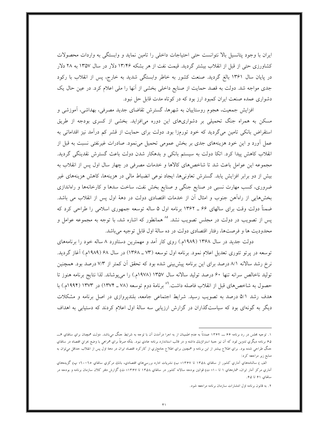ایران با وجود پتانسیل بالا نتوانست حتی احتیاجات داخلی را تامین نماید و وابستگی به واردات محصولات کشاورزی حتی از قبل از انقلاب بیشتر گردید. قیمت نفت از هر بشکه ۱۳/۴۶ دلار در سال ۱۳۵۷ به ۲۸ دلار در پایان سال ۱۳۶۱ بالغ گردید. صنعت کشور به خاطر وابستگی شدید به خارج، پس از انقلاب با رکود جدی مواجه شد. دولت به قصد حمایت از صنایع داخلی بخشی از آنها را ملی اعلام کرد. در عین حال یک دشواری عمده صنعت ایران کمبود ارز بود که در کوتاه مدت قابل حل نبود.

افزایش جمعیت، هجوم روستاییان به شهرها، گسترش تقاضای جدید مصرفی، بهداشی، آموزشی و مسکن به همراه جنگ تحمیلی بر دشواریهای این دوره میافزاید. بخشی از کسری بودجه از طریق استقراض بانکی تامین میگردید که خود تورمزا بود. دولت برای حمایت از قشر کم درآمد نیز اقداماتی به عمل آورد و این خود هزینههای جدی بر بخش عمومی تحمیل می،نمود. صادرات غیرنفتی نسبت به قبل از انقلاب كاهش پیدا كرد. اتكا دولت به سیستم بانكى و بدهكار شدن دولت باعث گسترش نقدینگی گردید. مجموعه این عوامل باعث شد تا شاخصهای کالاها و خدمات مصرفی در چهار سال اول پس از انقلاب به بیش از دو برابر افزایش یابد. گسترش تعاونیها، ایجاد نوعی انضباط مالی در هزینهها، کاهش هزینههای غیر ضروری، کسب مهارت نسبی در صنایع جنگی و صنایع بخش نفت، ساخت سدها و کارخانهها و راهاندازی بخش هایی از راهآهن جنوب و امثال آن از خدمات اقتصادی دولت در دههٔ اول پس از انقلاب می باشد. ضمناً دولت وقت برای سالهای ۶۶ ـ ۱۳۶۲ برنامه اول ۵ ساله توسعه جمهوری اسلامی را طراحی کرد که پس از تصویب در دولت در مجلس تصویب نشد. °^ همانطور که اشاره شد، با توجه به مجموعه عوامل و محدودیت ها و فرصتها، رفتار اقتصادی دولت در ده سالهٔ اول قابل توجیه می باشد.

دولت جدید در سال ۱۳۶۸ (۱۹۸۹م.) روی کار آمد و مهمترین دستاورد ۸ ساله خود را برنامههای توسعه در پرتو تئوری تعدیل اعلام نمود. برنامه اول توسعه (۷۳ ـ ۱۳۶۸) در سال ۶۸ (۱۹۸۹م.) آغاز گردید. نرخ رشد سالانه ۸/۱ درصد برای این برنامه پیش بینی شده بود که تحقق آن کمتر از ۷/۳ درصد بود. همچنین توليد ناخالص سرانه تنها ۶۰ درصد توليد سالانه سال ۱۳۵۷ (۱۹۷۸م.) را مي پوشاند. لذا نتايج برنامه هنوز تا حصول به شاخصهای قبل از انقلاب فاصله داشت.<sup>۸۹</sup> برنامهٔ دوم توسعه (۷۸ ـ ۱۳۷۴) در ۱۳۷۳ (۱۹۹۴م.) با هدف رشد ۵/۱ درصد به تصویب رسید. شرایط اجتماعی جامعه، بلندپروازی در اصل برنامه و مشکلات دیگر به گونهای بود که سیاستگذاران در گزارش ارزیابی سه سالهٔ اول اعلام کردند که دستیابی به اهداف

۱. توجیه مجلس در رد برنامه ۶۶ ـــ ۱۳۶۲ عمدتاً به عدم اطمینان از به احرا درآمدن آن با توجه به شرایط جنگ میLباشد. دولت همچنان براي سالهاي ۶ـــ ۶۵ برنامه دیگري تدوین نمود که آن نیز جنبة استراتزیك داشته و در قالب استاندارد برنامه عادي نبود. بلکه صرفاً براي همراهی با وضع بحراني اقتصاد در سالهاي حنگ طراحی شده بود. برای اطلاع بیشتر از این برنامه و همچنین برای اطلاع حامعتری از کارکرد اقتصاد ایران در دهة اول پس از انقلاب حداقل میتوان به منابع زیر مراجعه کرد:

الف ) سالنامههاي آماري كشور از سالهاي ١٣٥٨ تا ١٣۶٧؛ ب) نشريات اداره بررسيهاي اقتصادي، بانك مركزي سالهاي ٦٥-٢٠؛ پ) گزيدههاي آماري مرکز آمار ايران، شمارههاي ۱ تا ۱۰؛ ت) قوانين بودجه سالانه کشور در سالهاي ۱۳۵۸ تا ۱۳۶۷؛ ف) گزارش دفتر کلان سازمان برنامه و بودجه در سالهای ۶۱ تا ۶۵.

۲. به قانون برنامه اول انتشارات سازمان برنامه مراجعه شود.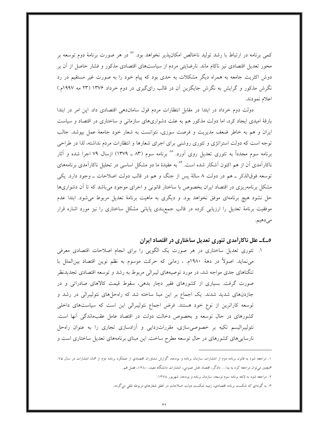کمی برنامه در ارتباط با رشد تولید ناخالص امکانپذیر نخواهد بود. <sup>۸۷</sup> در هر صورت برنامهٔ دوم توسعه بر محور تعدیل اقتصادی نیز ناکام ماند. نارضایتی مردم از سیاستهای اقتصادی مذکور و فشار حاصل از آن بر دوش اکثریت جامعه به همراه دیگر مشکلات به حدی بود که پیام خود را به صورت غیر مستقیم در رد نگرش مذکور و گرایش به نگرش جایگزین آن در قالب رای گیری در دوم خرداد ۱۳۷۶ (۲۳ مه ۱۹۹۷م.) اعلام نمودند.

دولت دوم خرداد در ابتدا در مقابل انتظارات مردم قول ساماندهی اقتصادی داد. این امر در ابتدا بارقهٔ امیدی ایجاد کرد، اما دولت مذکور هم به علت دشواریهای سازمانی و ساختاری در اقتصاد و سیاست ایران و هم به خاطر ضعف مدیریت و فرصت سوزی، نتوانست به شعار خود جامعهٔ عمل بپوشد. جالب توجه است که دولت استراتژی و تئوری روشنی برای اجرای شعارها و انتظارات مردم نداشته، لذا در طراحی برنامه سوم مجدداً به تئوری تعدیل روی آورد. ^^ برنامه سوم (۸۳ ـ ۱۳۷۹) ازسال ۷۹ اجرا شده و آثار ناکارآمدی آن از هم اکنون آشکار شده است. <sup>۸۹</sup> به عقیدهٔ ما دو مشکل اساسی در تحلیل ناکارآمدی برنامههای توسعه فوقالذکر ــ هم در دولت ٨ سالهٔ پس از جنگ و هم در قالب دولت اصلاحات ــ وجود دارد. يکي مشکل برنامهریزی در اقتصاد ایران بخصوص با ساختار قانونی و اجرای موجود میباشد که تا آن دشواریها حل نشود هیچ برنامهای موفق نخواهد بود. و دیگری به ماهیت برنامهٔ تعدیل مربوط می شود. ابتدا عدم موفقیت برنامهٔ تعدیل را ارزیابی کرده در قالب جمع بندی پایانی مشکل ساختاری را نیز مورد اشاره قرار مي دهيم.

# ٥\_٤\_ علل ناكارآمدي تئوري تعديل ساختاري در اقتصاد ايران

۱. تئوری تعدیل ساختاری در هر صورت یک الگویی را برای انجام اصلاحات اقتصادی معرفی می نماید. اصولاً در دههٔ ۱۹۸۰م. ، زمانی که حرکت موسوم به نظم نوین اقتصاد بینالملل با تنگناهای جدی مواجه شد، در مورد توصیههای لیبرالی مربوط به رشد و توسعه اقتصادی تجدیدنظر صورت گرفت. بسیاری از کشورهای فقیر دچار بدهی، سقوط قیمت کالاهای صادراتی و در جازدنهای شدید شدند. یک اجماع بر این مبنا ساخته شد که راهحلهای نئولیبرالی در رشد و توسعه کاراترین از نوع خود هستند. فرض اجماع نئولیبرالی این است که سیاستهای داخلی کشورهای در حال توسعه و بخصوص دخالت دولت در اقتصاد عامل عقبماندگی آنها است. نئولیبرالیسم تکیه بر خصوصی سازی، مقرراتزدایی و آزادسازی تجاری را به عنوان راهحل نارسایی های کشورهای در حال توسعه مطرح ساخت. این مبنای برنامههای تعدیل ساختاری است و

۱. مراجعه شود به قانون برنامه دوم از انتشارات سازمان برنامه و بودجه، گزارش مشاوران اقتصادي از عملكرد برنامه دوم از همان انتشارات در سال ۷۵. همچنین میتوان مراجعه کرد به یدا… دادگر، اقتصاد بخش عمومی، انتشارات دانشگاه مفید، ۱۳۸۰، فصل فمم.

۲. مراجعه شود به لایحه برنامه سوم توسعه، سازمان برنامه و بودجه، شهریور ۱۳۷۸.

۳. به گونهاي كه شكست برنامه اقتصادي، زمينه شكست دولت اصلاحات در تحقق شعارهاي مربوطه تلقى مى گردد.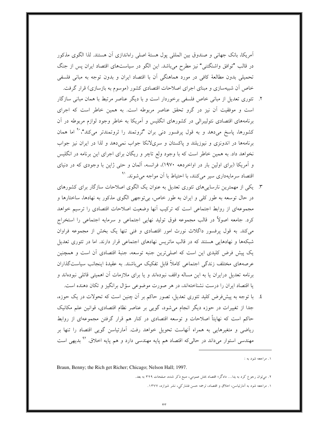أمريكا، بانك جهاني و صندوق بين المللي پول هستهٔ اصلي راهاندازي أن هستند. لذا الگوي مذكور در قالب "توافق واشنگتنی" نیز مطرح میباشد. این الگو در سیاستهای اقتصاد ایران پس از جنگ تحمیلی بدون مطالعهٔ کافی در مورد هماهنگی آن با اقتصاد ایران و بدون توجه به مبانی فلسفی خاص آن شبیهسازی و مبنای اجرای اصلاحات اقتصادی کشور (موسوم به بازسازی) قرار گرفت.

- ۲. تئوری تعدیل از مبانی خاص فلسفی برخوردار است و با دیگر عناصر مرتبط با همان مبانی سازگار است و موفقیت آن نیز در گرو تحقق عناصر مربوطه است. به همین خاطر است که اجرای برنامههای اقتصادی نئولیبرالی در کشورهای انگلیس و آمریکا به خاطر وجود لوازم مربوطه در آن کشورها، پاسخ میدهد و به قول پرفسور دنی بران "ثروتمند را ثروتمندتر میکند"،<sup>۹</sup> اما همان برنامهها در اندونزی و نیوزیلند و پاکستان و سریلانکا جواب نمی دهد و لذا در ایران نیز جواب نخواهد داد. به همین خاطر است که با وجود ولع تاچر و ریگان برای اجرای این برنامه در انگلیس و آمریکا (برای اولین بار در اواخردهه ۱۹۷۰)، فرانسه، آلمان و حتی ژاپن با وجودی که در دنیای اقتصاد سرمایهداری سیر میکنند، با احتیاط با آن مواجه می شوند. <sup>۹۱</sup>
- ۳. یکی از مهمترین نارساییهای تئوری تعدیل به عنوان یک الگوی اصلاحات سازگار برای کشورهای در حال توسعه به طور كلي و ايران به طور خاص، بي توجهي الگوي مذكور به نهادها، ساختارها و مجموعهای از روابط اجتماعی است که ترکیب آنها وضعیت اصلاحات اقتصادی را ترسیم خواهد کرد. جامعه اصولاً در قالب مجموعه فوق تولید نهایی اجتماعی و سرمایه اجتماعی را استخراج می کند. به قول پرفسور داگلاث نورث امور اقتصادی و فنی تنها یک بخش از مجموعه فراوان شبکهها و نهادهایی هستند که در قالب ماتریس نهادهای اجتماعی قرار دارند. اما در تئوری تعدیل یک پیش فرض کلیدی این است که اصلی ترین جنبه توسعه، جنبهٔ اقتصادی أن است و همچنین عرصههای مختلف زندگی اجتماعی کاملاً قابل تفکیک میباشند. به عقیدهٔ اینجانب سیاستگذاران برنامه تعدیل درایران یا به این مساله واقف نبودهاند و یا برای ملازمات آن اهمیتی قائلی نبودهاند و یا اقتصاد ایران را درست نشناختهاند، در هر صورت موضوعی سؤال برانگیز و تکان دهنده است.
- ٤. با توجه به پیشفرض کلید تئوری تعدیل، تصور حاکم بر آن چنین است که تحولات در یک حوزه، جداً از تغییرات در حوزه دیگر انجام می شود، گویی بر عناصر نظام اقتصادی، قوانین علم مکانیک حاکم است که نهایتاً اصلاحات و توسعه اقتصادی در کنار هم قرار گرفتن مجموعهای از روابط ریاضی و متغیرهایی به همراه آنهاست تحویل خواهد رفت. آمارتیاسن گویی اقتصاد را تنها بر مهندسی استوار میداند در حالی که اقتصاد هم پایه مهندسی دارد و هم پایه اخلاق. <sup>۹۲</sup> بدیهی است

۱. مراجعه شود به :

Braun, Benny; the Rich get Richer; Chicago; Nelson Hall; 1997.

۲. میتوان رحوع کرد به یدا… دادگر؛ اقتصاد بخش عمومی، منبع ذکر شده، صفحات ۳۲۹ به بعد.

۱. مراجعه شود به آمارتیاسن، احلاق و اقتصاد، ترجمه حسن فشارکی، نشر شیرازه، ۱۳۷۷.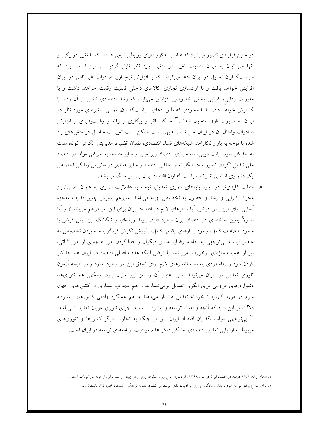در چنین فرایندی تصور میشود که عناصر مذکور دارای روابطی تابعی هستند که با تغییر در یکی از آنها می توان به میزان مطلوب تغییر در متغیر مورد نظر نایل گردید. بر این اساس بود که سیاستگذاران تعدیل در ایران ادعا میکردند که با افزایش نرخ ارز، صادرات غیر نفتی در ایران افزایش خواهد یافت و با ازادسازی تجاری، کالاهای داخلی قابلیت رقابت خواهند داشت و با مقررات زدایی، کارایی بخش خصوصی افزایش مییابد، که رشد اقتصادی ناشی از آن رفاه را گسترش خواهد داد. اما با وجودی که طبق ادعای سیاستگذاران، تمامی متغیرهای مورد نظر در ایران به صورت فوق متحول شدند،<sup>۹۳</sup> مشکل فقر و بیکاری و رفاه و رقابت $یذیری و افزایش$ صادرات وامثال آن در ایران حل نشد. بدیهی است ممکن است تغییرات حاصل در متغیرهای یاد شده با توجه به بازار ناکارآمد، شبکههای فساد اقتصادی، فقدان انضباط مدیریتی، نگرش کوتاه مدت به حداکثر سود، رانتجویی، سفته بازی، اقتصاد زیرزمینی و سایر مفاسد به حرکتی مولد در اقتصاد ملی تبدیل نگردد. تصور ساده انگارانه از جدایی اقتصاد و سایر عناصر در ماتریس زندگی اجتماعی یک دشواری اساسی اندیشه سیاست گذاران اقتصاد ایران پس از جنگ میباشد.

۵. مطلب کلیدیتر در مورد پایههای تئوری تعدیل، توجه به عقلانیت ابزاری به عنوان اصلی ترین محرک کارایی و رشد و حصول به تخصیص بهینه میباشد. علیرغم پذیرش چنین قدرت معجزه آسایی برای این پیش فرض، آیا بسترهای لازم در اقتصاد ایران برای این امر فراهم میباشد؟ و آیا اصولاً چنین ساختاری در اقتصاد ایران وجود دارد. پیوند ریشهای و تنگاتنگ این پیش فرض با وجود اطلاعات كامل، وجود بازارهاى رقابتي كامل، يذيرش نگرش فردگرايانه، سيردن تخصيص به عنصر قیمت، بی توجهی به رفاه و رضایتمندی دیگران و جدا کردن امور هنجاری از امور اثباتی، نیز از اهمیت ویژهای برخوردار میباشد. با فرض اینکه هدف اصلی اقتصاد در ایران هم حداکثر کردن سود و رفاه فردی باشد، ساختارهای لازم برای تحقق این امر وجود ندارد و در نتیجه آزمون تئوری تعدیل در ایران میتواند حتی اعتبار آن را نیز زیر سؤال ببرد. وانگهی هم تئوریها، دشواریهای فراوانی برای الگوی تعدیل برمیشمارند و هم تجارب بسیاری از کشورهای جهان سوم در مورد کاربرد نابخردانه تعدیل هشدار میدهند و هم عملکرد واقعی کشورهای پیشرفته دلالت بر این دارد که آنچه واقعیت توسعه و پیشرفت است، اجرای تئوری عریان تعدیل نمی باشد. <sup>۹۶</sup> بیتوجهی سیاستگذاران اقتصاد ایران پس از جنگ به تجارب دیگر کشورها و تئوریهای مربوط به ارزیابی تعدیل اقتصادی، مشکل دیگر عدم موفقیت برنامههای توسعه در ایران است.

۲. ادعاي رشد ۱۲/۱ درصد در اقتصاد ايران در سال ۱۳۶۹، آزادسازي نرخ ارز و سقوط ارزش ريال (بيش از صد برابر) از نمونه اين تحولات است. ۱. براي اطلاع بيشتر مواجه شود به يدا… دادگر، مروري بر ادبيات نقش دولت در اقتصاد، نشريه فرهنگ و انديشه، شماره ۲۵، تابستان ۸۱.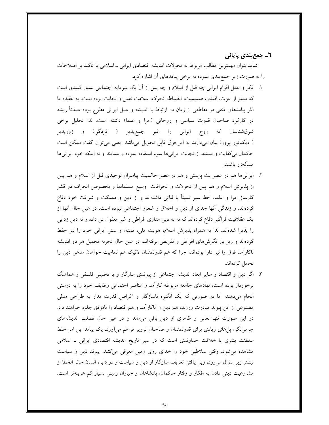## ٦ـ جمع بندي پاياني

شاید بتوان مهمترین مطالب مربوط به تحولات اندیشه اقتصادی ایرانی ـ اسلامی با تاکید بر اصلاحات را به صورت زیر جمع بندی نموده به برخی پیامدهای آن اشاره کرد:

- ۱. ً فكر و عمل اقوام ايراني چه قبل از اسلام و چه پس از أن يك سرمايه اجتماعي بسيار كليدي است که مملو از عزت، اقتدار، صمیمیت، انضباط، تحرک، سلامت نفس و نجابت بوده است. به عقیده ما اگر پیامدهای منفی در مقاطعی از زمان در ارتباط با اندیشه و عمل ایرانی مطرح بوده عمدتاً ریشه در كاركرد صاحبان قدرت سياسي و روحاني (امرا و علما) داشته است. لذا تحليل برخي شرقشناسان که روح ایرانی را غیر جمعپذیر ( فردگرا) و زورپذیر ( دیکتاتور پرور) بیان میدارند به امر فوق قابل تحویل میباشد. یعنی میتوان گفت ممکن است حاکمان بی کفایت و مستبد از نجابت ایرانیها سوء استفاده نموده و بنمایند و نه اینکه خود ایرانیها مسألەدار ياشند.
- ۲. ایرانبیها هم در عصر بت پرستبی و هم در عصر حاکمیت پیامبران توحیدی قبل از اسلام و هم پس از پذیرش اسلام و هم پس از تحولات و انحرافات وسیع مسلمانها و بخصوص انحراف دو قشر کارساز امرا و علما، خط سیر نسبتاً با ثباتی داشتهاند و از دین و مملکت و شرافت خود دفاع کردهاند. و زندگی أنها جدای از دین و اخلاق و شعور اجتماعی نبوده است. در عین حال أنها از یک عقلانیت فراگیر دفاع کردهاند که نه به دین مداری افراطی و غیر معقول تن داده و نه دین زدایی را پذیرا شدهاند. لذا به همراه پذیرش اسلام، هویت ملی، تمدن و سنن ایرانی خود را نیز حفظ کردهاند و زیر بار نگرشهای افراطی و تفریطی نرفتهاند. در عین حال تجربه تحمیل هر دو اندیشه ناکارآمد فوق را نیز دارا بودهاند؛ چرا که هم قدرتمندان لائیک هم تمامیت خواهان مدعی دین را تحمل کردهاند.
- ۳. اگر دین و اقتصاد و سایر ابعاد اندیشه اجتماعی از پیوندی سازگار و با تحلیلی فلسفی و هماهنگ برخوردار بوده است، نهادهای جامعه مربوطه کارآمد و عناصر اجتماعی وظایف خود را به درستی انجام میدهند؛ اما در صورتی که یک انگیزه ناسازگار و اغراض قدرت مدار به طراحی مدلی مصنوعی از این پیوند مبادرت ورزند، هم دین را ناکارآمد و هم اقتصاد را ناموفق جلوه خواهند داد. در این صورت تنها لعابی و ظاهری از دین باقی میماند و در عین حال تصلب اندیشههای جزمینگر، پل۵عای زیادی برای قدرتمندان و صاحبان تزویر فراهم میآورد. یک پیامد این امر خلط سلطنت بشری با خلافت خداوندی است که در سیر تاریخ اندیشه اقتصادی ایرانی ــ اسلامی مشاهده می شود. وقتی سلاطین خود را خدای روی زمین معرفی میکنند، پیوند دین و سیاست بیشتر زیر سؤال میرود؛ زیرا یافتن تعریف سازگار از دین و سیاست و در دایره انسان جائز الخطا از مشروعیت دینی دادن به افکار و رفتار حاکمان، پادشاهان و جباران زمینی بسیار کم هزینهتر است.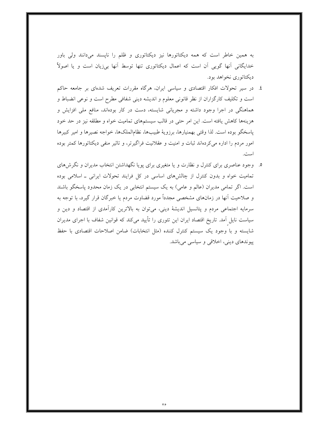به همین خاطر است که همه دیکتاتورها نیز دیکتاتوری و ظلم را ناپسند میدانند ولی باور خدایگانی آنها گویی آن است که اعمال دیکتاتوری تنها توسط آنها بیزیان است و یا اصولاً دیکتاتوری نخواهد بود.

- ٤. در سیر تحولات افکار اقتصادی و سیاسی ایران، هرگاه مقررات تعریف شدهای بر جامعه حاکم است و تکلیف کارگزاران از نظر قانونی معلوم و اندیشه دینی شفافی مطرح است و نوعی انضباط و هماهنگی در اجرا وجود داشته و مجریانی شایسته، دست در کار بودهاند، منافع ملی افزایش و هزینهها کاهش یافته است. این امر حتبی در قالب سیستمهای تمامیت خواه و مطلقه نیز در حد خود پاسخگو بوده است. لذا وقتی بهمنیارها، برزویهٔ طبیبها، نظام|لملکها، خواجه نصیرها و امیر کبیرها امور مردم را اداره می کردهاند ثبات و امنیت و عقلانیت فراگیرتر، و تاثیر منفی دیکتاتورها کمتر بوده است.
- ۵. وجود عناصری برای کنترل و نظارت و یا متغیری برای پویا نگهداشتن انتخاب مدیران و نگرش۵ای تمامیت خواه و بدون کنترل از چالشهای اساسی در کل فرایند تحولات ایرانی ـ اسلامی بوده است. اگر تمامی مدیران (عالم و عامی) به یک سیستم انتخابی در یک زمان محدود پاسخگو باشند و صلاحیت أنها در زمانهای مشخصی مجدداً مورد قضاوت مردم یا خبرگان قرار گیرد، با توجه به سرمایه اجتماعی مردم و پتانسیل اندیشهٔ دینی، میتوان به بالاترین کاراًمدی از اقتصاد و دین و سیاست نایل آمد. تاریخ اقتصاد ایران این تئوری را تأیید میکند که قوانین شفاف با اجرای مدیران شایسته و با وجود یک سیستم کنترل کننده (مثل انتخابات) ضامن اصلاحات اقتصادی با حفظ پیوندهای دینی، اخلاقی و سیاسی میباشد.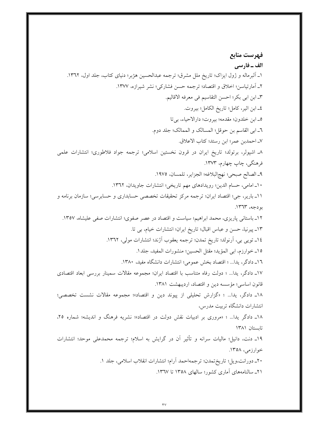فهرست منابع الف \_ فارسي ۱ـ البرماله و ژول ایزاک؛ تاریخ ملل مشرق؛ ترجمه عبدالحسین هژبر؛ دنیای کتاب، جلد اول، ۱۳٦۲. ٢\_ آمارتياسن؛ اخلاق و اقتصاد؛ ترجمه حسن فشاركي؛ نشر شيرازه، ١٣٧٧. ٣ـ ابن ابي بكر؛ احسن التقاسيم في معرفه الاقاليم. ٤ـ ابن اثير، كامل؛ تاريخ الكامل؛ بيروت. ٥\_ ابن خلدون؛ مقدمه؛ بيروت؛ دارالاحياء، بيتا ٦ـ ابي القاسم بن حوقل؛ المسالك و الممالك؛ جلد دوم. ٧ـ احمدبن عمر؛ ابن رستد؛ كتاب الاعلاق. ٨ـ اشپولر، برتولد؛ تاريخ ايران در قرون نخستين اسلامي؛ ترجمه جواد فلاطوري؛ انتشارات علمي فرهنگي، چاپ چهارم، ۱۳۷۳. ٩\_ الصالح صبحي؛ نهج البلاغه؛ الجزاير، تلمسان، ١٩٧٥. ١٠\_ امامي، حسام الدين؛ رويدادهاي مهم تاريخي؛ انتشارات جاويدان، ١٣٦٢. ١١ـ بارير، جي؛ اقتصاد ايران؛ ترجمه مركز تحقيقات تخصصي حسابداري و حسابرسي؛ سازمان برنامه و بودجه، ١٣٦٣. ١٢ـ باستانی پاریزی، محمد ابراهیم؛ سیاست و اقتصاد در عصر صفوی؛ انتشارات صفی علیشاه، ١٣٥٧. ١٣\_ پيرنيا، حسن و عباس اقبال؛ تاريخ ايران؛ انتشارات خيام، بي تا. ١٤ـ تويي بي، أرنولد؛ تاريخ تمدن؛ ترجمه يعقوب أژند؛ انتشارات مولي، ١٣٦٢. ١٥\_ خوارزم، ابي المؤيد؛ مقتل الحسين؛ منشورات المفيد، جلد١. ١٦ـ دادگر، يدا... ؛ اقتصاد بخش عمومي؛ انتشارات دانشگاه مفيد، ١٣٨٠. ١٧ـ دادگر، يدا... ؛ دولت رفاه متناسب با اقتصاد ايران؛ مجموعه مقالات سمينار بررسي ابعاد اقتصادي قانون اساسی؛ مؤسسه دین و اقتصاد، اردیبهشت ۱۳۸۱. ۱۸ـ دادگر، يدا... ؛ «گزارش تحليلي از پيوند دين و اقتصاد»؛ مجموعه مقالات نشست تخصصي؛ انتشارات دانشگاه تربیت مدرس، ۱۸ـ دادگر یدا… ؛ «مروری بر ادبیات نقش دولت در اقتصاد»؛ نشریه فرهنگ و اندیشه؛ شماره ۲۵، تابستان ١٣٨١ ۱۹ـ دنت، دانیل؛ مالیات سرانه و تأثیر آن در گرایش به اسلام؛ ترجمه محمدعلی موحد؛ انتشارات خوارزمي، ۱۳۵۸. ٢٠ـ دورانت،ويل؛ تاريخ تمدن؛ ترجمهاحمد آرام؛ انتشارات انقلاب اسلامي، جلد ١. ۲۱ـ سالنامههای آماری کشور؛ سالهای ۱۳۵۸ تا ۱۳٦۷.